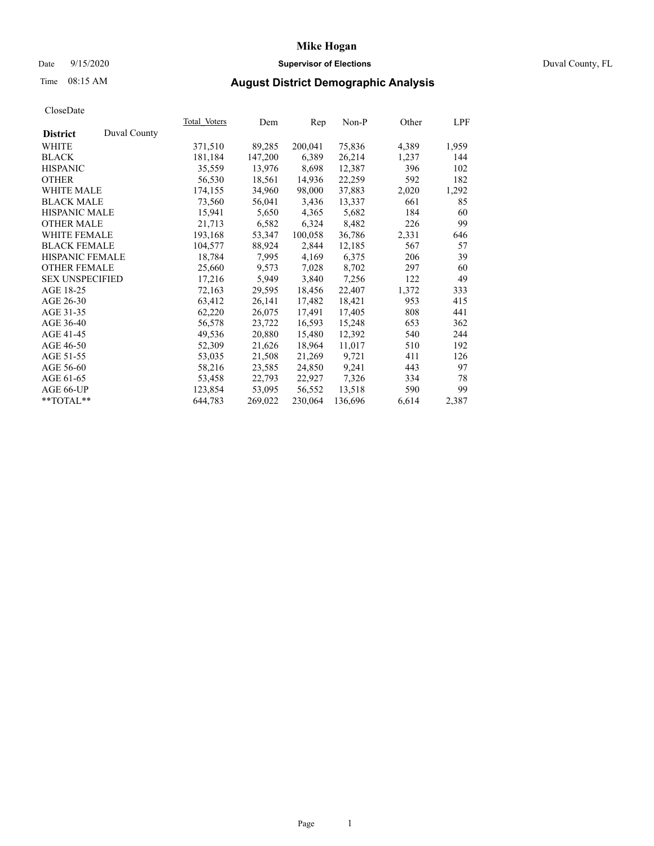## Date 9/15/2020 **Supervisor of Elections** Duval County, FL

# Time 08:15 AM **August District Demographic Analysis**

|                        |              | Total Voters | Dem     | Rep     | Non-P   | Other | LPF   |
|------------------------|--------------|--------------|---------|---------|---------|-------|-------|
| <b>District</b>        | Duval County |              |         |         |         |       |       |
| WHITE                  |              | 371,510      | 89,285  | 200,041 | 75,836  | 4,389 | 1,959 |
| <b>BLACK</b>           |              | 181,184      | 147,200 | 6,389   | 26,214  | 1,237 | 144   |
| <b>HISPANIC</b>        |              | 35,559       | 13,976  | 8,698   | 12,387  | 396   | 102   |
| <b>OTHER</b>           |              | 56,530       | 18,561  | 14,936  | 22,259  | 592   | 182   |
| WHITE MALE             |              | 174,155      | 34,960  | 98,000  | 37,883  | 2,020 | 1,292 |
| <b>BLACK MALE</b>      |              | 73,560       | 56,041  | 3,436   | 13,337  | 661   | 85    |
| <b>HISPANIC MALE</b>   |              | 15,941       | 5,650   | 4,365   | 5,682   | 184   | 60    |
| <b>OTHER MALE</b>      |              | 21,713       | 6,582   | 6,324   | 8,482   | 226   | 99    |
| <b>WHITE FEMALE</b>    |              | 193,168      | 53,347  | 100,058 | 36,786  | 2,331 | 646   |
| <b>BLACK FEMALE</b>    |              | 104,577      | 88,924  | 2,844   | 12,185  | 567   | 57    |
| <b>HISPANIC FEMALE</b> |              | 18,784       | 7,995   | 4,169   | 6,375   | 206   | 39    |
| <b>OTHER FEMALE</b>    |              | 25,660       | 9,573   | 7,028   | 8,702   | 297   | 60    |
| <b>SEX UNSPECIFIED</b> |              | 17,216       | 5,949   | 3,840   | 7,256   | 122   | 49    |
| AGE 18-25              |              | 72,163       | 29,595  | 18,456  | 22,407  | 1,372 | 333   |
| AGE 26-30              |              | 63,412       | 26,141  | 17,482  | 18,421  | 953   | 415   |
| AGE 31-35              |              | 62,220       | 26,075  | 17,491  | 17,405  | 808   | 441   |
| AGE 36-40              |              | 56,578       | 23,722  | 16,593  | 15,248  | 653   | 362   |
| AGE 41-45              |              | 49,536       | 20,880  | 15,480  | 12,392  | 540   | 244   |
| AGE 46-50              |              | 52,309       | 21,626  | 18,964  | 11,017  | 510   | 192   |
| AGE 51-55              |              | 53,035       | 21,508  | 21,269  | 9,721   | 411   | 126   |
| AGE 56-60              |              | 58,216       | 23,585  | 24,850  | 9,241   | 443   | 97    |
| AGE 61-65              |              | 53,458       | 22,793  | 22,927  | 7,326   | 334   | 78    |
| AGE 66-UP              |              | 123,854      | 53,095  | 56,552  | 13,518  | 590   | 99    |
| $*$ TOTAL $*$          |              | 644,783      | 269,022 | 230,064 | 136,696 | 6,614 | 2,387 |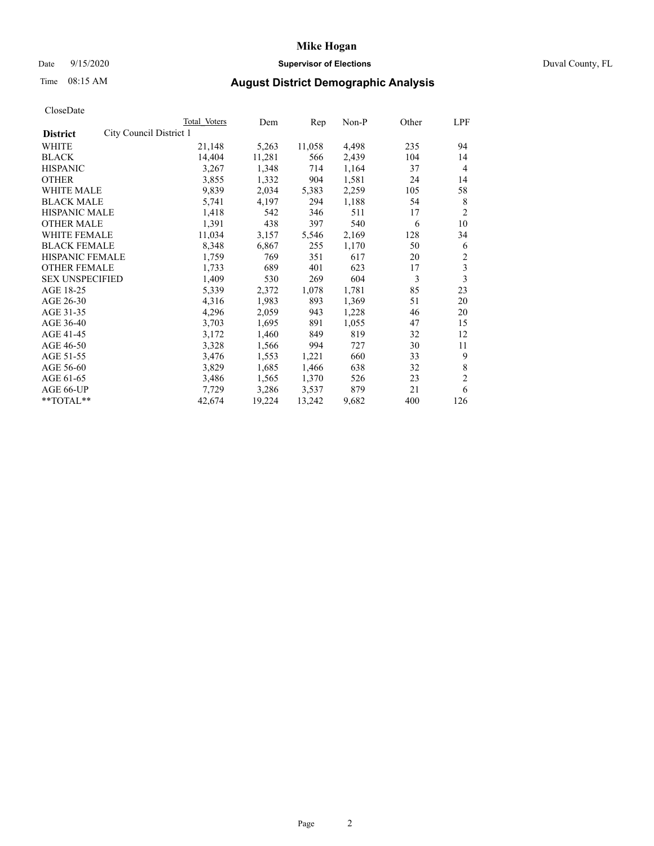## Date 9/15/2020 **Supervisor of Elections** Duval County, FL

# Time 08:15 AM **August District Demographic Analysis**

| <b>Total Voters</b> | Dem                     | Rep    | Non-P | Other | LPF            |
|---------------------|-------------------------|--------|-------|-------|----------------|
|                     |                         |        |       |       |                |
| 21,148              | 5,263                   | 11,058 | 4,498 | 235   | 94             |
| 14,404              | 11,281                  | 566    | 2,439 | 104   | 14             |
| 3,267               | 1,348                   | 714    | 1,164 | 37    | $\overline{4}$ |
| 3,855               | 1,332                   | 904    | 1,581 | 24    | 14             |
| 9,839               | 2,034                   | 5,383  | 2,259 | 105   | 58             |
| 5,741               | 4,197                   | 294    | 1,188 | 54    | 8              |
| 1,418               | 542                     | 346    | 511   | 17    | $\overline{2}$ |
| 1,391               | 438                     | 397    | 540   | 6     | 10             |
| 11,034              | 3,157                   | 5,546  | 2,169 | 128   | 34             |
| 8,348               | 6,867                   | 255    | 1,170 | 50    | 6              |
| 1,759               | 769                     | 351    | 617   | 20    | 2              |
| 1,733               | 689                     | 401    | 623   | 17    | 3              |
| 1,409               | 530                     | 269    | 604   | 3     | 3              |
| 5,339               | 2,372                   | 1,078  | 1,781 | 85    | 23             |
| 4,316               | 1,983                   | 893    | 1,369 | 51    | 20             |
| 4,296               | 2,059                   | 943    | 1,228 | 46    | 20             |
| 3,703               | 1,695                   | 891    | 1,055 | 47    | 15             |
| 3,172               | 1,460                   | 849    | 819   | 32    | 12             |
| 3,328               | 1,566                   | 994    | 727   | 30    | 11             |
| 3,476               | 1,553                   | 1,221  | 660   | 33    | 9              |
| 3,829               | 1,685                   | 1,466  | 638   | 32    | 8              |
| 3,486               | 1,565                   | 1,370  | 526   | 23    | $\overline{c}$ |
| 7,729               | 3,286                   | 3,537  | 879   | 21    | 6              |
| 42,674              | 19,224                  | 13,242 | 9,682 | 400   | 126            |
|                     | City Council District 1 |        |       |       |                |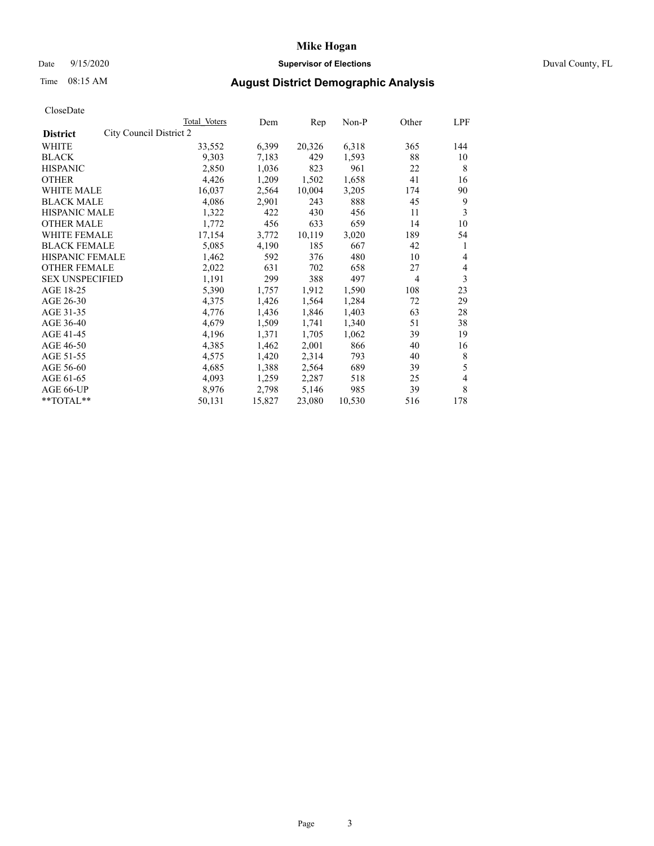## Date 9/15/2020 **Supervisor of Elections** Duval County, FL

# Time 08:15 AM **August District Demographic Analysis**

|                                            | Total Voters | Dem    | Rep    | Non-P  | Other | LPF |
|--------------------------------------------|--------------|--------|--------|--------|-------|-----|
| City Council District 2<br><b>District</b> |              |        |        |        |       |     |
| WHITE                                      | 33,552       | 6,399  | 20,326 | 6,318  | 365   | 144 |
| <b>BLACK</b>                               | 9,303        | 7,183  | 429    | 1,593  | 88    | 10  |
| <b>HISPANIC</b>                            | 2,850        | 1,036  | 823    | 961    | 22    | 8   |
| <b>OTHER</b>                               | 4,426        | 1,209  | 1,502  | 1,658  | 41    | 16  |
| <b>WHITE MALE</b>                          | 16,037       | 2,564  | 10,004 | 3,205  | 174   | 90  |
| <b>BLACK MALE</b>                          | 4,086        | 2,901  | 243    | 888    | 45    | 9   |
| <b>HISPANIC MALE</b>                       | 1,322        | 422    | 430    | 456    | 11    | 3   |
| <b>OTHER MALE</b>                          | 1,772        | 456    | 633    | 659    | 14    | 10  |
| <b>WHITE FEMALE</b>                        | 17,154       | 3,772  | 10,119 | 3,020  | 189   | 54  |
| <b>BLACK FEMALE</b>                        | 5,085        | 4,190  | 185    | 667    | 42    | 1   |
| <b>HISPANIC FEMALE</b>                     | 1,462        | 592    | 376    | 480    | 10    | 4   |
| <b>OTHER FEMALE</b>                        | 2,022        | 631    | 702    | 658    | 27    | 4   |
| <b>SEX UNSPECIFIED</b>                     | 1,191        | 299    | 388    | 497    | 4     | 3   |
| AGE 18-25                                  | 5,390        | 1,757  | 1,912  | 1,590  | 108   | 23  |
| AGE 26-30                                  | 4,375        | 1,426  | 1,564  | 1,284  | 72    | 29  |
| AGE 31-35                                  | 4,776        | 1,436  | 1,846  | 1,403  | 63    | 28  |
| AGE 36-40                                  | 4,679        | 1,509  | 1,741  | 1,340  | 51    | 38  |
| AGE 41-45                                  | 4,196        | 1,371  | 1,705  | 1,062  | 39    | 19  |
| AGE 46-50                                  | 4,385        | 1,462  | 2,001  | 866    | 40    | 16  |
| AGE 51-55                                  | 4,575        | 1,420  | 2,314  | 793    | 40    | 8   |
| AGE 56-60                                  | 4,685        | 1,388  | 2,564  | 689    | 39    | 5   |
| AGE 61-65                                  | 4,093        | 1,259  | 2,287  | 518    | 25    | 4   |
| AGE 66-UP                                  | 8,976        | 2,798  | 5,146  | 985    | 39    | 8   |
| $*$ TOTAL $*$                              | 50,131       | 15,827 | 23,080 | 10,530 | 516   | 178 |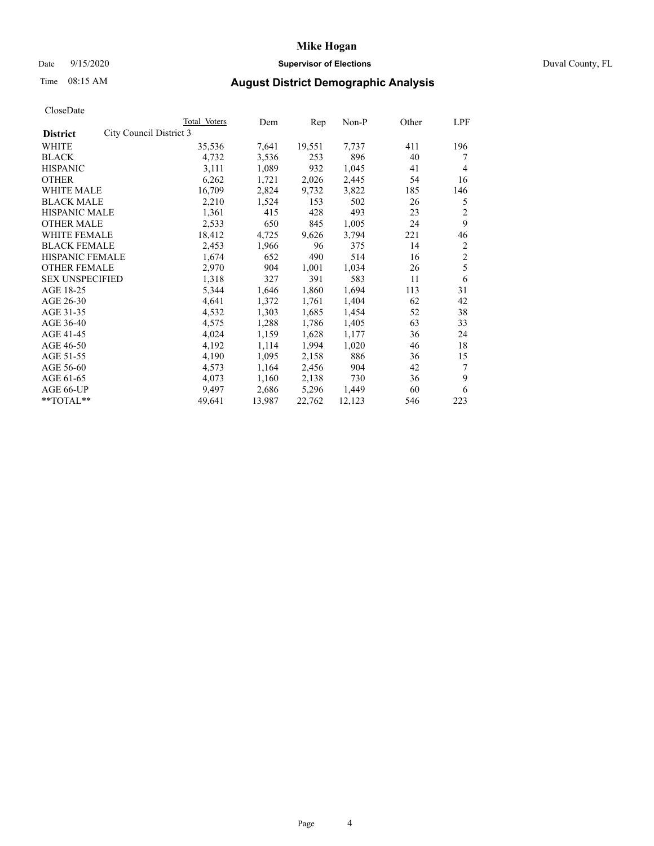## Date 9/15/2020 **Supervisor of Elections** Duval County, FL

# Time 08:15 AM **August District Demographic Analysis**

|                        |                         | Total Voters | Dem    | Rep    | $Non-P$ | Other | LPF            |
|------------------------|-------------------------|--------------|--------|--------|---------|-------|----------------|
| <b>District</b>        | City Council District 3 |              |        |        |         |       |                |
| WHITE                  |                         | 35,536       | 7,641  | 19,551 | 7,737   | 411   | 196            |
| <b>BLACK</b>           |                         | 4,732        | 3,536  | 253    | 896     | 40    | 7              |
| <b>HISPANIC</b>        |                         | 3,111        | 1,089  | 932    | 1,045   | 41    | 4              |
| <b>OTHER</b>           |                         | 6,262        | 1,721  | 2,026  | 2,445   | 54    | 16             |
| <b>WHITE MALE</b>      |                         | 16,709       | 2,824  | 9,732  | 3,822   | 185   | 146            |
| <b>BLACK MALE</b>      |                         | 2,210        | 1,524  | 153    | 502     | 26    | 5              |
| <b>HISPANIC MALE</b>   |                         | 1,361        | 415    | 428    | 493     | 23    | 2              |
| <b>OTHER MALE</b>      |                         | 2,533        | 650    | 845    | 1,005   | 24    | 9              |
| WHITE FEMALE           |                         | 18,412       | 4,725  | 9,626  | 3,794   | 221   | 46             |
| <b>BLACK FEMALE</b>    |                         | 2,453        | 1,966  | 96     | 375     | 14    | 2              |
| HISPANIC FEMALE        |                         | 1,674        | 652    | 490    | 514     | 16    | $\mathfrak{2}$ |
| <b>OTHER FEMALE</b>    |                         | 2,970        | 904    | 1,001  | 1,034   | 26    | 5              |
| <b>SEX UNSPECIFIED</b> |                         | 1,318        | 327    | 391    | 583     | 11    | 6              |
| AGE 18-25              |                         | 5,344        | 1,646  | 1,860  | 1,694   | 113   | 31             |
| AGE 26-30              |                         | 4,641        | 1,372  | 1,761  | 1,404   | 62    | 42             |
| AGE 31-35              |                         | 4,532        | 1,303  | 1,685  | 1,454   | 52    | 38             |
| AGE 36-40              |                         | 4,575        | 1,288  | 1,786  | 1,405   | 63    | 33             |
| AGE 41-45              |                         | 4,024        | 1,159  | 1,628  | 1,177   | 36    | 24             |
| AGE 46-50              |                         | 4,192        | 1,114  | 1,994  | 1,020   | 46    | 18             |
| AGE 51-55              |                         | 4,190        | 1,095  | 2,158  | 886     | 36    | 15             |
| AGE 56-60              |                         | 4,573        | 1,164  | 2,456  | 904     | 42    | 7              |
| AGE 61-65              |                         | 4,073        | 1,160  | 2,138  | 730     | 36    | 9              |
| AGE 66-UP              |                         | 9.497        | 2,686  | 5,296  | 1,449   | 60    | 6              |
| **TOTAL**              |                         | 49,641       | 13,987 | 22,762 | 12,123  | 546   | 223            |
|                        |                         |              |        |        |         |       |                |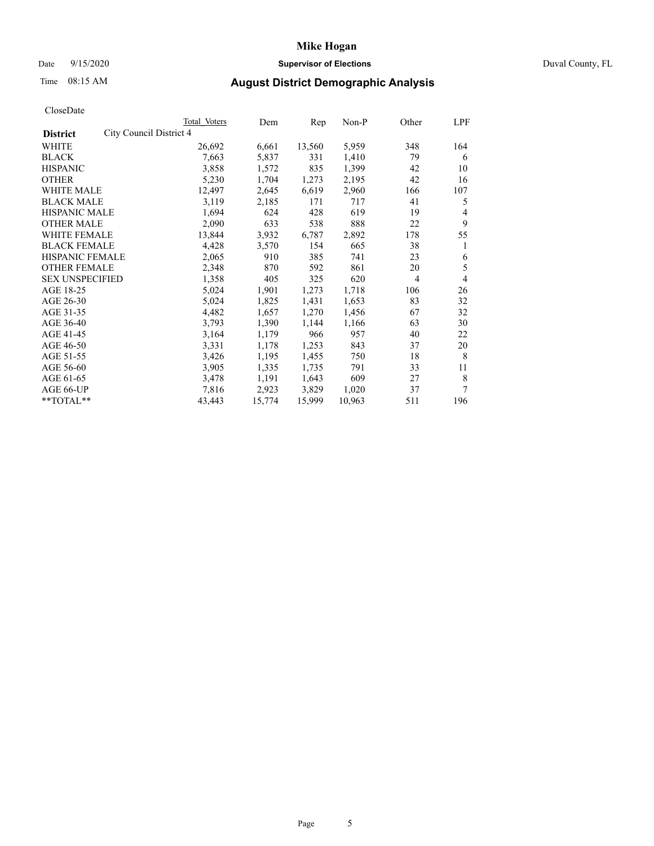## Date 9/15/2020 **Supervisor of Elections** Duval County, FL

# Time 08:15 AM **August District Demographic Analysis**

|                                            | Total Voters | Dem    | Rep    | Non-P  | Other | LPF |
|--------------------------------------------|--------------|--------|--------|--------|-------|-----|
| City Council District 4<br><b>District</b> |              |        |        |        |       |     |
| WHITE                                      | 26,692       | 6,661  | 13,560 | 5,959  | 348   | 164 |
| <b>BLACK</b>                               | 7,663        | 5,837  | 331    | 1,410  | 79    | 6   |
| <b>HISPANIC</b>                            | 3,858        | 1,572  | 835    | 1,399  | 42    | 10  |
| <b>OTHER</b>                               | 5,230        | 1,704  | 1,273  | 2,195  | 42    | 16  |
| <b>WHITE MALE</b>                          | 12,497       | 2,645  | 6,619  | 2,960  | 166   | 107 |
| <b>BLACK MALE</b>                          | 3,119        | 2,185  | 171    | 717    | 41    | 5   |
| <b>HISPANIC MALE</b>                       | 1,694        | 624    | 428    | 619    | 19    | 4   |
| <b>OTHER MALE</b>                          | 2,090        | 633    | 538    | 888    | 22    | 9   |
| WHITE FEMALE                               | 13,844       | 3,932  | 6,787  | 2,892  | 178   | 55  |
| <b>BLACK FEMALE</b>                        | 4,428        | 3,570  | 154    | 665    | 38    | 1   |
| HISPANIC FEMALE                            | 2,065        | 910    | 385    | 741    | 23    | 6   |
| <b>OTHER FEMALE</b>                        | 2,348        | 870    | 592    | 861    | 20    | 5   |
| <b>SEX UNSPECIFIED</b>                     | 1,358        | 405    | 325    | 620    | 4     | 4   |
| AGE 18-25                                  | 5,024        | 1,901  | 1,273  | 1,718  | 106   | 26  |
| AGE 26-30                                  | 5,024        | 1,825  | 1,431  | 1,653  | 83    | 32  |
| AGE 31-35                                  | 4,482        | 1,657  | 1,270  | 1,456  | 67    | 32  |
| AGE 36-40                                  | 3,793        | 1,390  | 1,144  | 1,166  | 63    | 30  |
| AGE 41-45                                  | 3,164        | 1,179  | 966    | 957    | 40    | 22  |
| AGE 46-50                                  | 3,331        | 1,178  | 1,253  | 843    | 37    | 20  |
| AGE 51-55                                  | 3,426        | 1,195  | 1,455  | 750    | 18    | 8   |
| AGE 56-60                                  | 3,905        | 1,335  | 1,735  | 791    | 33    | 11  |
| AGE 61-65                                  | 3,478        | 1,191  | 1,643  | 609    | 27    | 8   |
| AGE 66-UP                                  | 7,816        | 2,923  | 3,829  | 1,020  | 37    | 7   |
| **TOTAL**                                  | 43,443       | 15,774 | 15,999 | 10,963 | 511   | 196 |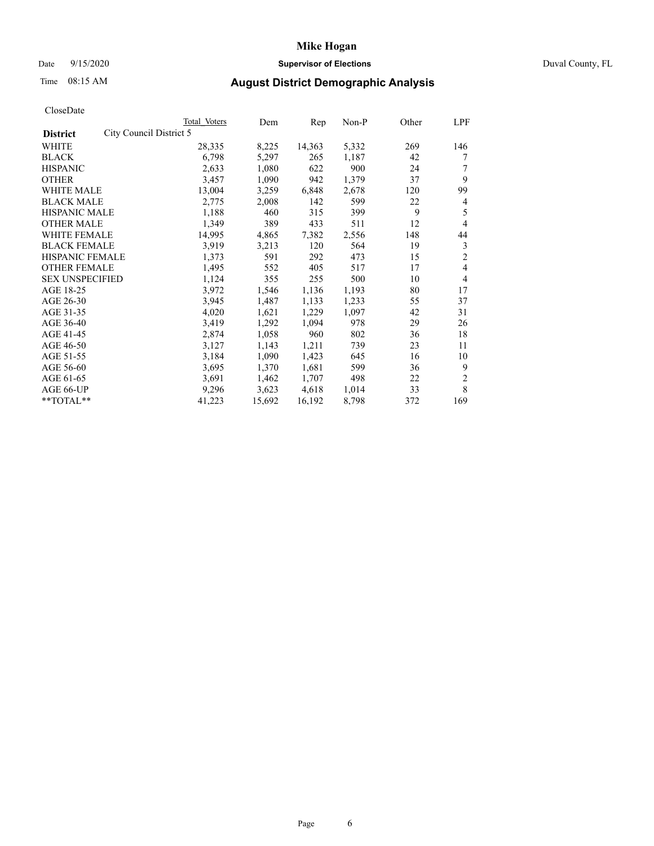## Date 9/15/2020 **Supervisor of Elections** Duval County, FL

# Time 08:15 AM **August District Demographic Analysis**

| Total Voters            | Dem    | Rep    | $Non-P$ | Other | LPF |
|-------------------------|--------|--------|---------|-------|-----|
| City Council District 5 |        |        |         |       |     |
| 28,335                  | 8,225  | 14,363 | 5,332   | 269   | 146 |
| 6,798                   | 5,297  | 265    | 1,187   | 42    | 7   |
| 2,633                   | 1,080  | 622    | 900     | 24    |     |
| 3,457                   | 1,090  | 942    | 1,379   | 37    | 9   |
| 13,004                  | 3,259  | 6,848  | 2,678   | 120   | 99  |
| 2,775                   | 2,008  | 142    | 599     | 22    | 4   |
| 1,188                   | 460    | 315    | 399     | 9     | 5   |
| 1,349                   | 389    | 433    | 511     | 12    | 4   |
| 14,995                  | 4,865  | 7,382  | 2,556   | 148   | 44  |
| 3,919                   | 3,213  | 120    | 564     | 19    | 3   |
| 1,373                   | 591    | 292    | 473     | 15    | 2   |
| 1,495                   | 552    | 405    | 517     | 17    | 4   |
| 1,124                   | 355    | 255    | 500     | 10    | 4   |
| 3,972                   | 1,546  | 1,136  | 1,193   | 80    | 17  |
| 3,945                   | 1,487  | 1,133  | 1,233   | 55    | 37  |
| 4,020                   | 1,621  | 1,229  | 1,097   | 42    | 31  |
| 3,419                   | 1,292  | 1,094  | 978     | 29    | 26  |
| 2,874                   | 1,058  | 960    | 802     | 36    | 18  |
| 3,127                   | 1,143  | 1,211  | 739     | 23    | 11  |
| 3,184                   | 1,090  | 1,423  | 645     | 16    | 10  |
| 3,695                   | 1,370  | 1,681  | 599     | 36    | 9   |
| 3,691                   | 1,462  | 1,707  | 498     | 22    | 2   |
| 9,296                   | 3,623  | 4,618  | 1,014   | 33    | 8   |
| 41,223                  | 15,692 | 16,192 | 8,798   | 372   | 169 |
|                         |        |        |         |       |     |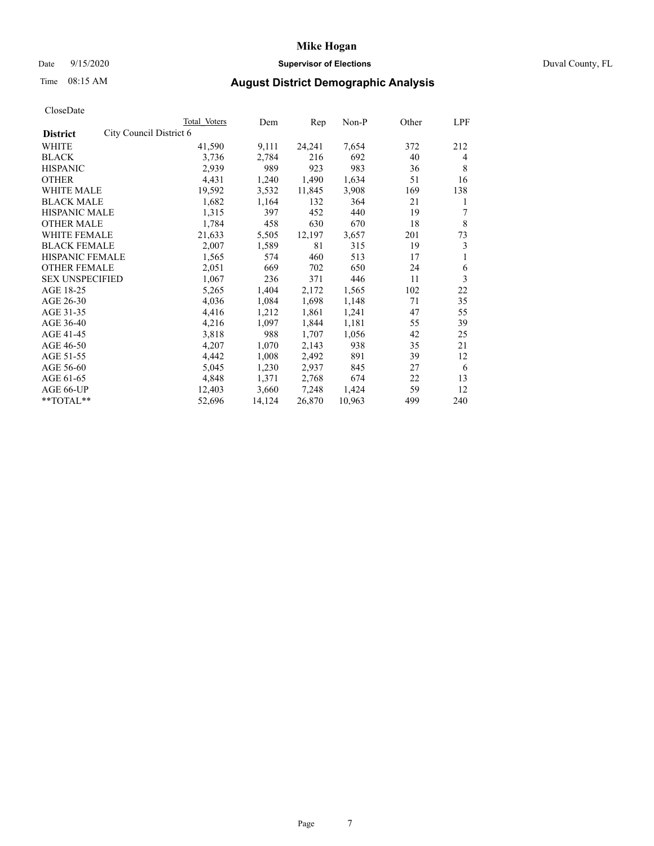## Date 9/15/2020 **Supervisor of Elections** Duval County, FL

# Time 08:15 AM **August District Demographic Analysis**

|                        |                         | Total Voters | Dem    | Rep    | $Non-P$ | Other | LPF |
|------------------------|-------------------------|--------------|--------|--------|---------|-------|-----|
| <b>District</b>        | City Council District 6 |              |        |        |         |       |     |
| WHITE                  |                         | 41,590       | 9,111  | 24,241 | 7,654   | 372   | 212 |
| <b>BLACK</b>           |                         | 3,736        | 2,784  | 216    | 692     | 40    | 4   |
| <b>HISPANIC</b>        |                         | 2,939        | 989    | 923    | 983     | 36    | 8   |
| <b>OTHER</b>           |                         | 4,431        | 1,240  | 1,490  | 1,634   | 51    | 16  |
| <b>WHITE MALE</b>      |                         | 19,592       | 3,532  | 11,845 | 3,908   | 169   | 138 |
| <b>BLACK MALE</b>      |                         | 1,682        | 1,164  | 132    | 364     | 21    | 1   |
| <b>HISPANIC MALE</b>   |                         | 1,315        | 397    | 452    | 440     | 19    | 7   |
| <b>OTHER MALE</b>      |                         | 1,784        | 458    | 630    | 670     | 18    | 8   |
| WHITE FEMALE           |                         | 21,633       | 5,505  | 12,197 | 3,657   | 201   | 73  |
| <b>BLACK FEMALE</b>    |                         | 2,007        | 1,589  | 81     | 315     | 19    | 3   |
| HISPANIC FEMALE        |                         | 1,565        | 574    | 460    | 513     | 17    | 1   |
| <b>OTHER FEMALE</b>    |                         | 2,051        | 669    | 702    | 650     | 24    | 6   |
| <b>SEX UNSPECIFIED</b> |                         | 1,067        | 236    | 371    | 446     | 11    | 3   |
| AGE 18-25              |                         | 5,265        | 1,404  | 2,172  | 1,565   | 102   | 22  |
| AGE 26-30              |                         | 4,036        | 1,084  | 1,698  | 1,148   | 71    | 35  |
| AGE 31-35              |                         | 4,416        | 1,212  | 1,861  | 1,241   | 47    | 55  |
| AGE 36-40              |                         | 4,216        | 1,097  | 1,844  | 1,181   | 55    | 39  |
| AGE 41-45              |                         | 3,818        | 988    | 1,707  | 1,056   | 42    | 25  |
| AGE 46-50              |                         | 4,207        | 1,070  | 2,143  | 938     | 35    | 21  |
| AGE 51-55              |                         | 4,442        | 1,008  | 2,492  | 891     | 39    | 12  |
| AGE 56-60              |                         | 5,045        | 1,230  | 2,937  | 845     | 27    | 6   |
| AGE 61-65              |                         | 4,848        | 1,371  | 2,768  | 674     | 22    | 13  |
| AGE 66-UP              |                         | 12,403       | 3,660  | 7,248  | 1,424   | 59    | 12  |
| **TOTAL**              |                         | 52,696       | 14,124 | 26,870 | 10,963  | 499   | 240 |
|                        |                         |              |        |        |         |       |     |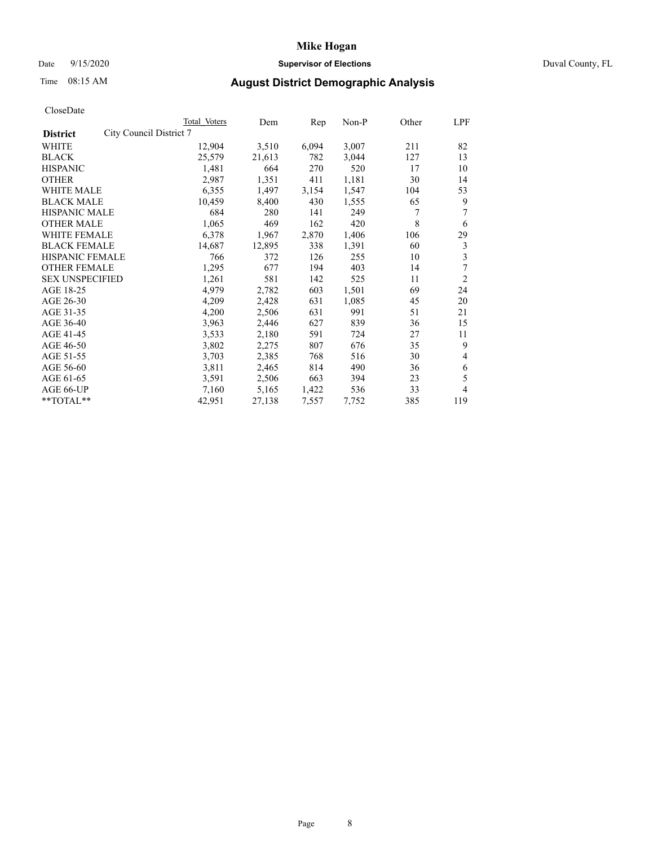## Date 9/15/2020 **Supervisor of Elections** Duval County, FL

# Time 08:15 AM **August District Demographic Analysis**

|                        |                         | Total Voters | Dem    | Rep   | Non-P | Other | LPF            |
|------------------------|-------------------------|--------------|--------|-------|-------|-------|----------------|
| <b>District</b>        | City Council District 7 |              |        |       |       |       |                |
| WHITE                  |                         | 12,904       | 3,510  | 6,094 | 3,007 | 211   | 82             |
| <b>BLACK</b>           |                         | 25,579       | 21,613 | 782   | 3,044 | 127   | 13             |
| <b>HISPANIC</b>        |                         | 1,481        | 664    | 270   | 520   | 17    | 10             |
| <b>OTHER</b>           |                         | 2,987        | 1,351  | 411   | 1,181 | 30    | 14             |
| <b>WHITE MALE</b>      |                         | 6,355        | 1,497  | 3,154 | 1,547 | 104   | 53             |
| <b>BLACK MALE</b>      |                         | 10,459       | 8,400  | 430   | 1,555 | 65    | 9              |
| <b>HISPANIC MALE</b>   |                         | 684          | 280    | 141   | 249   | 7     | 7              |
| <b>OTHER MALE</b>      |                         | 1,065        | 469    | 162   | 420   | 8     | 6              |
| WHITE FEMALE           |                         | 6,378        | 1,967  | 2,870 | 1,406 | 106   | 29             |
| <b>BLACK FEMALE</b>    |                         | 14,687       | 12,895 | 338   | 1,391 | 60    | 3              |
| HISPANIC FEMALE        |                         | 766          | 372    | 126   | 255   | 10    | 3              |
| <b>OTHER FEMALE</b>    |                         | 1,295        | 677    | 194   | 403   | 14    | 7              |
| <b>SEX UNSPECIFIED</b> |                         | 1,261        | 581    | 142   | 525   | 11    | $\overline{2}$ |
| AGE 18-25              |                         | 4,979        | 2,782  | 603   | 1,501 | 69    | 24             |
| AGE 26-30              |                         | 4,209        | 2,428  | 631   | 1,085 | 45    | 20             |
| AGE 31-35              |                         | 4,200        | 2,506  | 631   | 991   | 51    | 21             |
| AGE 36-40              |                         | 3,963        | 2,446  | 627   | 839   | 36    | 15             |
| AGE 41-45              |                         | 3,533        | 2,180  | 591   | 724   | 27    | 11             |
| AGE 46-50              |                         | 3,802        | 2,275  | 807   | 676   | 35    | 9              |
| AGE 51-55              |                         | 3,703        | 2,385  | 768   | 516   | 30    | 4              |
| AGE 56-60              |                         | 3,811        | 2,465  | 814   | 490   | 36    | 6              |
| AGE 61-65              |                         | 3,591        | 2,506  | 663   | 394   | 23    | 5              |
| AGE 66-UP              |                         | 7,160        | 5,165  | 1,422 | 536   | 33    | 4              |
| **TOTAL**              |                         | 42,951       | 27,138 | 7,557 | 7,752 | 385   | 119            |
|                        |                         |              |        |       |       |       |                |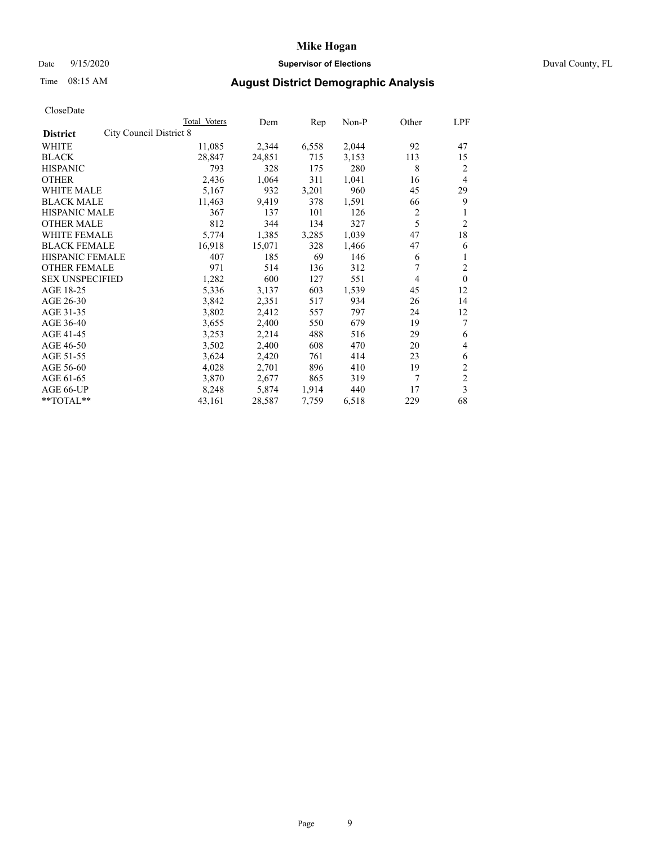## Date 9/15/2020 **Supervisor of Elections** Duval County, FL

# Time 08:15 AM **August District Demographic Analysis**

|                        |                         | Total Voters | Dem    | Rep   | Non-P | Other | LPF            |
|------------------------|-------------------------|--------------|--------|-------|-------|-------|----------------|
| <b>District</b>        | City Council District 8 |              |        |       |       |       |                |
| WHITE                  |                         | 11,085       | 2,344  | 6,558 | 2,044 | 92    | 47             |
| <b>BLACK</b>           |                         | 28,847       | 24,851 | 715   | 3,153 | 113   | 15             |
| <b>HISPANIC</b>        |                         | 793          | 328    | 175   | 280   | 8     | 2              |
| <b>OTHER</b>           |                         | 2,436        | 1,064  | 311   | 1,041 | 16    | 4              |
| <b>WHITE MALE</b>      |                         | 5,167        | 932    | 3,201 | 960   | 45    | 29             |
| <b>BLACK MALE</b>      |                         | 11,463       | 9,419  | 378   | 1,591 | 66    | 9              |
| <b>HISPANIC MALE</b>   |                         | 367          | 137    | 101   | 126   | 2     | 1              |
| <b>OTHER MALE</b>      |                         | 812          | 344    | 134   | 327   | 5     | 2              |
| WHITE FEMALE           |                         | 5,774        | 1,385  | 3,285 | 1,039 | 47    | 18             |
| <b>BLACK FEMALE</b>    |                         | 16,918       | 15,071 | 328   | 1,466 | 47    | 6              |
| HISPANIC FEMALE        |                         | 407          | 185    | 69    | 146   | 6     | 1              |
| <b>OTHER FEMALE</b>    |                         | 971          | 514    | 136   | 312   | 7     | $\overline{c}$ |
| <b>SEX UNSPECIFIED</b> |                         | 1,282        | 600    | 127   | 551   | 4     | $\theta$       |
| AGE 18-25              |                         | 5,336        | 3,137  | 603   | 1,539 | 45    | 12             |
| AGE 26-30              |                         | 3,842        | 2,351  | 517   | 934   | 26    | 14             |
| AGE 31-35              |                         | 3,802        | 2,412  | 557   | 797   | 24    | 12             |
| AGE 36-40              |                         | 3,655        | 2,400  | 550   | 679   | 19    | 7              |
| AGE 41-45              |                         | 3,253        | 2,214  | 488   | 516   | 29    | 6              |
| AGE 46-50              |                         | 3,502        | 2,400  | 608   | 470   | 20    | 4              |
| AGE 51-55              |                         | 3,624        | 2,420  | 761   | 414   | 23    | 6              |
| AGE 56-60              |                         | 4,028        | 2,701  | 896   | 410   | 19    | $\overline{c}$ |
| AGE 61-65              |                         | 3,870        | 2,677  | 865   | 319   | 7     | $\overline{c}$ |
| AGE 66-UP              |                         | 8,248        | 5,874  | 1,914 | 440   | 17    | 3              |
| **TOTAL**              |                         | 43,161       | 28,587 | 7,759 | 6,518 | 229   | 68             |
|                        |                         |              |        |       |       |       |                |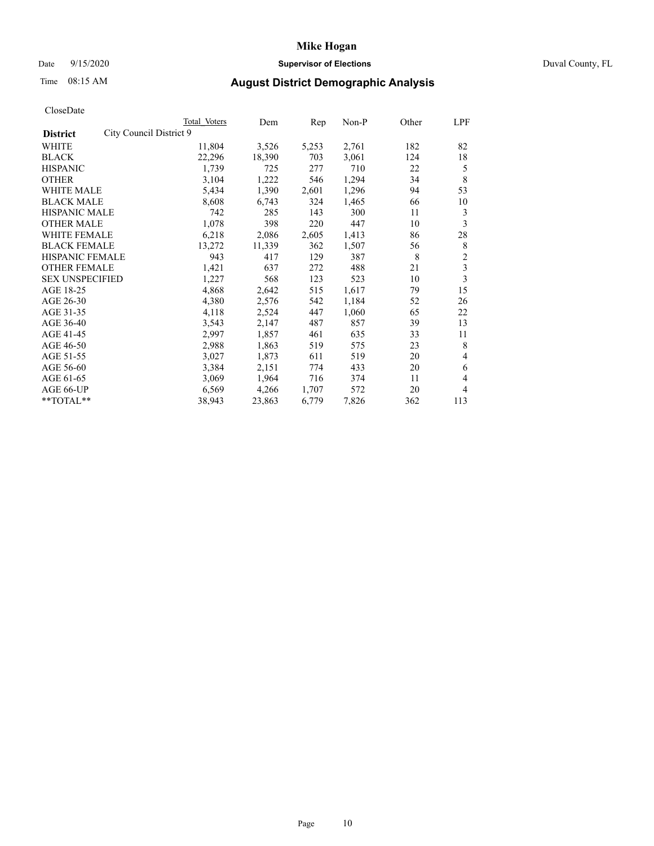## Date 9/15/2020 **Supervisor of Elections** Duval County, FL

# Time 08:15 AM **August District Demographic Analysis**

|                                            | Total Voters | Dem    | Rep   | Non-P | Other | LPF            |
|--------------------------------------------|--------------|--------|-------|-------|-------|----------------|
| City Council District 9<br><b>District</b> |              |        |       |       |       |                |
| WHITE                                      | 11,804       | 3,526  | 5,253 | 2,761 | 182   | 82             |
| <b>BLACK</b>                               | 22,296       | 18,390 | 703   | 3,061 | 124   | 18             |
| <b>HISPANIC</b>                            | 1,739        | 725    | 277   | 710   | 22    | 5              |
| <b>OTHER</b>                               | 3,104        | 1,222  | 546   | 1,294 | 34    | 8              |
| <b>WHITE MALE</b>                          | 5,434        | 1,390  | 2,601 | 1,296 | 94    | 53             |
| <b>BLACK MALE</b>                          | 8,608        | 6,743  | 324   | 1,465 | 66    | 10             |
| <b>HISPANIC MALE</b>                       | 742          | 285    | 143   | 300   | 11    | 3              |
| <b>OTHER MALE</b>                          | 1,078        | 398    | 220   | 447   | 10    | 3              |
| <b>WHITE FEMALE</b>                        | 6,218        | 2,086  | 2,605 | 1,413 | 86    | 28             |
| <b>BLACK FEMALE</b>                        | 13,272       | 11,339 | 362   | 1,507 | 56    | 8              |
| <b>HISPANIC FEMALE</b>                     | 943          | 417    | 129   | 387   | 8     | $\mathfrak{2}$ |
| <b>OTHER FEMALE</b>                        | 1,421        | 637    | 272   | 488   | 21    | 3              |
| <b>SEX UNSPECIFIED</b>                     | 1,227        | 568    | 123   | 523   | 10    | 3              |
| AGE 18-25                                  | 4,868        | 2,642  | 515   | 1,617 | 79    | 15             |
| AGE 26-30                                  | 4,380        | 2,576  | 542   | 1,184 | 52    | 26             |
| AGE 31-35                                  | 4,118        | 2,524  | 447   | 1,060 | 65    | 22             |
| AGE 36-40                                  | 3,543        | 2,147  | 487   | 857   | 39    | 13             |
| AGE 41-45                                  | 2,997        | 1,857  | 461   | 635   | 33    | 11             |
| AGE 46-50                                  | 2,988        | 1,863  | 519   | 575   | 23    | 8              |
| AGE 51-55                                  | 3,027        | 1,873  | 611   | 519   | 20    | 4              |
| AGE 56-60                                  | 3,384        | 2,151  | 774   | 433   | 20    | 6              |
| AGE 61-65                                  | 3,069        | 1,964  | 716   | 374   | 11    | 4              |
| AGE 66-UP                                  | 6,569        | 4,266  | 1,707 | 572   | 20    | 4              |
| **TOTAL**                                  | 38,943       | 23,863 | 6,779 | 7,826 | 362   | 113            |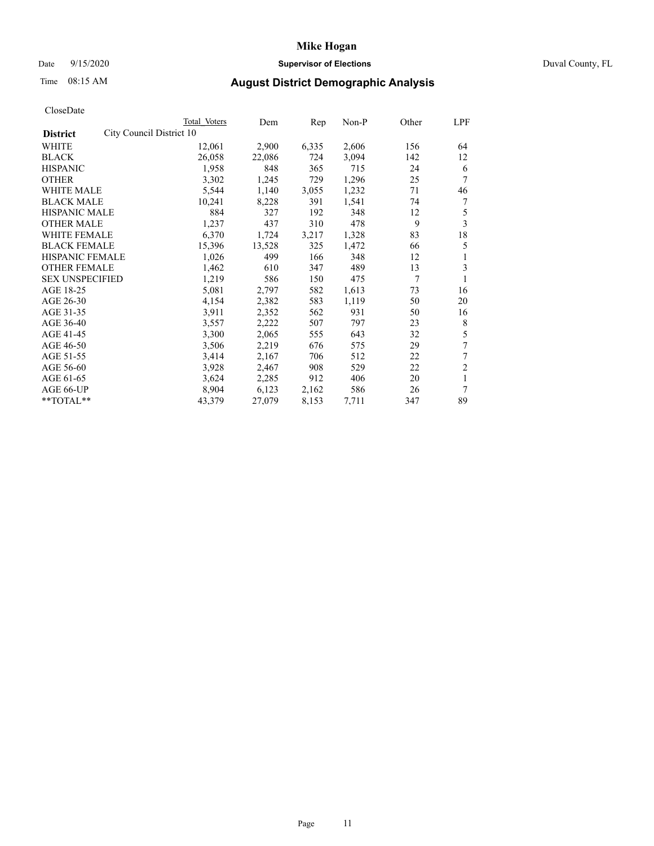## Date 9/15/2020 **Supervisor of Elections** Duval County, FL

# Time 08:15 AM **August District Demographic Analysis**

|                                             | Total Voters | Dem    | Rep   | Non-P | Other | LPF            |
|---------------------------------------------|--------------|--------|-------|-------|-------|----------------|
| City Council District 10<br><b>District</b> |              |        |       |       |       |                |
| WHITE                                       | 12,061       | 2,900  | 6,335 | 2,606 | 156   | 64             |
| <b>BLACK</b>                                | 26,058       | 22,086 | 724   | 3,094 | 142   | 12             |
| <b>HISPANIC</b>                             | 1,958        | 848    | 365   | 715   | 24    | 6              |
| <b>OTHER</b>                                | 3,302        | 1,245  | 729   | 1,296 | 25    | 7              |
| <b>WHITE MALE</b>                           | 5,544        | 1,140  | 3,055 | 1,232 | 71    | 46             |
| <b>BLACK MALE</b>                           | 10,241       | 8,228  | 391   | 1,541 | 74    | 7              |
| <b>HISPANIC MALE</b>                        | 884          | 327    | 192   | 348   | 12    | 5              |
| <b>OTHER MALE</b>                           | 1,237        | 437    | 310   | 478   | 9     | 3              |
| WHITE FEMALE                                | 6,370        | 1,724  | 3,217 | 1,328 | 83    | 18             |
| <b>BLACK FEMALE</b>                         | 15,396       | 13,528 | 325   | 1,472 | 66    | 5              |
| <b>HISPANIC FEMALE</b>                      | 1,026        | 499    | 166   | 348   | 12    | 1              |
| <b>OTHER FEMALE</b>                         | 1,462        | 610    | 347   | 489   | 13    | 3              |
| <b>SEX UNSPECIFIED</b>                      | 1,219        | 586    | 150   | 475   | 7     | 1              |
| AGE 18-25                                   | 5,081        | 2,797  | 582   | 1,613 | 73    | 16             |
| AGE 26-30                                   | 4,154        | 2,382  | 583   | 1,119 | 50    | 20             |
| AGE 31-35                                   | 3,911        | 2,352  | 562   | 931   | 50    | 16             |
| AGE 36-40                                   | 3,557        | 2,222  | 507   | 797   | 23    | 8              |
| AGE 41-45                                   | 3,300        | 2,065  | 555   | 643   | 32    | 5              |
| AGE 46-50                                   | 3,506        | 2,219  | 676   | 575   | 29    | 7              |
| AGE 51-55                                   | 3,414        | 2,167  | 706   | 512   | 22    | 7              |
| AGE 56-60                                   | 3,928        | 2,467  | 908   | 529   | 22    | $\overline{c}$ |
| AGE 61-65                                   | 3,624        | 2,285  | 912   | 406   | 20    | 1              |
| AGE 66-UP                                   | 8,904        | 6,123  | 2,162 | 586   | 26    | 7              |
| **TOTAL**                                   | 43,379       | 27,079 | 8,153 | 7,711 | 347   | 89             |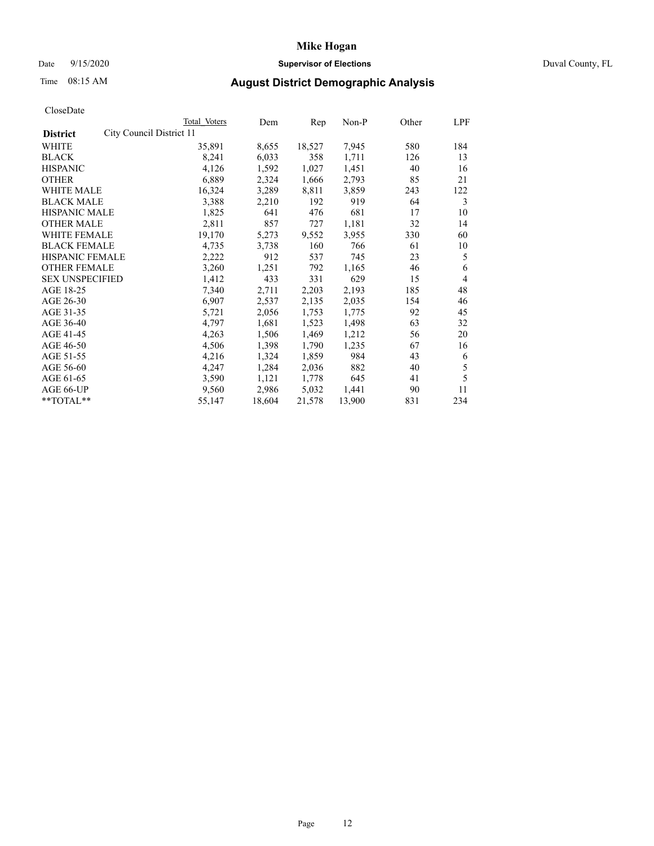## Date 9/15/2020 **Supervisor of Elections** Duval County, FL

# Time 08:15 AM **August District Demographic Analysis**

| Total Voters | Dem                      | Rep    | Non-P  | Other | LPF |
|--------------|--------------------------|--------|--------|-------|-----|
|              |                          |        |        |       |     |
| 35,891       | 8,655                    | 18,527 | 7,945  | 580   | 184 |
| 8,241        | 6,033                    | 358    | 1,711  | 126   | 13  |
| 4,126        | 1,592                    | 1,027  | 1,451  | 40    | 16  |
| 6,889        | 2,324                    | 1,666  | 2,793  | 85    | 21  |
| 16,324       | 3,289                    | 8,811  | 3,859  | 243   | 122 |
| 3,388        | 2,210                    | 192    | 919    | 64    | 3   |
| 1,825        | 641                      | 476    | 681    | 17    | 10  |
| 2,811        | 857                      | 727    | 1,181  | 32    | 14  |
| 19,170       | 5,273                    | 9,552  | 3,955  | 330   | 60  |
| 4,735        | 3,738                    | 160    | 766    | 61    | 10  |
| 2,222        | 912                      | 537    | 745    | 23    | 5   |
| 3,260        | 1,251                    | 792    | 1,165  | 46    | 6   |
| 1,412        | 433                      | 331    | 629    | 15    | 4   |
| 7,340        | 2,711                    | 2,203  | 2,193  | 185   | 48  |
| 6,907        | 2,537                    | 2,135  | 2,035  | 154   | 46  |
| 5,721        | 2,056                    | 1,753  | 1,775  | 92    | 45  |
| 4,797        | 1,681                    | 1,523  | 1,498  | 63    | 32  |
| 4,263        | 1,506                    | 1,469  | 1,212  | 56    | 20  |
| 4,506        | 1,398                    | 1,790  | 1,235  | 67    | 16  |
| 4,216        | 1,324                    | 1,859  | 984    | 43    | 6   |
| 4,247        | 1,284                    | 2,036  | 882    | 40    | 5   |
| 3,590        | 1,121                    | 1,778  | 645    | 41    | 5   |
| 9,560        | 2,986                    | 5,032  | 1,441  | 90    | 11  |
| 55,147       | 18,604                   | 21,578 | 13,900 | 831   | 234 |
|              | City Council District 11 |        |        |       |     |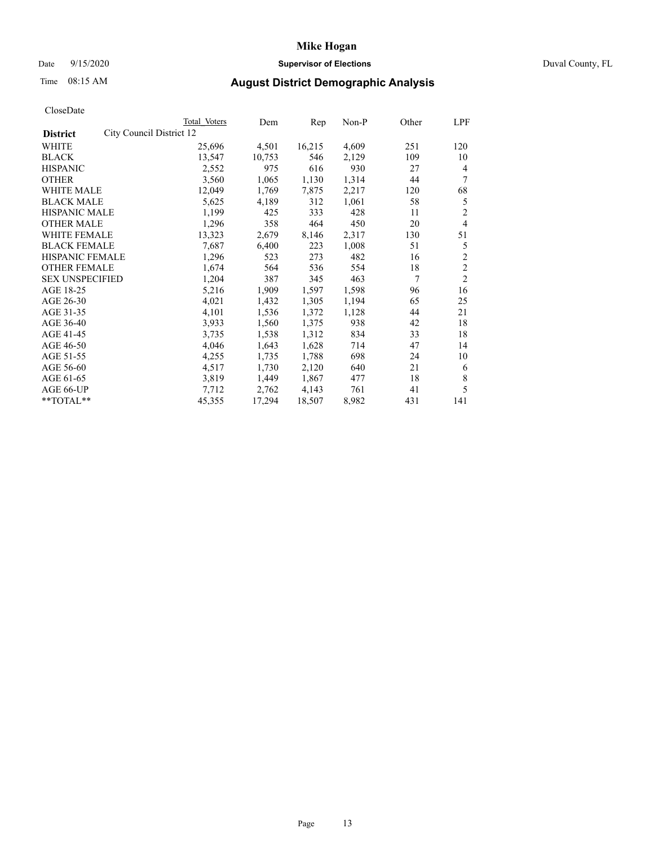## Date 9/15/2020 **Supervisor of Elections** Duval County, FL

# Time 08:15 AM **August District Demographic Analysis**

|                                             | Total Voters | Dem    | Rep    | Non-P | Other | LPF            |
|---------------------------------------------|--------------|--------|--------|-------|-------|----------------|
| City Council District 12<br><b>District</b> |              |        |        |       |       |                |
| WHITE                                       | 25,696       | 4,501  | 16,215 | 4,609 | 251   | 120            |
| <b>BLACK</b>                                | 13,547       | 10,753 | 546    | 2,129 | 109   | 10             |
| <b>HISPANIC</b>                             | 2,552        | 975    | 616    | 930   | 27    | $\overline{4}$ |
| <b>OTHER</b>                                | 3,560        | 1,065  | 1,130  | 1,314 | 44    | 7              |
| <b>WHITE MALE</b>                           | 12,049       | 1,769  | 7,875  | 2,217 | 120   | 68             |
| <b>BLACK MALE</b>                           | 5,625        | 4,189  | 312    | 1,061 | 58    | 5              |
| <b>HISPANIC MALE</b>                        | 1,199        | 425    | 333    | 428   | 11    | $\overline{c}$ |
| <b>OTHER MALE</b>                           | 1,296        | 358    | 464    | 450   | 20    | $\overline{4}$ |
| WHITE FEMALE                                | 13,323       | 2,679  | 8,146  | 2,317 | 130   | 51             |
| <b>BLACK FEMALE</b>                         | 7,687        | 6,400  | 223    | 1,008 | 51    | 5              |
| <b>HISPANIC FEMALE</b>                      | 1,296        | 523    | 273    | 482   | 16    | $\overline{c}$ |
| <b>OTHER FEMALE</b>                         | 1,674        | 564    | 536    | 554   | 18    | $\overline{2}$ |
| <b>SEX UNSPECIFIED</b>                      | 1,204        | 387    | 345    | 463   | 7     | $\overline{2}$ |
| AGE 18-25                                   | 5,216        | 1,909  | 1,597  | 1,598 | 96    | 16             |
| AGE 26-30                                   | 4,021        | 1,432  | 1,305  | 1,194 | 65    | 25             |
| AGE 31-35                                   | 4,101        | 1,536  | 1,372  | 1,128 | 44    | 21             |
| AGE 36-40                                   | 3,933        | 1,560  | 1,375  | 938   | 42    | 18             |
| AGE 41-45                                   | 3,735        | 1,538  | 1,312  | 834   | 33    | 18             |
| AGE 46-50                                   | 4,046        | 1,643  | 1,628  | 714   | 47    | 14             |
| AGE 51-55                                   | 4,255        | 1,735  | 1,788  | 698   | 24    | 10             |
| AGE 56-60                                   | 4,517        | 1,730  | 2,120  | 640   | 21    | 6              |
| AGE 61-65                                   | 3,819        | 1,449  | 1,867  | 477   | 18    | 8              |
| AGE 66-UP                                   | 7,712        | 2,762  | 4,143  | 761   | 41    | 5              |
| **TOTAL**                                   | 45,355       | 17,294 | 18,507 | 8,982 | 431   | 141            |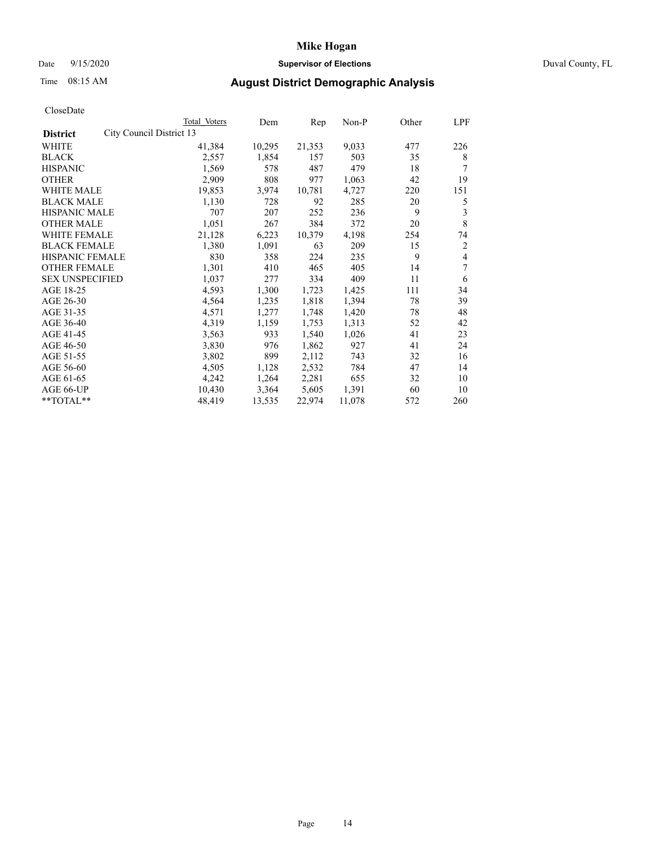## Date 9/15/2020 **Supervisor of Elections** Duval County, FL

# Time 08:15 AM **August District Demographic Analysis**

|                        |                          | Total Voters | Dem    | Rep    | Non-P  | Other | LPF |
|------------------------|--------------------------|--------------|--------|--------|--------|-------|-----|
| <b>District</b>        | City Council District 13 |              |        |        |        |       |     |
| WHITE                  |                          | 41,384       | 10,295 | 21,353 | 9,033  | 477   | 226 |
| <b>BLACK</b>           |                          | 2,557        | 1,854  | 157    | 503    | 35    | 8   |
| <b>HISPANIC</b>        |                          | 1,569        | 578    | 487    | 479    | 18    | 7   |
| <b>OTHER</b>           |                          | 2,909        | 808    | 977    | 1,063  | 42    | 19  |
| <b>WHITE MALE</b>      |                          | 19,853       | 3,974  | 10,781 | 4,727  | 220   | 151 |
| <b>BLACK MALE</b>      |                          | 1,130        | 728    | 92     | 285    | 20    | 5   |
| <b>HISPANIC MALE</b>   |                          | 707          | 207    | 252    | 236    | 9     | 3   |
| <b>OTHER MALE</b>      |                          | 1,051        | 267    | 384    | 372    | 20    | 8   |
| WHITE FEMALE           |                          | 21,128       | 6,223  | 10,379 | 4,198  | 254   | 74  |
| <b>BLACK FEMALE</b>    |                          | 1,380        | 1,091  | 63     | 209    | 15    | 2   |
| HISPANIC FEMALE        |                          | 830          | 358    | 224    | 235    | 9     | 4   |
| <b>OTHER FEMALE</b>    |                          | 1,301        | 410    | 465    | 405    | 14    | 7   |
| <b>SEX UNSPECIFIED</b> |                          | 1,037        | 277    | 334    | 409    | 11    | 6   |
| AGE 18-25              |                          | 4,593        | 1,300  | 1,723  | 1,425  | 111   | 34  |
| AGE 26-30              |                          | 4,564        | 1,235  | 1,818  | 1,394  | 78    | 39  |
| AGE 31-35              |                          | 4,571        | 1,277  | 1,748  | 1,420  | 78    | 48  |
| AGE 36-40              |                          | 4,319        | 1,159  | 1,753  | 1,313  | 52    | 42  |
| AGE 41-45              |                          | 3,563        | 933    | 1,540  | 1,026  | 41    | 23  |
| AGE 46-50              |                          | 3,830        | 976    | 1,862  | 927    | 41    | 24  |
| AGE 51-55              |                          | 3,802        | 899    | 2,112  | 743    | 32    | 16  |
| AGE 56-60              |                          | 4,505        | 1,128  | 2,532  | 784    | 47    | 14  |
| AGE 61-65              |                          | 4,242        | 1,264  | 2,281  | 655    | 32    | 10  |
| AGE 66-UP              |                          | 10,430       | 3,364  | 5,605  | 1,391  | 60    | 10  |
| **TOTAL**              |                          | 48,419       | 13,535 | 22,974 | 11,078 | 572   | 260 |
|                        |                          |              |        |        |        |       |     |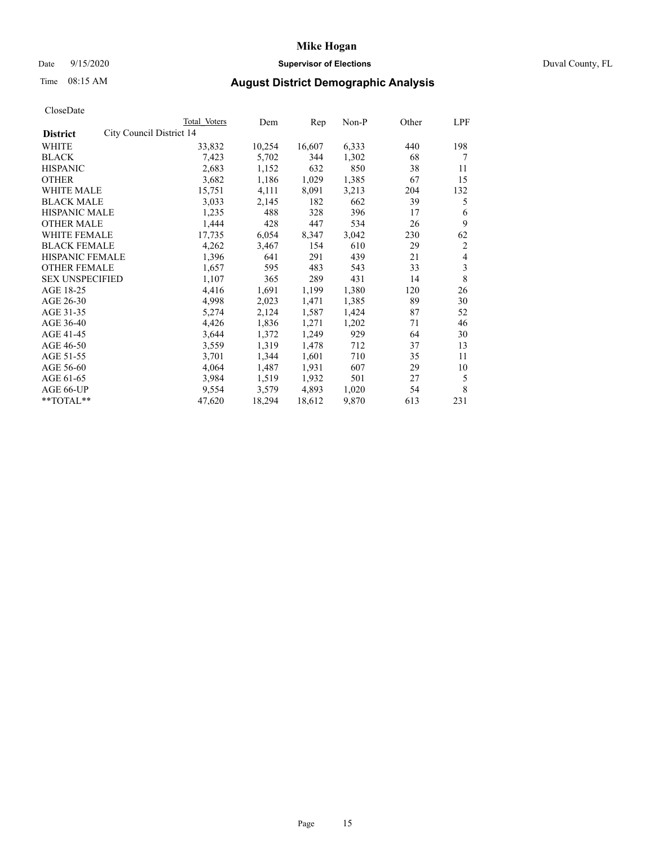## Date 9/15/2020 **Supervisor of Elections** Duval County, FL

# Time 08:15 AM **August District Demographic Analysis**

| Total Voters | Dem                                                                   | Rep    | Non-P |     | LPF            |
|--------------|-----------------------------------------------------------------------|--------|-------|-----|----------------|
|              |                                                                       |        |       |     |                |
| 33,832       | 10,254                                                                | 16,607 | 6,333 | 440 | 198            |
| 7,423        | 5,702                                                                 | 344    | 1,302 | 68  | 7              |
| 2,683        | 1,152                                                                 | 632    | 850   | 38  | 11             |
| 3,682        | 1,186                                                                 | 1,029  | 1,385 | 67  | 15             |
| 15,751       | 4,111                                                                 | 8,091  | 3,213 | 204 | 132            |
| 3,033        | 2,145                                                                 | 182    | 662   | 39  | 5              |
| 1,235        | 488                                                                   | 328    | 396   | 17  | 6              |
| 1,444        | 428                                                                   | 447    | 534   | 26  | 9              |
| 17,735       | 6,054                                                                 | 8,347  | 3,042 | 230 | 62             |
| 4,262        | 3,467                                                                 | 154    | 610   | 29  | $\overline{2}$ |
| 1,396        | 641                                                                   | 291    | 439   | 21  | 4              |
| 1,657        | 595                                                                   | 483    | 543   | 33  | 3              |
| 1,107        | 365                                                                   | 289    | 431   | 14  | 8              |
| 4,416        | 1,691                                                                 | 1,199  | 1,380 | 120 | 26             |
| 4,998        | 2,023                                                                 | 1,471  | 1,385 | 89  | 30             |
| 5,274        | 2,124                                                                 | 1,587  | 1,424 | 87  | 52             |
| 4,426        | 1,836                                                                 | 1,271  | 1,202 | 71  | 46             |
| 3,644        | 1,372                                                                 | 1,249  | 929   | 64  | 30             |
| 3,559        | 1,319                                                                 | 1,478  | 712   | 37  | 13             |
| 3,701        | 1,344                                                                 | 1,601  | 710   | 35  | 11             |
| 4,064        | 1,487                                                                 | 1,931  | 607   | 29  | 10             |
| 3,984        | 1,519                                                                 | 1,932  | 501   | 27  | 5              |
| 9,554        | 3,579                                                                 | 4,893  | 1,020 | 54  | 8              |
| 47,620       | 18,294                                                                | 18,612 | 9,870 | 613 | 231            |
|              | City Council District 14<br>HISPANIC FEMALE<br><b>SEX UNSPECIFIED</b> |        |       |     | Other          |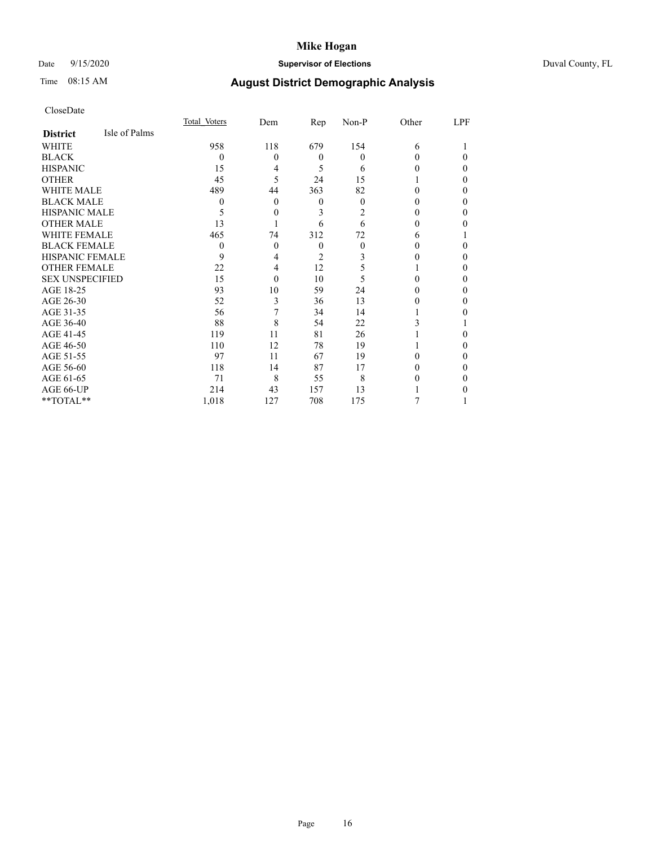## Date 9/15/2020 **Supervisor of Elections** Duval County, FL

# Time 08:15 AM **August District Demographic Analysis**

|                        |               | Total Voters | Dem            | Rep            | Non-P    | Other  | LPF          |
|------------------------|---------------|--------------|----------------|----------------|----------|--------|--------------|
| <b>District</b>        | Isle of Palms |              |                |                |          |        |              |
| WHITE                  |               | 958          | 118            | 679            | 154      | 6      |              |
| <b>BLACK</b>           |               | $\Omega$     | $\Omega$       | $\theta$       | $\theta$ | 0      | $\Omega$     |
| <b>HISPANIC</b>        |               | 15           | 4              | 5              | 6        | 0      | $\theta$     |
| <b>OTHER</b>           |               | 45           | 5              | 24             | 15       |        | $\Omega$     |
| <b>WHITE MALE</b>      |               | 489          | 44             | 363            | 82       | 0      | $\Omega$     |
| <b>BLACK MALE</b>      |               | $\theta$     | $\overline{0}$ | $\theta$       | $\Omega$ | 0      | $\mathbf{0}$ |
| <b>HISPANIC MALE</b>   |               | 5            | 0              | 3              | 2        | 0      | $\Omega$     |
| <b>OTHER MALE</b>      |               | 13           |                | 6              | 6        | 0      | 0            |
| <b>WHITE FEMALE</b>    |               | 465          | 74             | 312            | 72       | 6      |              |
| <b>BLACK FEMALE</b>    |               | $\theta$     | $\Omega$       | $\theta$       | $\Omega$ | $_{0}$ | $\Omega$     |
| <b>HISPANIC FEMALE</b> |               | 9            | 4              | $\overline{2}$ | 3        |        | $\theta$     |
| <b>OTHER FEMALE</b>    |               | 22           | 4              | 12             | 5        |        | $\Omega$     |
| <b>SEX UNSPECIFIED</b> |               | 15           | $\theta$       | 10             | 5        | 0      | $\Omega$     |
| AGE 18-25              |               | 93           | 10             | 59             | 24       | 0      | $\Omega$     |
| AGE 26-30              |               | 52           | 3              | 36             | 13       | 0      | $\theta$     |
| AGE 31-35              |               | 56           |                | 34             | 14       |        | 0            |
| AGE 36-40              |               | 88           | 8              | 54             | 22       | 3      |              |
| AGE 41-45              |               | 119          | 11             | 81             | 26       |        | $\Omega$     |
| AGE 46-50              |               | 110          | 12             | 78             | 19       |        | $\Omega$     |
| AGE 51-55              |               | 97           | 11             | 67             | 19       | 0      | $\Omega$     |
| AGE 56-60              |               | 118          | 14             | 87             | 17       | 0      | $\theta$     |
| AGE 61-65              |               | 71           | 8              | 55             | 8        | 0      | $\theta$     |
| AGE 66-UP              |               | 214          | 43             | 157            | 13       |        | 0            |
| **TOTAL**              |               | 1,018        | 127            | 708            | 175      |        |              |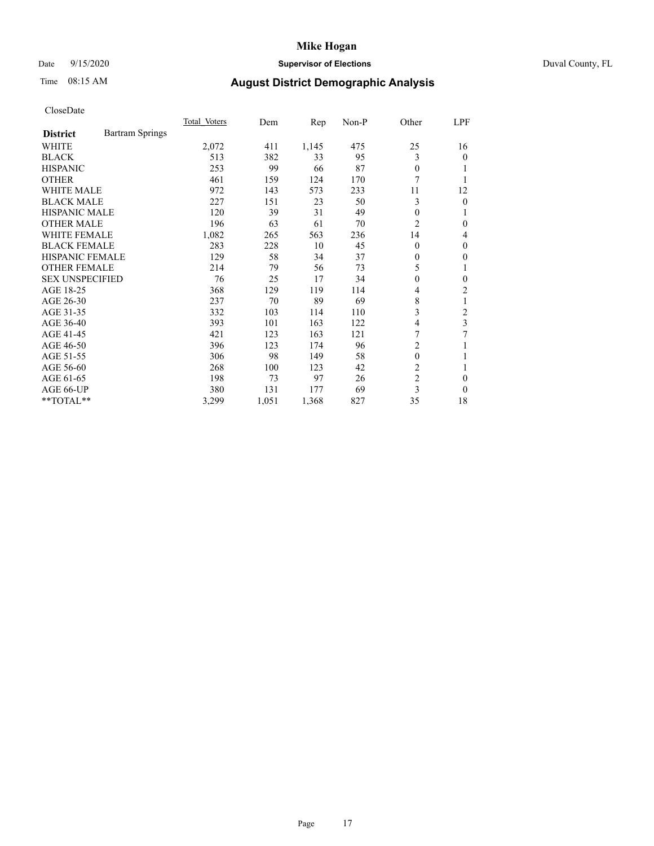## Date 9/15/2020 **Supervisor of Elections** Duval County, FL

# Time 08:15 AM **August District Demographic Analysis**

|                        |                        | Total Voters | Dem   | Rep   | $Non-P$ | Other          | LPF      |
|------------------------|------------------------|--------------|-------|-------|---------|----------------|----------|
| <b>District</b>        | <b>Bartram Springs</b> |              |       |       |         |                |          |
| WHITE                  |                        | 2,072        | 411   | 1,145 | 475     | 25             | 16       |
| <b>BLACK</b>           |                        | 513          | 382   | 33    | 95      | 3              | 0        |
| <b>HISPANIC</b>        |                        | 253          | 99    | 66    | 87      | $\theta$       |          |
| <b>OTHER</b>           |                        | 461          | 159   | 124   | 170     | 7              |          |
| <b>WHITE MALE</b>      |                        | 972          | 143   | 573   | 233     | 11             | 12       |
| <b>BLACK MALE</b>      |                        | 227          | 151   | 23    | 50      | 3              | 0        |
| <b>HISPANIC MALE</b>   |                        | 120          | 39    | 31    | 49      | $\theta$       |          |
| <b>OTHER MALE</b>      |                        | 196          | 63    | 61    | 70      | 2              | 0        |
| WHITE FEMALE           |                        | 1,082        | 265   | 563   | 236     | 14             | 4        |
| <b>BLACK FEMALE</b>    |                        | 283          | 228   | 10    | 45      | $\theta$       | 0        |
| <b>HISPANIC FEMALE</b> |                        | 129          | 58    | 34    | 37      | $\Omega$       | 0        |
| <b>OTHER FEMALE</b>    |                        | 214          | 79    | 56    | 73      | 5              | 1        |
| <b>SEX UNSPECIFIED</b> |                        | 76           | 25    | 17    | 34      | $\mathbf{0}$   | 0        |
| AGE 18-25              |                        | 368          | 129   | 119   | 114     | 4              | 2        |
| AGE 26-30              |                        | 237          | 70    | 89    | 69      | 8              | 1        |
| AGE 31-35              |                        | 332          | 103   | 114   | 110     | 3              | 2        |
| AGE 36-40              |                        | 393          | 101   | 163   | 122     | 4              | 3        |
| AGE 41-45              |                        | 421          | 123   | 163   | 121     | 7              | 7        |
| AGE 46-50              |                        | 396          | 123   | 174   | 96      | $\overline{c}$ |          |
| AGE 51-55              |                        | 306          | 98    | 149   | 58      | $\mathbf{0}$   |          |
| AGE 56-60              |                        | 268          | 100   | 123   | 42      | $\overline{2}$ | 1        |
| AGE 61-65              |                        | 198          | 73    | 97    | 26      | $\overline{c}$ | 0        |
| AGE 66-UP              |                        | 380          | 131   | 177   | 69      | 3              | $\Omega$ |
| **TOTAL**              |                        | 3,299        | 1,051 | 1,368 | 827     | 35             | 18       |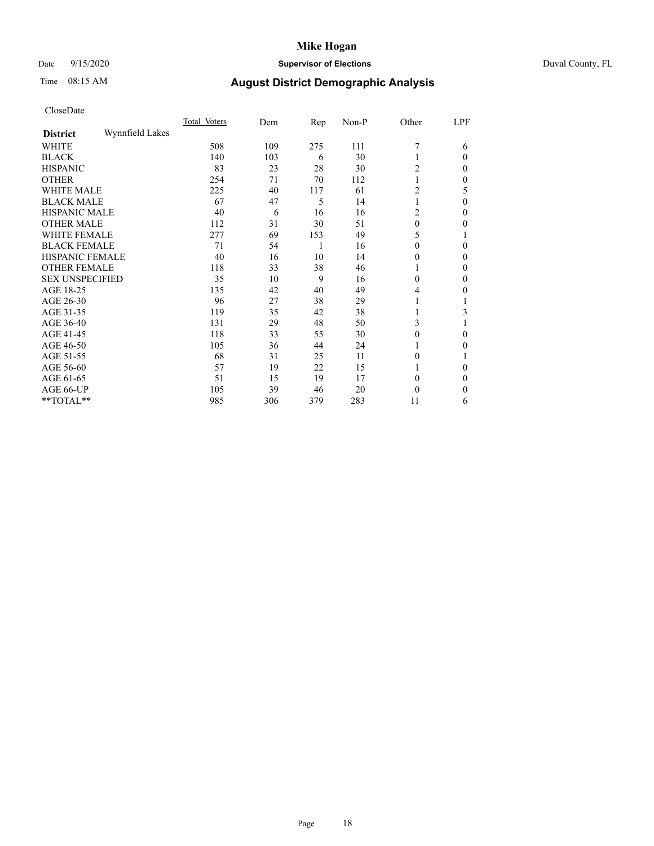## Date 9/15/2020 **Supervisor of Elections** Duval County, FL

# Time 08:15 AM **August District Demographic Analysis**

|                        |                 | Total Voters | Dem | Rep | Non-P | Other        | LPF      |
|------------------------|-----------------|--------------|-----|-----|-------|--------------|----------|
| <b>District</b>        | Wynnfield Lakes |              |     |     |       |              |          |
| WHITE                  |                 | 508          | 109 | 275 | 111   | 7            | 6        |
| <b>BLACK</b>           |                 | 140          | 103 | 6   | 30    |              | $\Omega$ |
| <b>HISPANIC</b>        |                 | 83           | 23  | 28  | 30    | 2            | $\Omega$ |
| <b>OTHER</b>           |                 | 254          | 71  | 70  | 112   |              | $\Omega$ |
| WHITE MALE             |                 | 225          | 40  | 117 | 61    | 2            | 5        |
| <b>BLACK MALE</b>      |                 | 67           | 47  | 5   | 14    |              | $\Omega$ |
| HISPANIC MALE          |                 | 40           | 6   | 16  | 16    | 2            | 0        |
| <b>OTHER MALE</b>      |                 | 112          | 31  | 30  | 51    | $\mathbf{0}$ | 0        |
| WHITE FEMALE           |                 | 277          | 69  | 153 | 49    | 5            |          |
| <b>BLACK FEMALE</b>    |                 | 71           | 54  | 1   | 16    | $\theta$     | $\Omega$ |
| <b>HISPANIC FEMALE</b> |                 | 40           | 16  | 10  | 14    | $\theta$     | $\Omega$ |
| <b>OTHER FEMALE</b>    |                 | 118          | 33  | 38  | 46    | 1            | $\Omega$ |
| <b>SEX UNSPECIFIED</b> |                 | 35           | 10  | 9   | 16    | $\theta$     | $\Omega$ |
| AGE 18-25              |                 | 135          | 42  | 40  | 49    | 4            | 0        |
| AGE 26-30              |                 | 96           | 27  | 38  | 29    | 1            |          |
| AGE 31-35              |                 | 119          | 35  | 42  | 38    |              | 3        |
| AGE 36-40              |                 | 131          | 29  | 48  | 50    | 3            |          |
| AGE 41-45              |                 | 118          | 33  | 55  | 30    | 0            | 0        |
| AGE 46-50              |                 | 105          | 36  | 44  | 24    | 1            | $\Omega$ |
| AGE 51-55              |                 | 68           | 31  | 25  | 11    | $\theta$     |          |
| AGE 56-60              |                 | 57           | 19  | 22  | 15    |              | 0        |
| AGE 61-65              |                 | 51           | 15  | 19  | 17    | $\theta$     | $\Omega$ |
| AGE 66-UP              |                 | 105          | 39  | 46  | 20    | $\theta$     | 0        |
| **TOTAL**              |                 | 985          | 306 | 379 | 283   | 11           | 6        |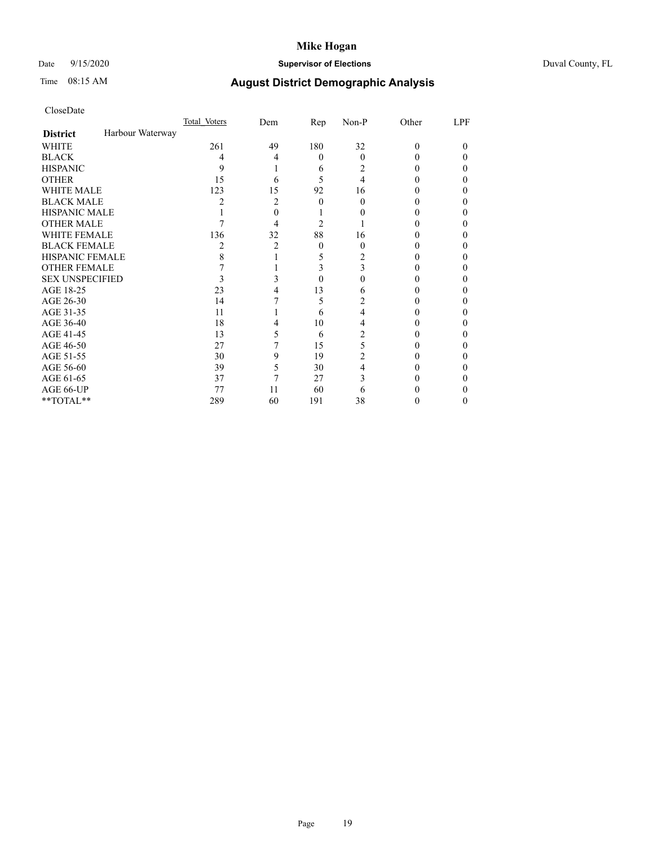## Date 9/15/2020 **Supervisor of Elections** Duval County, FL

# Time 08:15 AM **August District Demographic Analysis**

|                        |                  | Total Voters   | Dem | Rep      | Non-P          | Other    | LPF |
|------------------------|------------------|----------------|-----|----------|----------------|----------|-----|
| <b>District</b>        | Harbour Waterway |                |     |          |                |          |     |
| WHITE                  |                  | 261            | 49  | 180      | 32             | $\Omega$ | 0   |
| <b>BLACK</b>           |                  | 4              | 4   | $\theta$ | $\theta$       | 0        | 0   |
| <b>HISPANIC</b>        |                  | 9              |     | 6        | 2              | 0        | 0   |
| <b>OTHER</b>           |                  | 15             | 6   | 5        | 4              |          |     |
| WHITE MALE             |                  | 123            | 15  | 92       | 16             |          |     |
| <b>BLACK MALE</b>      |                  | $\mathfrak{D}$ | 2   | 0        | 0              |          |     |
| <b>HISPANIC MALE</b>   |                  |                | 0   |          |                |          |     |
| <b>OTHER MALE</b>      |                  |                | 4   | 2        |                |          | 0   |
| WHITE FEMALE           |                  | 136            | 32  | 88       | 16             |          |     |
| <b>BLACK FEMALE</b>    |                  | 2              | 2   | $\theta$ | 0              |          | 0   |
| <b>HISPANIC FEMALE</b> |                  | 8              |     | 5        |                |          |     |
| <b>OTHER FEMALE</b>    |                  |                |     | 3        | 3              |          |     |
| <b>SEX UNSPECIFIED</b> |                  | 3              |     | 0        |                |          |     |
| AGE 18-25              |                  | 23             |     | 13       | 6              |          |     |
| AGE 26-30              |                  | 14             |     | 5        | 2              |          | 0   |
| AGE 31-35              |                  | 11             |     | 6        | 4              |          |     |
| AGE 36-40              |                  | 18             | 4   | 10       | 4              |          | 0   |
| AGE 41-45              |                  | 13             | 5   | 6        | 2              |          |     |
| AGE 46-50              |                  | 27             |     | 15       | 5              | 0        | 0   |
| AGE 51-55              |                  | 30             | 9   | 19       | $\overline{2}$ |          |     |
| AGE 56-60              |                  | 39             | 5   | 30       | 4              |          |     |
| AGE 61-65              |                  | 37             | 7   | 27       | 3              |          |     |
| AGE 66-UP              |                  | 77             | 11  | 60       | 6              |          |     |
| **TOTAL**              |                  | 289            | 60  | 191      | 38             |          | 0   |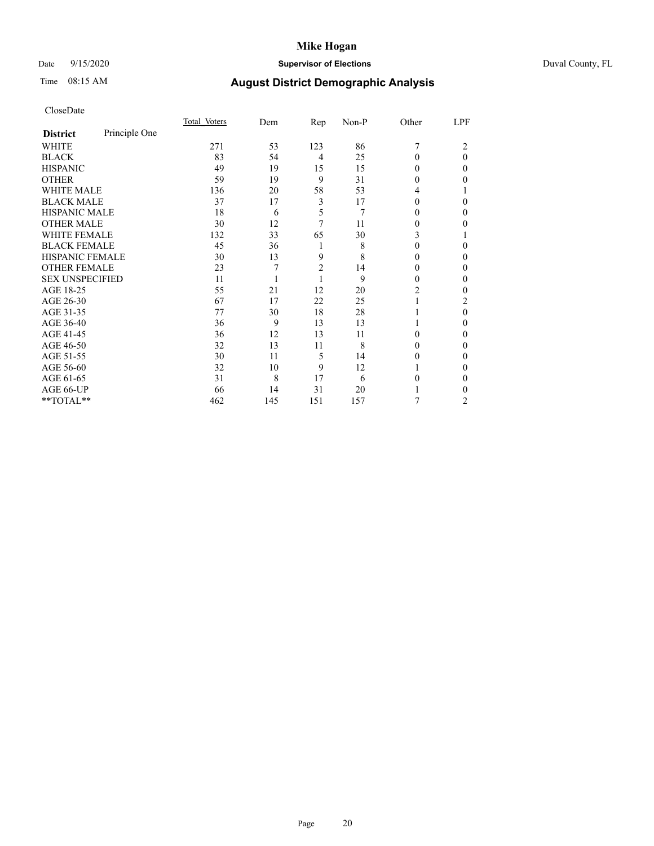## Date 9/15/2020 **Supervisor of Elections** Duval County, FL

# Time 08:15 AM **August District Demographic Analysis**

|                        |               | Total Voters | Dem | Rep            | Non-P | Other    | LPF |
|------------------------|---------------|--------------|-----|----------------|-------|----------|-----|
| <b>District</b>        | Principle One |              |     |                |       |          |     |
| WHITE                  |               | 271          | 53  | 123            | 86    | 7        | 2   |
| <b>BLACK</b>           |               | 83           | 54  | $\overline{4}$ | 25    | 0        | 0   |
| <b>HISPANIC</b>        |               | 49           | 19  | 15             | 15    | 0        | 0   |
| <b>OTHER</b>           |               | 59           | 19  | 9              | 31    | $\theta$ | 0   |
| <b>WHITE MALE</b>      |               | 136          | 20  | 58             | 53    | 4        |     |
| <b>BLACK MALE</b>      |               | 37           | 17  | 3              | 17    | 0        | 0   |
| <b>HISPANIC MALE</b>   |               | 18           | 6   | 5              | 7     | $_{0}$   | 0   |
| <b>OTHER MALE</b>      |               | 30           | 12  | 7              | 11    | 0        | 0   |
| <b>WHITE FEMALE</b>    |               | 132          | 33  | 65             | 30    | 3        |     |
| <b>BLACK FEMALE</b>    |               | 45           | 36  | 1              | 8     | 0        | 0   |
| <b>HISPANIC FEMALE</b> |               | 30           | 13  | 9              | 8     | $\theta$ | 0   |
| <b>OTHER FEMALE</b>    |               | 23           | 7   | $\overline{2}$ | 14    | $\theta$ | 0   |
| <b>SEX UNSPECIFIED</b> |               | 11           |     | 1              | 9     | 0        | 0   |
| AGE 18-25              |               | 55           | 21  | 12             | 20    | 2        | 0   |
| AGE 26-30              |               | 67           | 17  | 22             | 25    |          | 2   |
| AGE 31-35              |               | 77           | 30  | 18             | 28    |          | 0   |
| AGE 36-40              |               | 36           | 9   | 13             | 13    |          | 0   |
| AGE 41-45              |               | 36           | 12  | 13             | 11    | 0        | 0   |
| AGE 46-50              |               | 32           | 13  | 11             | 8     | 0        | 0   |
| AGE 51-55              |               | 30           | 11  | 5              | 14    | $\theta$ | 0   |
| AGE 56-60              |               | 32           | 10  | 9              | 12    |          | 0   |
| AGE 61-65              |               | 31           | 8   | 17             | 6     | 0        | 0   |
| AGE 66-UP              |               | 66           | 14  | 31             | 20    |          | 0   |
| **TOTAL**              |               | 462          | 145 | 151            | 157   | 7        | 2   |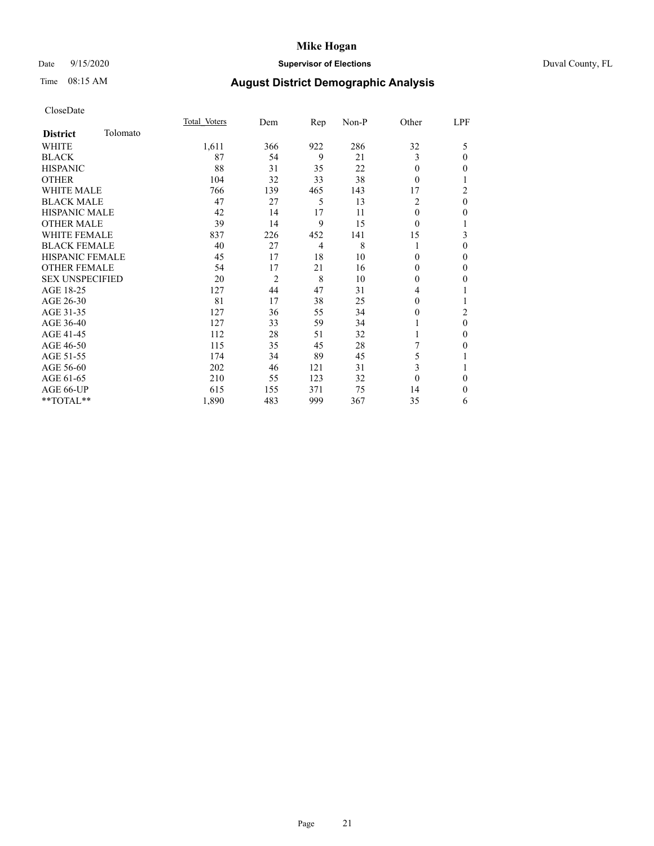## Date 9/15/2020 **Supervisor of Elections** Duval County, FL

# Time 08:15 AM **August District Demographic Analysis**

|                        |          | Total Voters | Dem            | Rep | Non-P | Other        | LPF            |
|------------------------|----------|--------------|----------------|-----|-------|--------------|----------------|
| <b>District</b>        | Tolomato |              |                |     |       |              |                |
| WHITE                  |          | 1,611        | 366            | 922 | 286   | 32           | 5              |
| <b>BLACK</b>           |          | 87           | 54             | 9   | 21    | 3            | $\theta$       |
| <b>HISPANIC</b>        |          | 88           | 31             | 35  | 22    | $\Omega$     | $\theta$       |
| <b>OTHER</b>           |          | 104          | 32             | 33  | 38    | $\theta$     | 1              |
| <b>WHITE MALE</b>      |          | 766          | 139            | 465 | 143   | 17           | $\overline{c}$ |
| <b>BLACK MALE</b>      |          | 47           | 27             | 5   | 13    | 2            | $\mathbf{0}$   |
| <b>HISPANIC MALE</b>   |          | 42           | 14             | 17  | 11    | $\Omega$     | $\mathbf{0}$   |
| <b>OTHER MALE</b>      |          | 39           | 14             | 9   | 15    | $\theta$     | 1              |
| <b>WHITE FEMALE</b>    |          | 837          | 226            | 452 | 141   | 15           | 3              |
| <b>BLACK FEMALE</b>    |          | 40           | 27             | 4   | 8     |              | $\theta$       |
| <b>HISPANIC FEMALE</b> |          | 45           | 17             | 18  | 10    | $\theta$     | $\theta$       |
| <b>OTHER FEMALE</b>    |          | 54           | 17             | 21  | 16    | 0            | $\mathbf{0}$   |
| <b>SEX UNSPECIFIED</b> |          | 20           | $\overline{2}$ | 8   | 10    | $\mathbf{0}$ | $\mathbf{0}$   |
| AGE 18-25              |          | 127          | 44             | 47  | 31    | 4            | 1              |
| AGE 26-30              |          | 81           | 17             | 38  | 25    | 0            | 1              |
| AGE 31-35              |          | 127          | 36             | 55  | 34    | 0            | $\overline{2}$ |
| AGE 36-40              |          | 127          | 33             | 59  | 34    |              | $\mathbf{0}$   |
| AGE 41-45              |          | 112          | 28             | 51  | 32    |              | $\theta$       |
| AGE 46-50              |          | 115          | 35             | 45  | 28    | 7            | $\mathbf{0}$   |
| AGE 51-55              |          | 174          | 34             | 89  | 45    | 5            | 1              |
| AGE 56-60              |          | 202          | 46             | 121 | 31    | 3            | 1              |
| AGE 61-65              |          | 210          | 55             | 123 | 32    | $\theta$     | $\theta$       |
| AGE 66-UP              |          | 615          | 155            | 371 | 75    | 14           | $\theta$       |
| **TOTAL**              |          | 1,890        | 483            | 999 | 367   | 35           | 6              |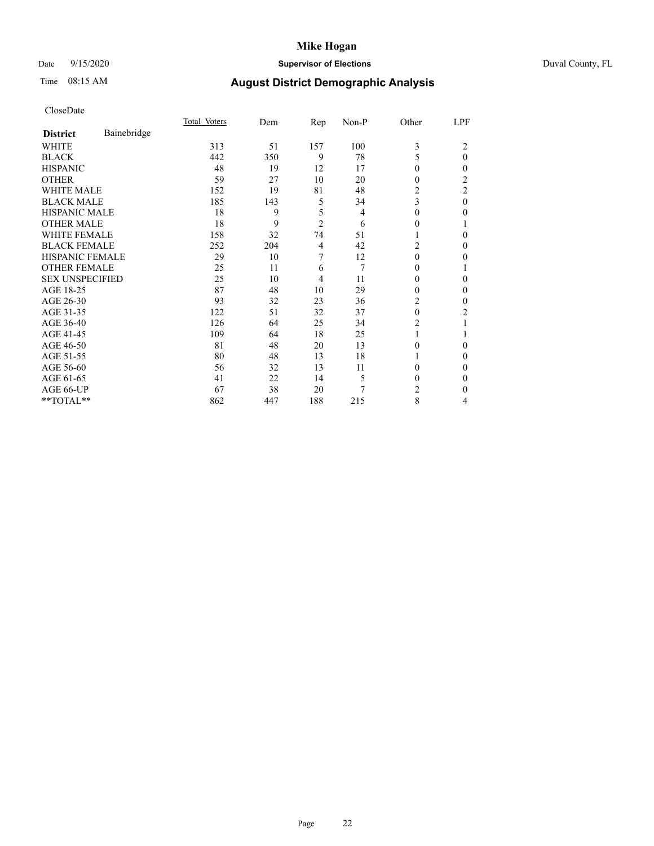## Date 9/15/2020 **Supervisor of Elections** Duval County, FL

# Time 08:15 AM **August District Demographic Analysis**

|                        |             | Total Voters | Dem | <u>Rep</u>     | Non-P | Other        | LPF            |
|------------------------|-------------|--------------|-----|----------------|-------|--------------|----------------|
| <b>District</b>        | Bainebridge |              |     |                |       |              |                |
| WHITE                  |             | 313          | 51  | 157            | 100   | 3            | 2              |
| <b>BLACK</b>           |             | 442          | 350 | 9              | 78    | 5            | $\theta$       |
| <b>HISPANIC</b>        |             | 48           | 19  | 12             | 17    | 0            | $\mathbf{0}$   |
| <b>OTHER</b>           |             | 59           | 27  | 10             | 20    | 0            | 2              |
| WHITE MALE             |             | 152          | 19  | 81             | 48    | 2            | $\overline{c}$ |
| <b>BLACK MALE</b>      |             | 185          | 143 | 5              | 34    | 3            | $\theta$       |
| <b>HISPANIC MALE</b>   |             | 18           | 9   | 5              | 4     | $\mathbf{0}$ | $\theta$       |
| <b>OTHER MALE</b>      |             | 18           | 9   | $\overline{c}$ | 6     | 0            | 1              |
| <b>WHITE FEMALE</b>    |             | 158          | 32  | 74             | 51    |              | 0              |
| <b>BLACK FEMALE</b>    |             | 252          | 204 | 4              | 42    | 2            | 0              |
| <b>HISPANIC FEMALE</b> |             | 29           | 10  | 7              | 12    | $\theta$     | 0              |
| <b>OTHER FEMALE</b>    |             | 25           | 11  | 6              | 7     | 0            | 1              |
| <b>SEX UNSPECIFIED</b> |             | 25           | 10  | 4              | 11    | 0            | 0              |
| AGE 18-25              |             | 87           | 48  | 10             | 29    | 0            | $\mathbf{0}$   |
| AGE 26-30              |             | 93           | 32  | 23             | 36    | 2            | $\mathbf{0}$   |
| AGE 31-35              |             | 122          | 51  | 32             | 37    | $\theta$     | 2              |
| AGE 36-40              |             | 126          | 64  | 25             | 34    | 2            |                |
| AGE 41-45              |             | 109          | 64  | 18             | 25    |              |                |
| AGE 46-50              |             | 81           | 48  | 20             | 13    | 0            | $\Omega$       |
| AGE 51-55              |             | 80           | 48  | 13             | 18    |              | $\Omega$       |
| AGE 56-60              |             | 56           | 32  | 13             | 11    | 0            | 0              |
| AGE 61-65              |             | 41           | 22  | 14             | 5     | 0            | $\theta$       |
| AGE 66-UP              |             | 67           | 38  | 20             | 7     | 2            | $\Omega$       |
| **TOTAL**              |             | 862          | 447 | 188            | 215   | 8            | 4              |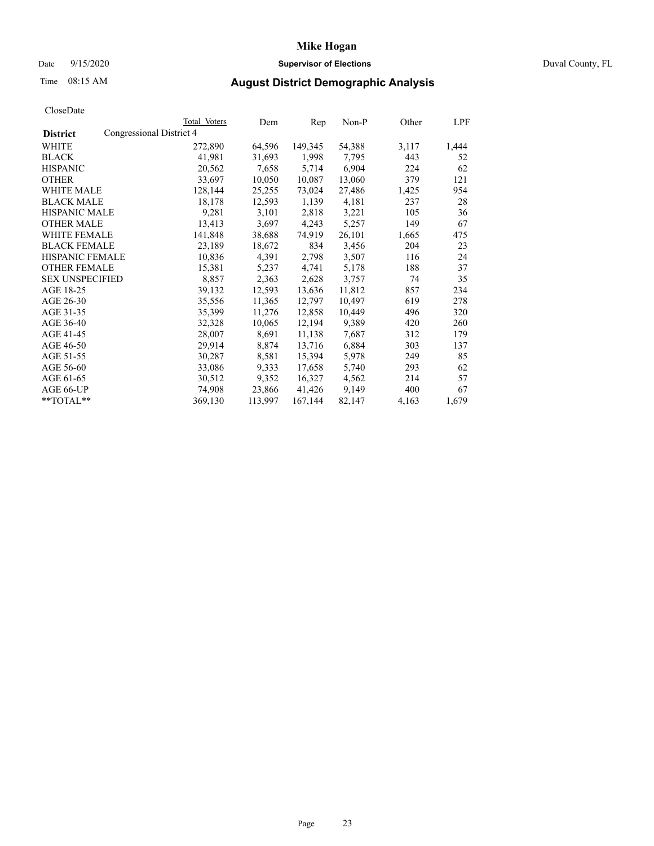## Date 9/15/2020 **Supervisor of Elections** Duval County, FL

# Time 08:15 AM **August District Demographic Analysis**

|                        | Total Voters             | Dem     | Rep     | Non-P  | Other | LPF   |
|------------------------|--------------------------|---------|---------|--------|-------|-------|
| <b>District</b>        | Congressional District 4 |         |         |        |       |       |
| WHITE                  | 272,890                  | 64,596  | 149,345 | 54,388 | 3,117 | 1,444 |
| <b>BLACK</b>           | 41,981                   | 31,693  | 1,998   | 7,795  | 443   | 52    |
| <b>HISPANIC</b>        | 20,562                   | 7,658   | 5,714   | 6,904  | 224   | 62    |
| <b>OTHER</b>           | 33,697                   | 10,050  | 10,087  | 13,060 | 379   | 121   |
| WHITE MALE             | 128,144                  | 25,255  | 73,024  | 27,486 | 1,425 | 954   |
| <b>BLACK MALE</b>      | 18,178                   | 12,593  | 1,139   | 4,181  | 237   | 28    |
| <b>HISPANIC MALE</b>   | 9,281                    | 3,101   | 2,818   | 3,221  | 105   | 36    |
| <b>OTHER MALE</b>      | 13,413                   | 3,697   | 4,243   | 5,257  | 149   | 67    |
| <b>WHITE FEMALE</b>    | 141,848                  | 38,688  | 74,919  | 26,101 | 1,665 | 475   |
| <b>BLACK FEMALE</b>    | 23,189                   | 18,672  | 834     | 3,456  | 204   | 23    |
| <b>HISPANIC FEMALE</b> | 10,836                   | 4,391   | 2,798   | 3,507  | 116   | 24    |
| <b>OTHER FEMALE</b>    | 15,381                   | 5,237   | 4,741   | 5,178  | 188   | 37    |
| <b>SEX UNSPECIFIED</b> | 8,857                    | 2,363   | 2,628   | 3,757  | 74    | 35    |
| AGE 18-25              | 39,132                   | 12,593  | 13,636  | 11,812 | 857   | 234   |
| AGE 26-30              | 35,556                   | 11,365  | 12,797  | 10,497 | 619   | 278   |
| AGE 31-35              | 35,399                   | 11,276  | 12,858  | 10,449 | 496   | 320   |
| AGE 36-40              | 32,328                   | 10,065  | 12,194  | 9,389  | 420   | 260   |
| AGE 41-45              | 28,007                   | 8,691   | 11,138  | 7,687  | 312   | 179   |
| AGE 46-50              | 29,914                   | 8,874   | 13,716  | 6,884  | 303   | 137   |
| AGE 51-55              | 30,287                   | 8,581   | 15,394  | 5,978  | 249   | 85    |
| AGE 56-60              | 33,086                   | 9,333   | 17,658  | 5,740  | 293   | 62    |
| AGE 61-65              | 30,512                   | 9,352   | 16,327  | 4,562  | 214   | 57    |
| AGE 66-UP              | 74,908                   | 23,866  | 41,426  | 9,149  | 400   | 67    |
| $*$ TOTAL $*$          | 369,130                  | 113,997 | 167,144 | 82,147 | 4,163 | 1,679 |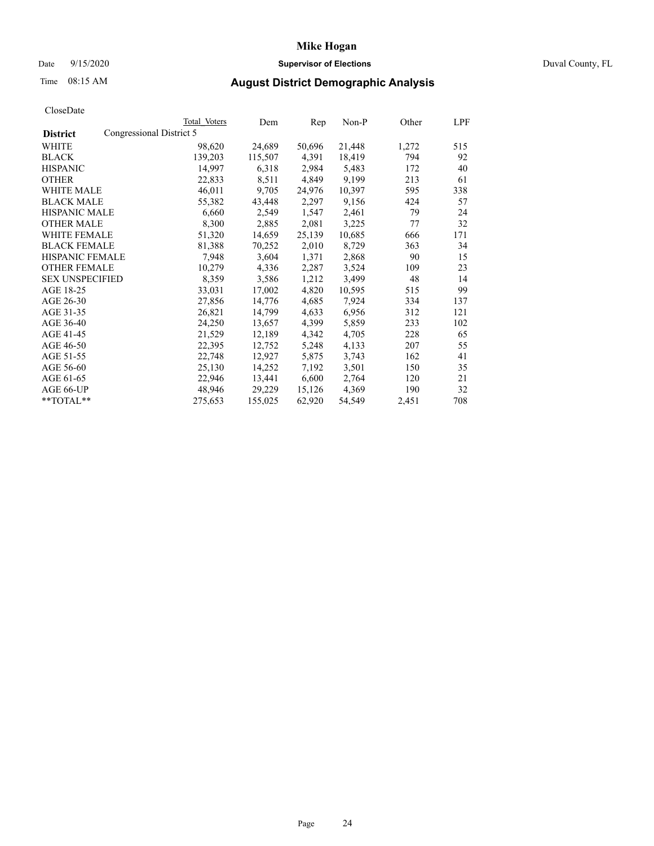## Date 9/15/2020 **Supervisor of Elections** Duval County, FL

# Time 08:15 AM **August District Demographic Analysis**

|                        | Total Voters             | Dem     | Rep    | $Non-P$ | Other | <b>LPF</b> |
|------------------------|--------------------------|---------|--------|---------|-------|------------|
| <b>District</b>        | Congressional District 5 |         |        |         |       |            |
| WHITE                  | 98,620                   | 24,689  | 50,696 | 21,448  | 1,272 | 515        |
| <b>BLACK</b>           | 139,203                  | 115,507 | 4,391  | 18,419  | 794   | 92         |
| <b>HISPANIC</b>        | 14,997                   | 6,318   | 2,984  | 5,483   | 172   | 40         |
| <b>OTHER</b>           | 22,833                   | 8,511   | 4,849  | 9,199   | 213   | 61         |
| WHITE MALE             | 46,011                   | 9,705   | 24,976 | 10,397  | 595   | 338        |
| <b>BLACK MALE</b>      | 55,382                   | 43,448  | 2,297  | 9,156   | 424   | 57         |
| <b>HISPANIC MALE</b>   | 6,660                    | 2,549   | 1,547  | 2,461   | 79    | 24         |
| <b>OTHER MALE</b>      | 8,300                    | 2,885   | 2,081  | 3,225   | 77    | 32         |
| <b>WHITE FEMALE</b>    | 51,320                   | 14,659  | 25,139 | 10,685  | 666   | 171        |
| <b>BLACK FEMALE</b>    | 81,388                   | 70,252  | 2,010  | 8,729   | 363   | 34         |
| HISPANIC FEMALE        | 7,948                    | 3,604   | 1,371  | 2,868   | 90    | 15         |
| <b>OTHER FEMALE</b>    | 10,279                   | 4,336   | 2,287  | 3,524   | 109   | 23         |
| <b>SEX UNSPECIFIED</b> | 8,359                    | 3,586   | 1,212  | 3,499   | 48    | 14         |
| AGE 18-25              | 33,031                   | 17,002  | 4,820  | 10,595  | 515   | 99         |
| AGE 26-30              | 27,856                   | 14,776  | 4,685  | 7,924   | 334   | 137        |
| AGE 31-35              | 26,821                   | 14,799  | 4,633  | 6,956   | 312   | 121        |
| AGE 36-40              | 24,250                   | 13,657  | 4,399  | 5,859   | 233   | 102        |
| AGE 41-45              | 21,529                   | 12,189  | 4,342  | 4,705   | 228   | 65         |
| AGE 46-50              | 22,395                   | 12,752  | 5,248  | 4,133   | 207   | 55         |
| AGE 51-55              | 22,748                   | 12,927  | 5,875  | 3,743   | 162   | 41         |
| AGE 56-60              | 25,130                   | 14,252  | 7,192  | 3,501   | 150   | 35         |
| AGE 61-65              | 22,946                   | 13,441  | 6,600  | 2,764   | 120   | 21         |
| AGE 66-UP              | 48,946                   | 29,229  | 15,126 | 4,369   | 190   | 32         |
| **TOTAL**              | 275,653                  | 155,025 | 62,920 | 54,549  | 2,451 | 708        |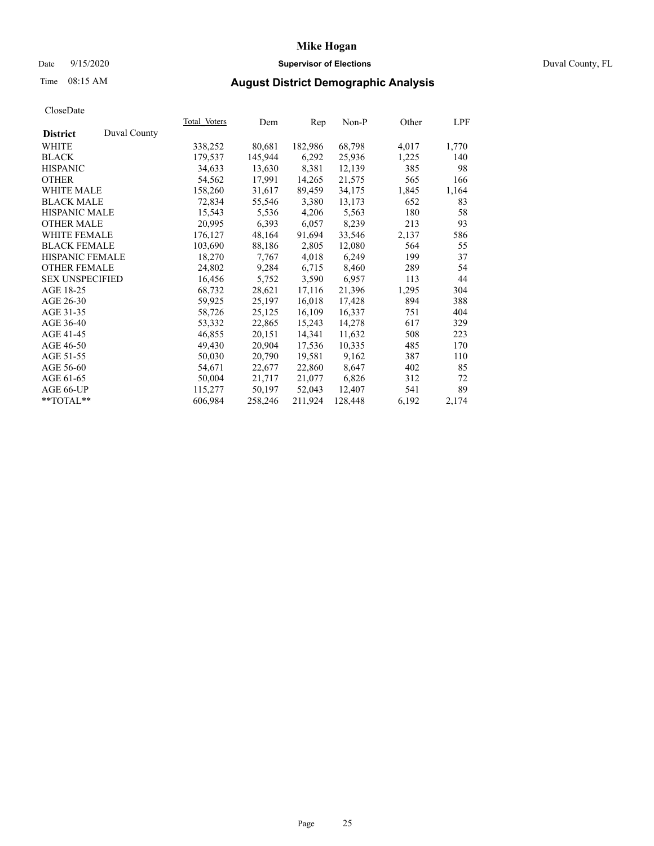## Date 9/15/2020 **Supervisor of Elections** Duval County, FL

## Time 08:15 AM **August District Demographic Analysis**

| <b>Total Voters</b> | Dem     | Rep     | $Non-P$ | Other | LPF   |
|---------------------|---------|---------|---------|-------|-------|
|                     |         |         |         |       |       |
| 338,252             | 80,681  | 182,986 | 68,798  | 4,017 | 1,770 |
| 179,537             | 145,944 | 6,292   | 25,936  | 1,225 | 140   |
| 34,633              | 13,630  | 8,381   | 12,139  | 385   | 98    |
| 54,562              | 17,991  | 14,265  | 21,575  | 565   | 166   |
| 158,260             | 31,617  | 89,459  | 34,175  | 1,845 | 1,164 |
| 72,834              | 55,546  | 3,380   | 13,173  | 652   | 83    |
| 15,543              | 5,536   | 4,206   | 5,563   | 180   | 58    |
| 20,995              | 6,393   | 6,057   | 8,239   | 213   | 93    |
| 176,127             | 48,164  | 91,694  | 33,546  | 2,137 | 586   |
| 103,690             | 88,186  | 2,805   | 12,080  | 564   | 55    |
| 18,270              | 7,767   | 4,018   | 6,249   | 199   | 37    |
| 24,802              | 9,284   | 6,715   | 8,460   | 289   | 54    |
| 16,456              | 5,752   | 3,590   | 6,957   | 113   | 44    |
| 68,732              | 28,621  | 17,116  | 21,396  | 1,295 | 304   |
| 59,925              | 25,197  | 16,018  | 17,428  | 894   | 388   |
| 58,726              | 25,125  | 16,109  | 16,337  | 751   | 404   |
| 53,332              | 22,865  | 15,243  | 14,278  | 617   | 329   |
| 46,855              | 20,151  | 14,341  | 11,632  | 508   | 223   |
| 49,430              | 20,904  | 17,536  | 10,335  | 485   | 170   |
| 50,030              | 20,790  | 19,581  | 9,162   | 387   | 110   |
| 54,671              | 22,677  | 22,860  | 8,647   | 402   | 85    |
| 50,004              | 21,717  | 21,077  | 6,826   | 312   | 72    |
| 115,277             | 50,197  | 52,043  | 12,407  | 541   | 89    |
| 606,984             | 258,246 | 211,924 | 128,448 | 6,192 | 2,174 |
|                     |         |         |         |       |       |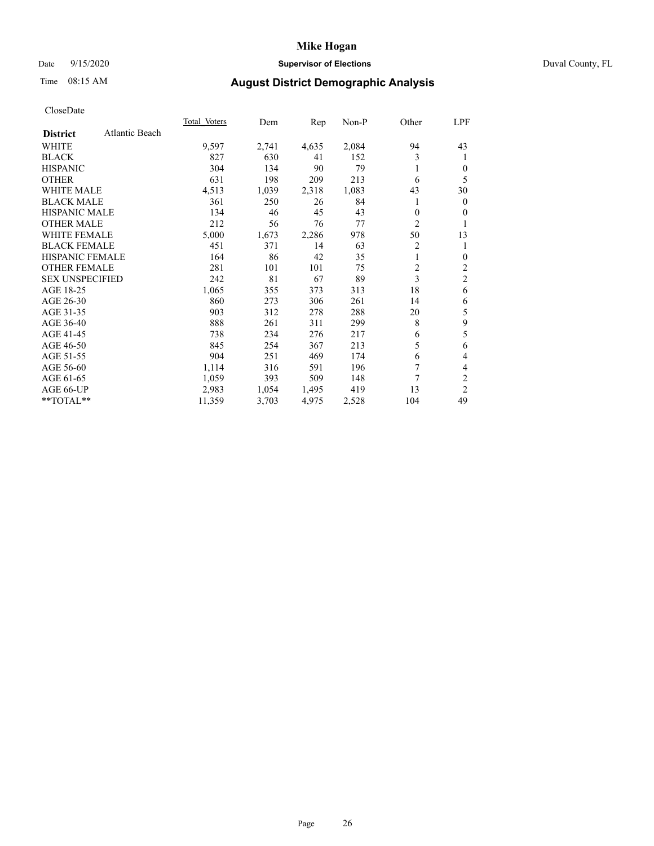## Date 9/15/2020 **Supervisor of Elections** Duval County, FL

# Time 08:15 AM **August District Demographic Analysis**

|                        |                | Total Voters | Dem   | Rep   | Non-P | Other          | LPF            |
|------------------------|----------------|--------------|-------|-------|-------|----------------|----------------|
| <b>District</b>        | Atlantic Beach |              |       |       |       |                |                |
| WHITE                  |                | 9,597        | 2,741 | 4,635 | 2,084 | 94             | 43             |
| <b>BLACK</b>           |                | 827          | 630   | 41    | 152   | 3              | 1              |
| <b>HISPANIC</b>        |                | 304          | 134   | 90    | 79    |                | $\theta$       |
| <b>OTHER</b>           |                | 631          | 198   | 209   | 213   | 6              | 5              |
| <b>WHITE MALE</b>      |                | 4,513        | 1,039 | 2,318 | 1,083 | 43             | 30             |
| <b>BLACK MALE</b>      |                | 361          | 250   | 26    | 84    | 1              | $\mathbf{0}$   |
| <b>HISPANIC MALE</b>   |                | 134          | 46    | 45    | 43    | 0              | $\Omega$       |
| <b>OTHER MALE</b>      |                | 212          | 56    | 76    | 77    | $\overline{2}$ | 1              |
| <b>WHITE FEMALE</b>    |                | 5,000        | 1,673 | 2,286 | 978   | 50             | 13             |
| <b>BLACK FEMALE</b>    |                | 451          | 371   | 14    | 63    | 2              | 1              |
| <b>HISPANIC FEMALE</b> |                | 164          | 86    | 42    | 35    |                | $\theta$       |
| <b>OTHER FEMALE</b>    |                | 281          | 101   | 101   | 75    | $\overline{2}$ | $\overline{c}$ |
| <b>SEX UNSPECIFIED</b> |                | 242          | 81    | 67    | 89    | 3              | $\mathfrak{2}$ |
| AGE 18-25              |                | 1,065        | 355   | 373   | 313   | 18             | 6              |
| AGE 26-30              |                | 860          | 273   | 306   | 261   | 14             | 6              |
| AGE 31-35              |                | 903          | 312   | 278   | 288   | 20             | 5              |
| AGE 36-40              |                | 888          | 261   | 311   | 299   | 8              | 9              |
| AGE 41-45              |                | 738          | 234   | 276   | 217   | 6              | 5              |
| AGE 46-50              |                | 845          | 254   | 367   | 213   | 5              | 6              |
| AGE 51-55              |                | 904          | 251   | 469   | 174   | 6              | 4              |
| AGE 56-60              |                | 1,114        | 316   | 591   | 196   | 7              | 4              |
| AGE 61-65              |                | 1,059        | 393   | 509   | 148   | 7              | 2              |
| AGE 66-UP              |                | 2,983        | 1,054 | 1,495 | 419   | 13             | 2              |
| $**TOTAL**$            |                | 11,359       | 3,703 | 4,975 | 2,528 | 104            | 49             |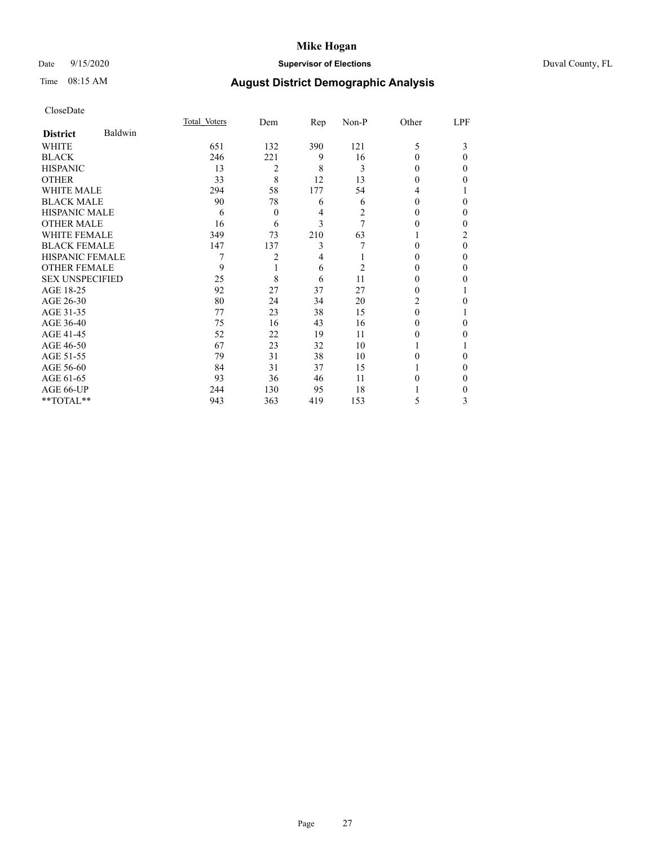## Date 9/15/2020 **Supervisor of Elections** Duval County, FL

# Time 08:15 AM **August District Demographic Analysis**

|                        |         | Total Voters | Dem      | Rep | Non-P | Other    | LPF    |
|------------------------|---------|--------------|----------|-----|-------|----------|--------|
| <b>District</b>        | Baldwin |              |          |     |       |          |        |
| WHITE                  |         | 651          | 132      | 390 | 121   | 5        | 3      |
| <b>BLACK</b>           |         | 246          | 221      | 9   | 16    | 0        | 0      |
| <b>HISPANIC</b>        |         | 13           | 2        | 8   | 3     | 0        | 0      |
| <b>OTHER</b>           |         | 33           | 8        | 12  | 13    | $\theta$ | 0      |
| <b>WHITE MALE</b>      |         | 294          | 58       | 177 | 54    | 4        |        |
| <b>BLACK MALE</b>      |         | 90           | 78       | 6   | 6     | 0        | 0      |
| <b>HISPANIC MALE</b>   |         | 6            | $\theta$ | 4   | 2     | $\theta$ | 0      |
| <b>OTHER MALE</b>      |         | 16           | 6        | 3   | 7     | $_{0}$   | 0      |
| <b>WHITE FEMALE</b>    |         | 349          | 73       | 210 | 63    |          | 2      |
| <b>BLACK FEMALE</b>    |         | 147          | 137      | 3   |       | 0        | 0      |
| <b>HISPANIC FEMALE</b> |         |              | 2        | 4   |       | $\theta$ | $_{0}$ |
| <b>OTHER FEMALE</b>    |         | 9            |          | 6   | 2     | $\theta$ | 0      |
| <b>SEX UNSPECIFIED</b> |         | 25           | 8        | 6   | 11    | 0        | 0      |
| AGE 18-25              |         | 92           | 27       | 37  | 27    | 0        |        |
| AGE 26-30              |         | 80           | 24       | 34  | 20    | 2        | 0      |
| AGE 31-35              |         | 77           | 23       | 38  | 15    | 0        |        |
| AGE 36-40              |         | 75           | 16       | 43  | 16    | 0        | 0      |
| AGE 41-45              |         | 52           | 22       | 19  | 11    | 0        | 0      |
| AGE 46-50              |         | 67           | 23       | 32  | 10    | 1        |        |
| AGE 51-55              |         | 79           | 31       | 38  | 10    | 0        | 0      |
| AGE 56-60              |         | 84           | 31       | 37  | 15    |          | 0      |
| AGE 61-65              |         | 93           | 36       | 46  | 11    | 0        | 0      |
| AGE 66-UP              |         | 244          | 130      | 95  | 18    |          | 0      |
| **TOTAL**              |         | 943          | 363      | 419 | 153   | 5        | 3      |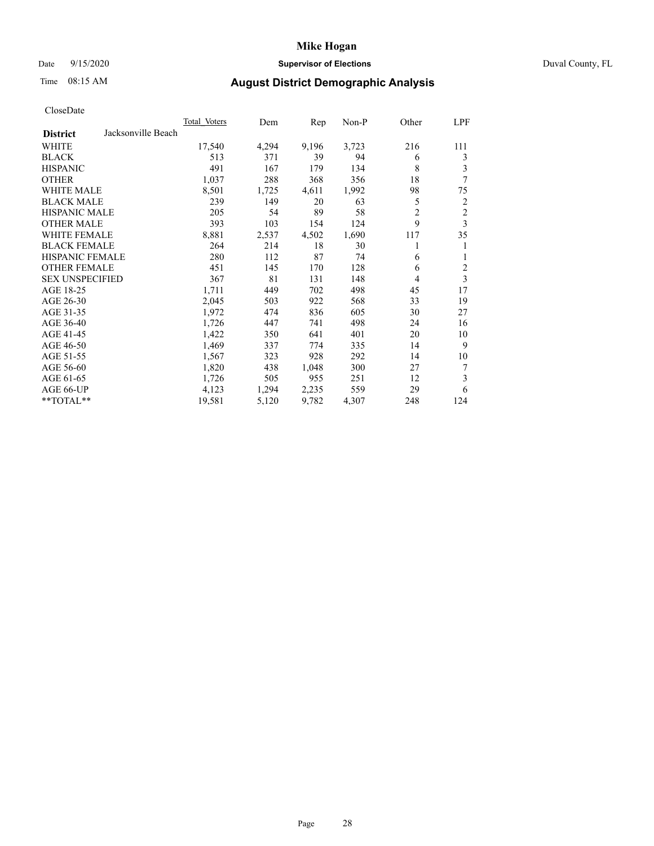## Date 9/15/2020 **Supervisor of Elections** Duval County, FL

# Time 08:15 AM **August District Demographic Analysis**

| <b>Total Voters</b> | Dem   | Rep   | Non-P | Other          | LPF            |
|---------------------|-------|-------|-------|----------------|----------------|
|                     |       |       |       |                |                |
| 17,540              | 4,294 | 9,196 | 3,723 | 216            | 111            |
| 513                 | 371   | 39    | 94    | 6              | 3              |
| 491                 | 167   | 179   | 134   | 8              | 3              |
| 1,037               | 288   | 368   | 356   | 18             | 7              |
| 8,501               | 1,725 | 4,611 | 1,992 | 98             | 75             |
| 239                 | 149   | 20    | 63    | 5              | 2              |
| 205                 | 54    | 89    | 58    | $\overline{2}$ | $\overline{c}$ |
| 393                 | 103   | 154   | 124   | 9              | 3              |
| 8,881               | 2,537 | 4,502 | 1,690 | 117            | 35             |
| 264                 | 214   | 18    | 30    |                | 1              |
| 280                 | 112   | 87    | 74    | 6              | 1              |
| 451                 | 145   | 170   | 128   | 6              | $\overline{c}$ |
| 367                 | 81    | 131   | 148   | 4              | 3              |
| 1,711               | 449   | 702   | 498   | 45             | 17             |
| 2,045               | 503   | 922   | 568   | 33             | 19             |
| 1,972               | 474   | 836   | 605   | 30             | 27             |
| 1,726               | 447   | 741   | 498   | 24             | 16             |
| 1,422               | 350   | 641   | 401   | 20             | 10             |
| 1,469               | 337   | 774   | 335   | 14             | 9              |
| 1,567               | 323   | 928   | 292   | 14             | 10             |
| 1,820               | 438   | 1,048 | 300   | 27             | 7              |
| 1,726               | 505   | 955   | 251   | 12             | 3              |
| 4,123               | 1,294 | 2,235 | 559   | 29             | 6              |
| 19,581              | 5,120 | 9,782 | 4,307 | 248            | 124            |
|                     |       |       |       |                |                |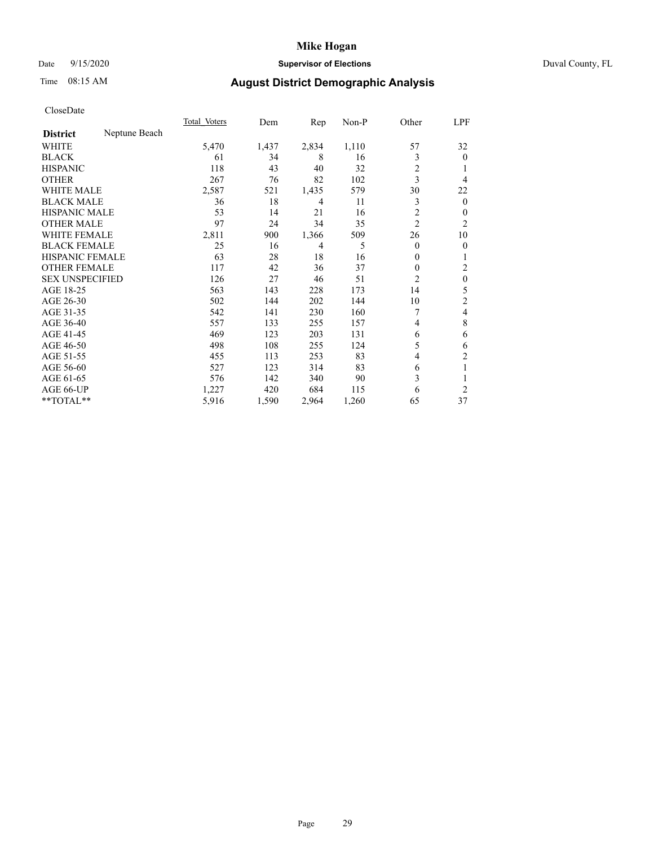## Date 9/15/2020 **Supervisor of Elections** Duval County, FL

# Time 08:15 AM **August District Demographic Analysis**

|                                  | Total Voters | Dem   | Rep            | Non-P | Other          | LPF            |
|----------------------------------|--------------|-------|----------------|-------|----------------|----------------|
| Neptune Beach<br><b>District</b> |              |       |                |       |                |                |
| WHITE                            | 5,470        | 1,437 | 2,834          | 1,110 | 57             | 32             |
| <b>BLACK</b>                     | 61           | 34    | 8              | 16    | 3              | $\theta$       |
| <b>HISPANIC</b>                  | 118          | 43    | 40             | 32    | $\overline{c}$ |                |
| <b>OTHER</b>                     | 267          | 76    | 82             | 102   | 3              | 4              |
| <b>WHITE MALE</b>                | 2,587        | 521   | 1,435          | 579   | 30             | 22             |
| <b>BLACK MALE</b>                | 36           | 18    | 4              | 11    | 3              | $\mathbf{0}$   |
| <b>HISPANIC MALE</b>             | 53           | 14    | 21             | 16    | 2              | 0              |
| <b>OTHER MALE</b>                | 97           | 24    | 34             | 35    | $\overline{2}$ | $\overline{2}$ |
| <b>WHITE FEMALE</b>              | 2,811        | 900   | 1,366          | 509   | 26             | 10             |
| <b>BLACK FEMALE</b>              | 25           | 16    | $\overline{4}$ | 5     | $\theta$       | $\theta$       |
| <b>HISPANIC FEMALE</b>           | 63           | 28    | 18             | 16    | $\overline{0}$ | 1              |
| <b>OTHER FEMALE</b>              | 117          | 42    | 36             | 37    | 0              | 2              |
| <b>SEX UNSPECIFIED</b>           | 126          | 27    | 46             | 51    | $\overline{2}$ | $\theta$       |
| AGE 18-25                        | 563          | 143   | 228            | 173   | 14             | 5              |
| AGE 26-30                        | 502          | 144   | 202            | 144   | 10             | 2              |
| AGE 31-35                        | 542          | 141   | 230            | 160   | 7              | 4              |
| AGE 36-40                        | 557          | 133   | 255            | 157   | 4              | 8              |
| AGE 41-45                        | 469          | 123   | 203            | 131   | 6              | 6              |
| AGE 46-50                        | 498          | 108   | 255            | 124   | 5              | 6              |
| AGE 51-55                        | 455          | 113   | 253            | 83    | 4              | 2              |
| AGE 56-60                        | 527          | 123   | 314            | 83    | 6              | 1              |
| AGE 61-65                        | 576          | 142   | 340            | 90    | 3              |                |
| AGE 66-UP                        | 1,227        | 420   | 684            | 115   | 6              | $\overline{2}$ |
| **TOTAL**                        | 5,916        | 1,590 | 2,964          | 1,260 | 65             | 37             |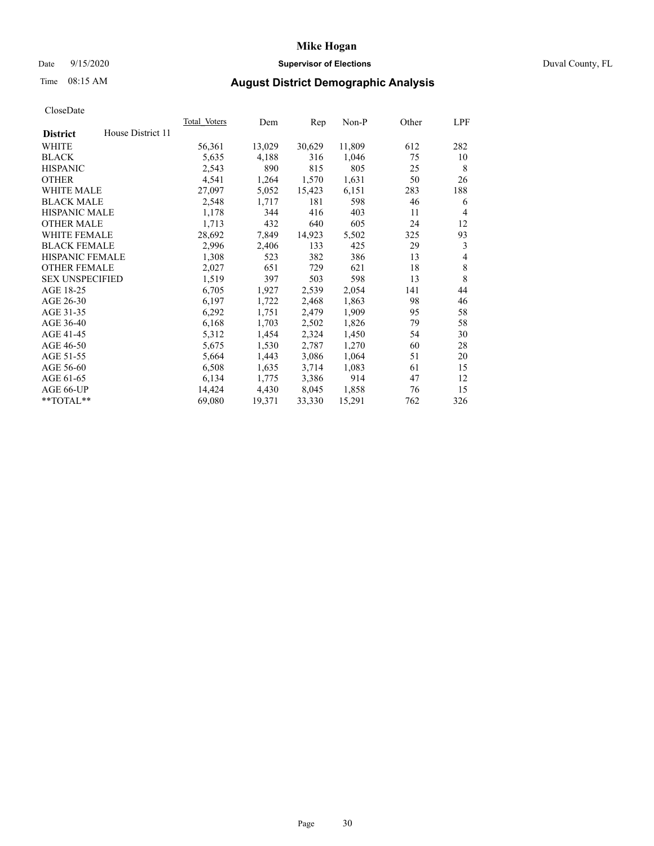## Date 9/15/2020 **Supervisor of Elections** Duval County, FL

# Time 08:15 AM **August District Demographic Analysis**

|                                      | <b>Total Voters</b> | Dem    | Rep    | Non-P  | Other | LPF     |
|--------------------------------------|---------------------|--------|--------|--------|-------|---------|
| House District 11<br><b>District</b> |                     |        |        |        |       |         |
| WHITE                                | 56,361              | 13,029 | 30,629 | 11,809 | 612   | 282     |
| <b>BLACK</b>                         | 5,635               | 4,188  | 316    | 1,046  | 75    | 10      |
| <b>HISPANIC</b>                      | 2,543               | 890    | 815    | 805    | 25    | 8       |
| <b>OTHER</b>                         | 4,541               | 1,264  | 1,570  | 1,631  | 50    | 26      |
| WHITE MALE                           | 27,097              | 5,052  | 15,423 | 6,151  | 283   | 188     |
| <b>BLACK MALE</b>                    | 2,548               | 1,717  | 181    | 598    | 46    | 6       |
| <b>HISPANIC MALE</b>                 | 1,178               | 344    | 416    | 403    | 11    | 4       |
| <b>OTHER MALE</b>                    | 1,713               | 432    | 640    | 605    | 24    | 12      |
| WHITE FEMALE                         | 28,692              | 7,849  | 14,923 | 5,502  | 325   | 93      |
| <b>BLACK FEMALE</b>                  | 2,996               | 2,406  | 133    | 425    | 29    | 3       |
| HISPANIC FEMALE                      | 1,308               | 523    | 382    | 386    | 13    | 4       |
| <b>OTHER FEMALE</b>                  | 2,027               | 651    | 729    | 621    | 18    | $\,8\,$ |
| <b>SEX UNSPECIFIED</b>               | 1,519               | 397    | 503    | 598    | 13    | 8       |
| AGE 18-25                            | 6,705               | 1,927  | 2,539  | 2,054  | 141   | 44      |
| AGE 26-30                            | 6,197               | 1,722  | 2,468  | 1,863  | 98    | 46      |
| AGE 31-35                            | 6,292               | 1,751  | 2,479  | 1,909  | 95    | 58      |
| AGE 36-40                            | 6,168               | 1,703  | 2,502  | 1,826  | 79    | 58      |
| AGE 41-45                            | 5,312               | 1,454  | 2,324  | 1,450  | 54    | 30      |
| AGE 46-50                            | 5,675               | 1,530  | 2,787  | 1,270  | 60    | 28      |
| AGE 51-55                            | 5,664               | 1,443  | 3,086  | 1,064  | 51    | 20      |
| AGE 56-60                            | 6,508               | 1,635  | 3,714  | 1,083  | 61    | 15      |
| AGE 61-65                            | 6,134               | 1,775  | 3,386  | 914    | 47    | 12      |
| AGE 66-UP                            | 14,424              | 4,430  | 8,045  | 1,858  | 76    | 15      |
| **TOTAL**                            | 69,080              | 19,371 | 33,330 | 15,291 | 762   | 326     |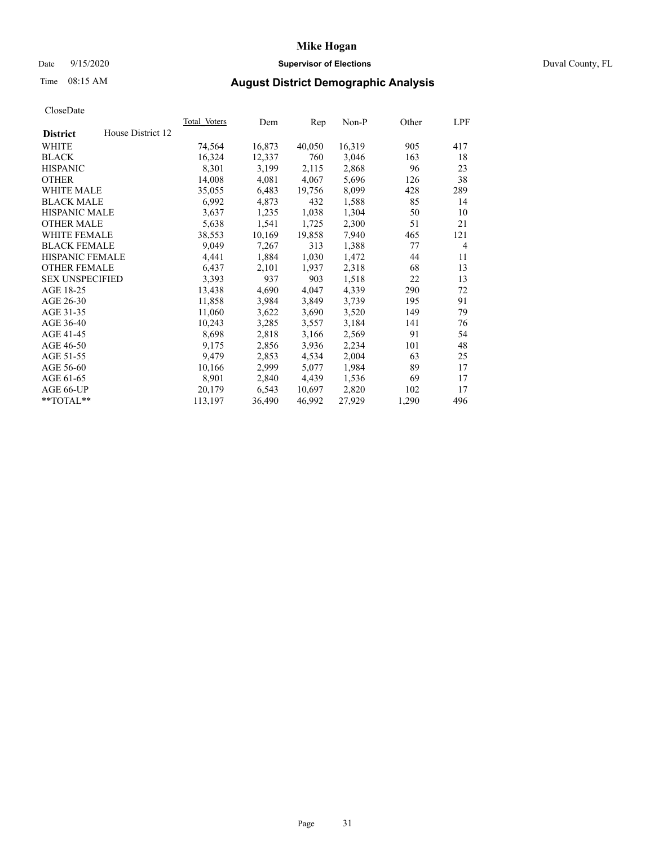## Date 9/15/2020 **Supervisor of Elections** Duval County, FL

# Time 08:15 AM **August District Demographic Analysis**

| <b>Total Voters</b> | Dem    | Rep    | $Non-P$ | Other | LPF            |
|---------------------|--------|--------|---------|-------|----------------|
|                     |        |        |         |       |                |
| 74,564              | 16,873 | 40,050 | 16,319  | 905   | 417            |
| 16,324              | 12,337 | 760    | 3,046   | 163   | 18             |
| 8,301               | 3,199  | 2,115  | 2,868   | 96    | 23             |
| 14,008              | 4,081  | 4,067  | 5,696   | 126   | 38             |
| 35,055              | 6,483  | 19,756 | 8,099   | 428   | 289            |
| 6,992               | 4,873  | 432    | 1,588   | 85    | 14             |
| 3,637               | 1,235  | 1,038  | 1,304   | 50    | 10             |
| 5,638               | 1,541  | 1,725  | 2,300   | 51    | 21             |
| 38,553              | 10,169 | 19,858 | 7,940   | 465   | 121            |
| 9,049               | 7,267  | 313    | 1,388   | 77    | $\overline{4}$ |
| 4,441               | 1,884  | 1,030  | 1,472   | 44    | 11             |
| 6,437               | 2,101  | 1,937  | 2,318   | 68    | 13             |
| 3,393               | 937    | 903    | 1,518   | 22    | 13             |
| 13,438              | 4,690  | 4,047  | 4,339   | 290   | 72             |
| 11,858              | 3,984  | 3,849  | 3,739   | 195   | 91             |
| 11,060              | 3,622  | 3,690  | 3,520   | 149   | 79             |
| 10,243              | 3,285  | 3,557  | 3,184   | 141   | 76             |
| 8,698               | 2,818  | 3,166  | 2,569   | 91    | 54             |
| 9,175               | 2,856  | 3,936  | 2,234   | 101   | 48             |
| 9,479               | 2,853  | 4,534  | 2,004   | 63    | 25             |
| 10,166              | 2,999  | 5,077  | 1,984   | 89    | 17             |
| 8,901               | 2,840  | 4,439  | 1,536   | 69    | 17             |
| 20,179              | 6,543  | 10,697 | 2,820   | 102   | 17             |
| 113,197             | 36,490 | 46,992 | 27,929  | 1,290 | 496            |
|                     |        |        |         |       |                |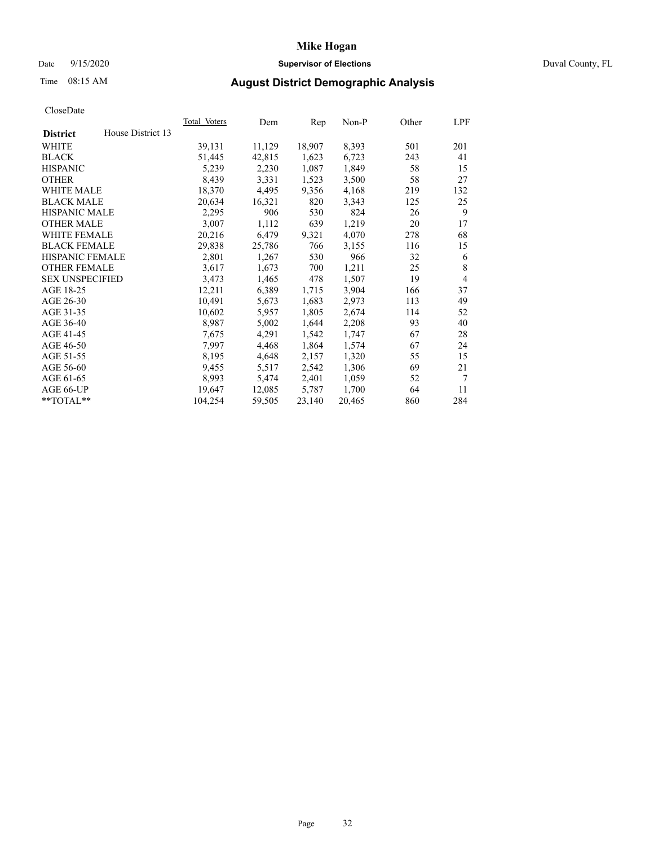## Date 9/15/2020 **Supervisor of Elections** Duval County, FL

# Time 08:15 AM **August District Demographic Analysis**

| <b>Total Voters</b> | Dem    | Rep    | $Non-P$ | Other | LPF            |
|---------------------|--------|--------|---------|-------|----------------|
|                     |        |        |         |       |                |
| 39,131              | 11,129 | 18,907 | 8,393   | 501   | 201            |
| 51,445              | 42,815 | 1,623  | 6,723   | 243   | 41             |
| 5,239               | 2,230  | 1,087  | 1,849   | 58    | 15             |
| 8,439               | 3,331  | 1,523  | 3,500   | 58    | 27             |
| 18,370              | 4,495  | 9,356  | 4,168   | 219   | 132            |
| 20,634              | 16,321 | 820    | 3,343   | 125   | 25             |
| 2,295               | 906    | 530    | 824     | 26    | 9              |
| 3,007               | 1,112  | 639    | 1,219   | 20    | 17             |
| 20,216              | 6,479  | 9,321  | 4,070   | 278   | 68             |
| 29,838              | 25,786 | 766    | 3,155   | 116   | 15             |
| 2,801               | 1,267  | 530    | 966     | 32    | 6              |
| 3,617               | 1,673  | 700    | 1,211   | 25    | 8              |
| 3,473               | 1,465  | 478    | 1,507   | 19    | $\overline{4}$ |
| 12,211              | 6,389  | 1,715  | 3,904   | 166   | 37             |
| 10,491              | 5,673  | 1,683  | 2,973   | 113   | 49             |
| 10,602              | 5,957  | 1,805  | 2,674   | 114   | 52             |
| 8,987               | 5,002  | 1,644  | 2,208   | 93    | 40             |
| 7,675               | 4,291  | 1,542  | 1,747   | 67    | 28             |
| 7,997               | 4,468  | 1,864  | 1,574   | 67    | 24             |
| 8,195               | 4,648  | 2,157  | 1,320   | 55    | 15             |
| 9,455               | 5,517  | 2,542  | 1,306   | 69    | 21             |
| 8,993               | 5,474  | 2,401  | 1,059   | 52    | 7              |
| 19.647              | 12,085 | 5,787  | 1,700   | 64    | 11             |
| 104,254             | 59,505 | 23,140 | 20,465  | 860   | 284            |
|                     |        |        |         |       |                |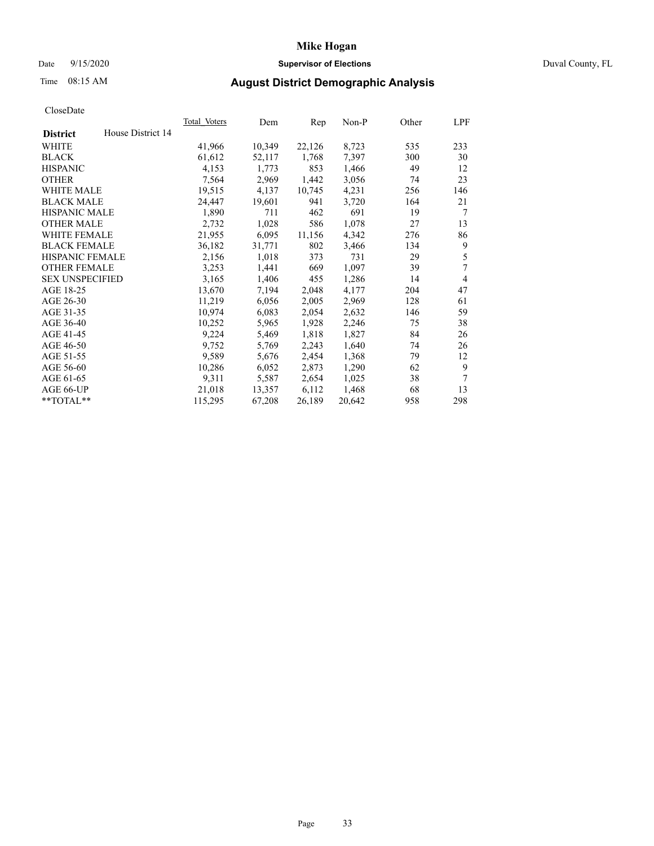## Date 9/15/2020 **Supervisor of Elections** Duval County, FL

# Time 08:15 AM **August District Demographic Analysis**

|                                      | <b>Total Voters</b> | Dem    | Rep    | $Non-P$ | Other | LPF            |
|--------------------------------------|---------------------|--------|--------|---------|-------|----------------|
| House District 14<br><b>District</b> |                     |        |        |         |       |                |
| WHITE                                | 41,966              | 10,349 | 22,126 | 8,723   | 535   | 233            |
| <b>BLACK</b>                         | 61,612              | 52,117 | 1,768  | 7,397   | 300   | 30             |
| <b>HISPANIC</b>                      | 4,153               | 1,773  | 853    | 1,466   | 49    | 12             |
| <b>OTHER</b>                         | 7,564               | 2,969  | 1,442  | 3,056   | 74    | 23             |
| WHITE MALE                           | 19,515              | 4,137  | 10,745 | 4,231   | 256   | 146            |
| <b>BLACK MALE</b>                    | 24,447              | 19,601 | 941    | 3,720   | 164   | 21             |
| <b>HISPANIC MALE</b>                 | 1,890               | 711    | 462    | 691     | 19    | 7              |
| <b>OTHER MALE</b>                    | 2,732               | 1,028  | 586    | 1,078   | 27    | 13             |
| WHITE FEMALE                         | 21,955              | 6,095  | 11,156 | 4,342   | 276   | 86             |
| <b>BLACK FEMALE</b>                  | 36,182              | 31,771 | 802    | 3,466   | 134   | 9              |
| HISPANIC FEMALE                      | 2,156               | 1,018  | 373    | 731     | 29    | 5              |
| <b>OTHER FEMALE</b>                  | 3,253               | 1,441  | 669    | 1,097   | 39    | 7              |
| <b>SEX UNSPECIFIED</b>               | 3,165               | 1,406  | 455    | 1,286   | 14    | $\overline{4}$ |
| AGE 18-25                            | 13,670              | 7,194  | 2,048  | 4,177   | 204   | 47             |
| AGE 26-30                            | 11,219              | 6,056  | 2,005  | 2,969   | 128   | 61             |
| AGE 31-35                            | 10,974              | 6,083  | 2,054  | 2,632   | 146   | 59             |
| AGE 36-40                            | 10,252              | 5,965  | 1,928  | 2,246   | 75    | 38             |
| AGE 41-45                            | 9,224               | 5,469  | 1,818  | 1,827   | 84    | 26             |
| AGE 46-50                            | 9,752               | 5,769  | 2,243  | 1,640   | 74    | 26             |
| AGE 51-55                            | 9,589               | 5,676  | 2,454  | 1,368   | 79    | 12             |
| AGE 56-60                            | 10,286              | 6,052  | 2,873  | 1,290   | 62    | 9              |
| AGE 61-65                            | 9,311               | 5,587  | 2,654  | 1,025   | 38    | $\tau$         |
| AGE 66-UP                            | 21,018              | 13,357 | 6,112  | 1,468   | 68    | 13             |
| **TOTAL**                            | 115,295             | 67,208 | 26,189 | 20,642  | 958   | 298            |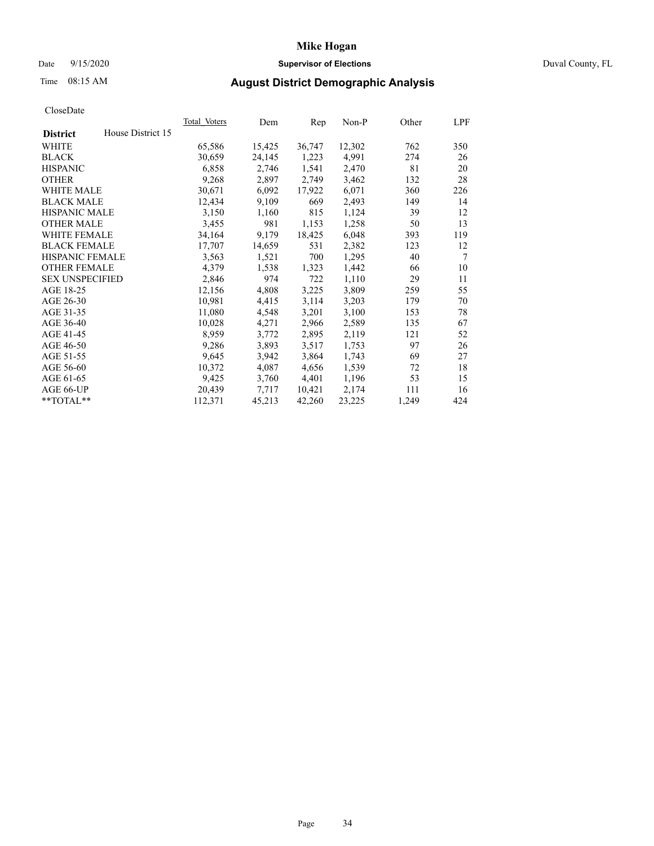## Date 9/15/2020 **Supervisor of Elections** Duval County, FL

# Time 08:15 AM **August District Demographic Analysis**

| <b>Total Voters</b> | Dem    | Rep    | $Non-P$ | Other | LPF            |
|---------------------|--------|--------|---------|-------|----------------|
| House District 15   |        |        |         |       |                |
| 65,586              | 15,425 | 36,747 | 12,302  | 762   | 350            |
| 30,659              | 24,145 | 1,223  | 4,991   | 274   | 26             |
| 6,858               | 2,746  | 1,541  | 2,470   | 81    | 20             |
| 9,268               | 2,897  | 2,749  | 3,462   | 132   | 28             |
| 30,671              | 6,092  | 17,922 | 6,071   | 360   | 226            |
| 12,434              | 9,109  | 669    | 2,493   | 149   | 14             |
| 3,150               | 1,160  | 815    | 1,124   | 39    | 12             |
| 3,455               | 981    | 1,153  | 1,258   | 50    | 13             |
| 34,164              | 9,179  | 18,425 | 6,048   | 393   | 119            |
| 17,707              | 14,659 | 531    | 2,382   | 123   | 12             |
| 3,563               | 1,521  | 700    | 1,295   | 40    | $\overline{7}$ |
| 4,379               | 1,538  | 1,323  | 1,442   | 66    | 10             |
| 2,846               | 974    | 722    | 1,110   | 29    | 11             |
| 12,156              | 4,808  | 3,225  | 3,809   | 259   | 55             |
| 10,981              | 4,415  | 3,114  | 3,203   | 179   | 70             |
| 11,080              | 4,548  | 3,201  | 3,100   | 153   | 78             |
| 10,028              | 4,271  | 2,966  | 2,589   | 135   | 67             |
| 8,959               | 3,772  | 2,895  | 2,119   | 121   | 52             |
| 9,286               | 3,893  | 3,517  | 1,753   | 97    | 26             |
| 9,645               | 3,942  | 3,864  | 1,743   | 69    | 27             |
| 10,372              | 4,087  | 4,656  | 1,539   | 72    | 18             |
| 9,425               | 3,760  | 4,401  | 1,196   | 53    | 15             |
| 20,439              | 7,717  | 10,421 | 2,174   | 111   | 16             |
| 112,371             | 45,213 | 42,260 | 23,225  | 1,249 | 424            |
|                     |        |        |         |       |                |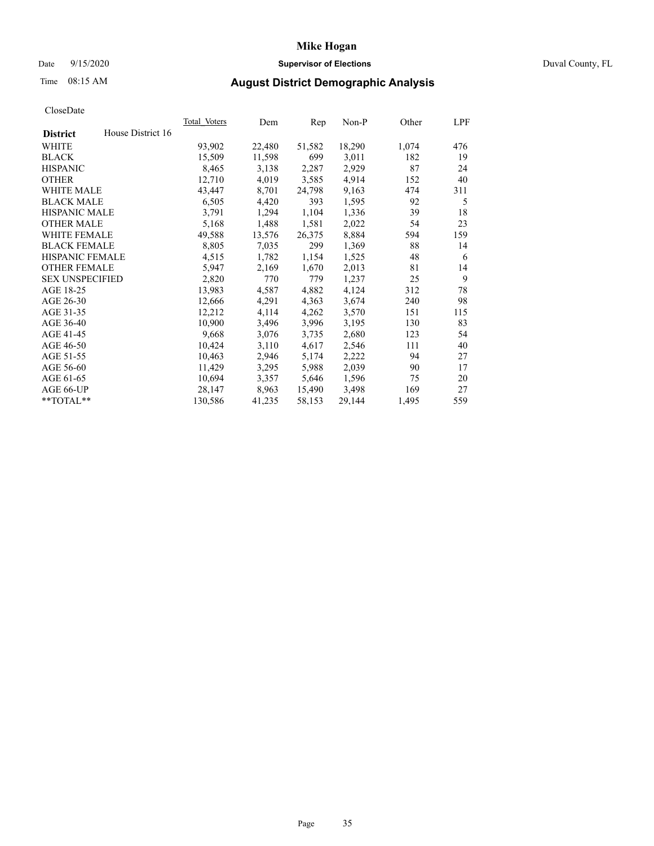## Date 9/15/2020 **Supervisor of Elections** Duval County, FL

# Time 08:15 AM **August District Demographic Analysis**

|                                      | <b>Total Voters</b> | Dem    | Rep    | $Non-P$ | Other | LPF |
|--------------------------------------|---------------------|--------|--------|---------|-------|-----|
| House District 16<br><b>District</b> |                     |        |        |         |       |     |
| WHITE                                | 93,902              | 22,480 | 51,582 | 18,290  | 1,074 | 476 |
| <b>BLACK</b>                         | 15,509              | 11,598 | 699    | 3,011   | 182   | 19  |
| <b>HISPANIC</b>                      | 8,465               | 3,138  | 2,287  | 2,929   | 87    | 24  |
| <b>OTHER</b>                         | 12,710              | 4,019  | 3,585  | 4,914   | 152   | 40  |
| WHITE MALE                           | 43,447              | 8,701  | 24,798 | 9,163   | 474   | 311 |
| <b>BLACK MALE</b>                    | 6,505               | 4,420  | 393    | 1,595   | 92    | 5   |
| <b>HISPANIC MALE</b>                 | 3,791               | 1,294  | 1,104  | 1,336   | 39    | 18  |
| <b>OTHER MALE</b>                    | 5,168               | 1,488  | 1,581  | 2,022   | 54    | 23  |
| <b>WHITE FEMALE</b>                  | 49,588              | 13,576 | 26,375 | 8,884   | 594   | 159 |
| <b>BLACK FEMALE</b>                  | 8,805               | 7,035  | 299    | 1,369   | 88    | 14  |
| <b>HISPANIC FEMALE</b>               | 4,515               | 1,782  | 1,154  | 1,525   | 48    | 6   |
| <b>OTHER FEMALE</b>                  | 5,947               | 2,169  | 1,670  | 2,013   | 81    | 14  |
| <b>SEX UNSPECIFIED</b>               | 2,820               | 770    | 779    | 1,237   | 25    | 9   |
| AGE 18-25                            | 13,983              | 4,587  | 4,882  | 4,124   | 312   | 78  |
| AGE 26-30                            | 12,666              | 4,291  | 4,363  | 3,674   | 240   | 98  |
| AGE 31-35                            | 12,212              | 4,114  | 4,262  | 3,570   | 151   | 115 |
| AGE 36-40                            | 10,900              | 3,496  | 3,996  | 3,195   | 130   | 83  |
| AGE 41-45                            | 9,668               | 3,076  | 3,735  | 2,680   | 123   | 54  |
| AGE 46-50                            | 10,424              | 3,110  | 4,617  | 2,546   | 111   | 40  |
| AGE 51-55                            | 10,463              | 2,946  | 5,174  | 2,222   | 94    | 27  |
| AGE 56-60                            | 11,429              | 3,295  | 5,988  | 2,039   | 90    | 17  |
| AGE 61-65                            | 10,694              | 3,357  | 5,646  | 1,596   | 75    | 20  |
| AGE 66-UP                            | 28,147              | 8,963  | 15,490 | 3,498   | 169   | 27  |
| **TOTAL**                            | 130,586             | 41,235 | 58,153 | 29,144  | 1,495 | 559 |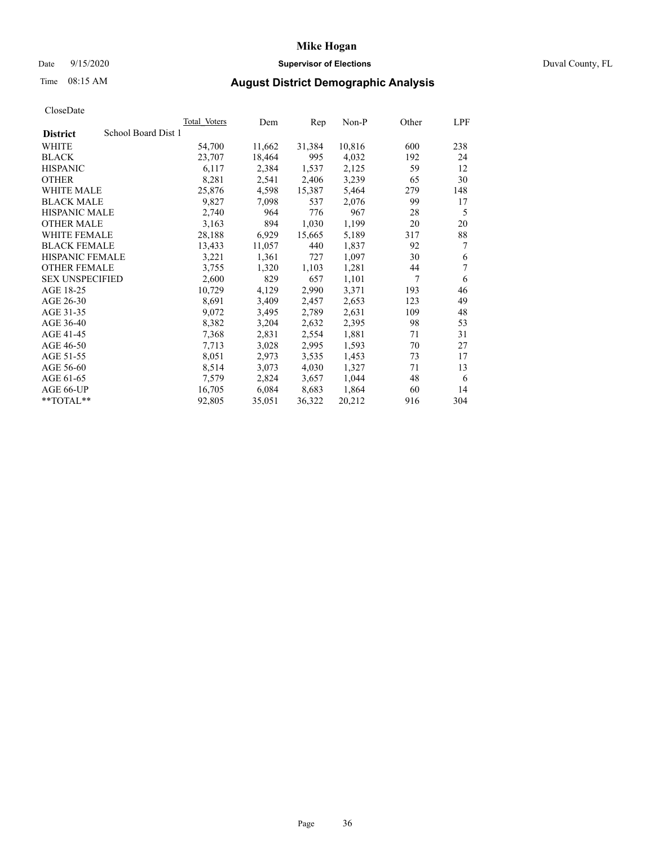## Date 9/15/2020 **Supervisor of Elections** Duval County, FL

# Time 08:15 AM **August District Demographic Analysis**

| <b>Total Voters</b> | Dem                 | Rep    | Non-P  | Other | LPF |
|---------------------|---------------------|--------|--------|-------|-----|
|                     |                     |        |        |       |     |
| 54,700              | 11,662              | 31,384 | 10,816 | 600   | 238 |
| 23,707              | 18,464              | 995    | 4,032  | 192   | 24  |
| 6,117               | 2,384               | 1,537  | 2,125  | 59    | 12  |
| 8,281               | 2,541               | 2,406  | 3,239  | 65    | 30  |
| 25,876              | 4,598               | 15,387 | 5,464  | 279   | 148 |
| 9,827               | 7,098               | 537    | 2,076  | 99    | 17  |
| 2,740               | 964                 | 776    | 967    | 28    | 5   |
| 3,163               | 894                 | 1,030  | 1,199  | 20    | 20  |
| 28,188              | 6,929               | 15,665 | 5,189  | 317   | 88  |
| 13,433              | 11,057              | 440    | 1,837  | 92    | 7   |
| 3,221               | 1,361               | 727    | 1,097  | 30    | 6   |
| 3,755               | 1,320               | 1,103  | 1,281  | 44    | 7   |
| 2,600               | 829                 | 657    | 1,101  | 7     | 6   |
| 10,729              | 4,129               | 2,990  | 3,371  | 193   | 46  |
| 8,691               | 3,409               | 2,457  | 2,653  | 123   | 49  |
| 9,072               | 3,495               | 2,789  | 2,631  | 109   | 48  |
| 8,382               | 3,204               | 2,632  | 2,395  | 98    | 53  |
| 7,368               | 2,831               | 2,554  | 1,881  | 71    | 31  |
| 7,713               | 3,028               | 2,995  | 1,593  | 70    | 27  |
| 8,051               | 2,973               | 3,535  | 1,453  | 73    | 17  |
| 8,514               | 3,073               | 4,030  | 1,327  | 71    | 13  |
| 7,579               | 2,824               | 3,657  | 1,044  | 48    | 6   |
| 16,705              | 6,084               | 8,683  | 1,864  | 60    | 14  |
| 92,805              | 35,051              | 36,322 | 20,212 | 916   | 304 |
|                     | School Board Dist 1 |        |        |       |     |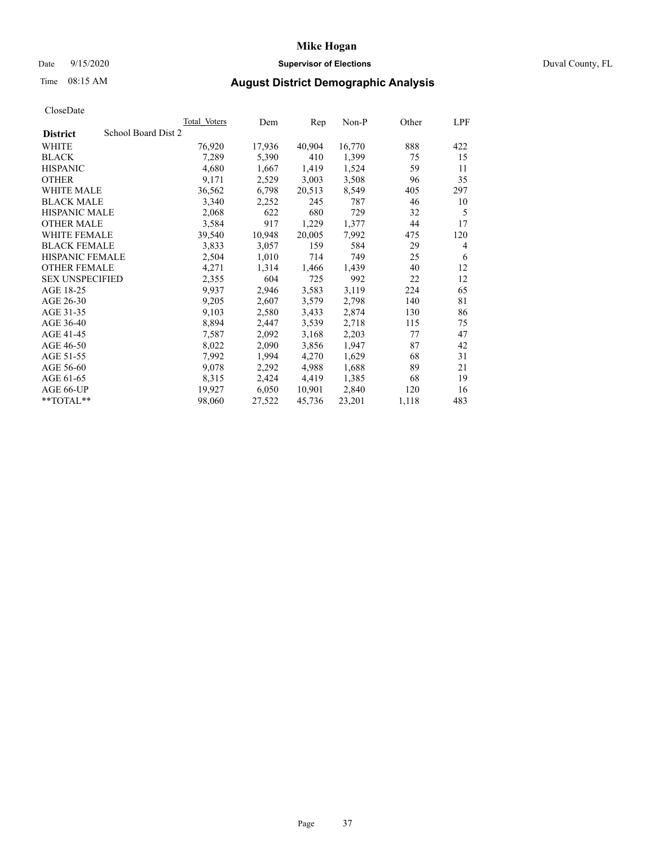## Date 9/15/2020 **Supervisor of Elections** Duval County, FL

# Time 08:15 AM **August District Demographic Analysis**

| <b>Total Voters</b> | Dem    | Rep    | $Non-P$ | Other | LPF |
|---------------------|--------|--------|---------|-------|-----|
| School Board Dist 2 |        |        |         |       |     |
| 76,920              | 17,936 | 40,904 | 16,770  | 888   | 422 |
| 7,289               | 5,390  | 410    | 1,399   | 75    | 15  |
| 4,680               | 1,667  | 1,419  | 1,524   | 59    | 11  |
| 9,171               | 2,529  | 3,003  | 3,508   | 96    | 35  |
| 36,562              | 6,798  | 20,513 | 8,549   | 405   | 297 |
| 3,340               | 2,252  | 245    | 787     | 46    | 10  |
| 2,068               | 622    | 680    | 729     | 32    | 5   |
| 3,584               | 917    | 1,229  | 1,377   | 44    | 17  |
| 39,540              | 10,948 | 20,005 | 7,992   | 475   | 120 |
| 3,833               | 3,057  | 159    | 584     | 29    | 4   |
| 2,504               | 1,010  | 714    | 749     | 25    | 6   |
| 4,271               | 1,314  | 1,466  | 1,439   | 40    | 12  |
| 2,355               | 604    | 725    | 992     | 22    | 12  |
| 9,937               | 2,946  | 3,583  | 3,119   | 224   | 65  |
| 9,205               | 2,607  | 3,579  | 2,798   | 140   | 81  |
| 9,103               | 2,580  | 3,433  | 2,874   | 130   | 86  |
| 8,894               | 2,447  | 3,539  | 2,718   | 115   | 75  |
| 7,587               | 2,092  | 3,168  | 2,203   | 77    | 47  |
| 8,022               | 2,090  | 3,856  | 1,947   | 87    | 42  |
| 7,992               | 1,994  | 4,270  | 1,629   | 68    | 31  |
| 9,078               | 2,292  | 4,988  | 1,688   | 89    | 21  |
| 8,315               | 2,424  | 4,419  | 1,385   | 68    | 19  |
| 19,927              | 6,050  | 10,901 | 2,840   | 120   | 16  |
| 98,060              | 27,522 | 45,736 | 23,201  | 1,118 | 483 |
|                     |        |        |         |       |     |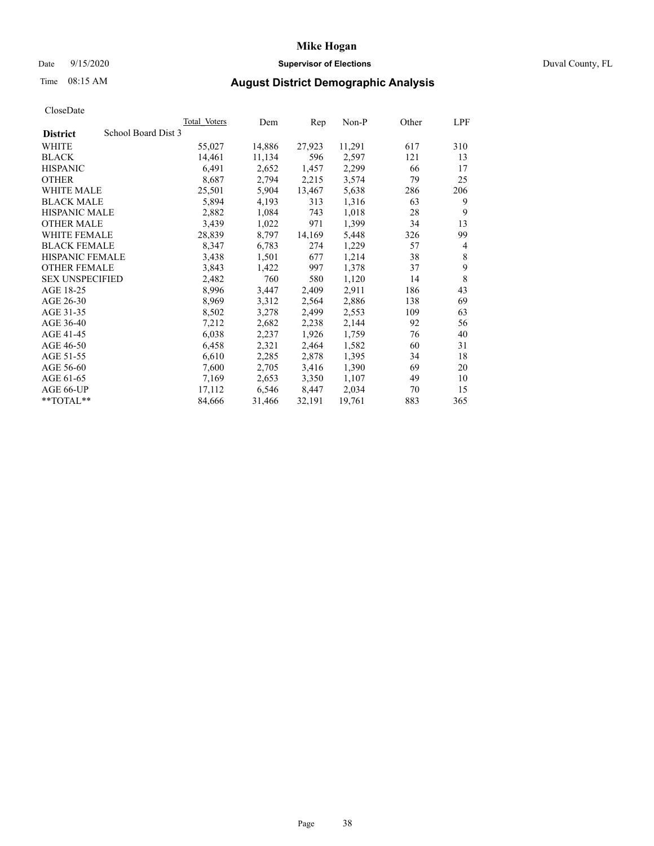## Date 9/15/2020 **Supervisor of Elections** Duval County, FL

# Time 08:15 AM **August District Demographic Analysis**

| Total Voters        | Dem    | Rep    | Non-P  | Other | LPF |
|---------------------|--------|--------|--------|-------|-----|
| School Board Dist 3 |        |        |        |       |     |
| 55,027              | 14,886 | 27,923 | 11,291 | 617   | 310 |
| 14,461              | 11,134 | 596    | 2,597  | 121   | 13  |
| 6,491               | 2,652  | 1,457  | 2,299  | 66    | 17  |
| 8,687               | 2,794  | 2,215  | 3,574  | 79    | 25  |
| 25,501              | 5,904  | 13,467 | 5,638  | 286   | 206 |
| 5,894               | 4,193  | 313    | 1,316  | 63    | 9   |
| 2,882               | 1,084  | 743    | 1,018  | 28    | 9   |
| 3,439               | 1,022  | 971    | 1,399  | 34    | 13  |
| 28,839              | 8,797  | 14,169 | 5,448  | 326   | 99  |
| 8,347               | 6,783  | 274    | 1,229  | 57    | 4   |
| 3,438               | 1,501  | 677    | 1,214  | 38    | 8   |
| 3,843               | 1,422  | 997    | 1,378  | 37    | 9   |
| 2,482               | 760    | 580    | 1,120  | 14    | 8   |
| 8,996               | 3,447  | 2,409  | 2,911  | 186   | 43  |
| 8,969               | 3,312  | 2,564  | 2,886  | 138   | 69  |
| 8,502               | 3,278  | 2,499  | 2,553  | 109   | 63  |
| 7,212               | 2,682  | 2,238  | 2,144  | 92    | 56  |
| 6,038               | 2,237  | 1,926  | 1,759  | 76    | 40  |
| 6,458               | 2,321  | 2,464  | 1,582  | 60    | 31  |
| 6,610               | 2,285  | 2,878  | 1,395  | 34    | 18  |
| 7,600               | 2,705  | 3,416  | 1,390  | 69    | 20  |
| 7,169               | 2,653  | 3,350  | 1,107  | 49    | 10  |
| 17,112              | 6,546  | 8,447  | 2,034  | 70    | 15  |
| 84,666              | 31,466 | 32,191 | 19,761 | 883   | 365 |
|                     |        |        |        |       |     |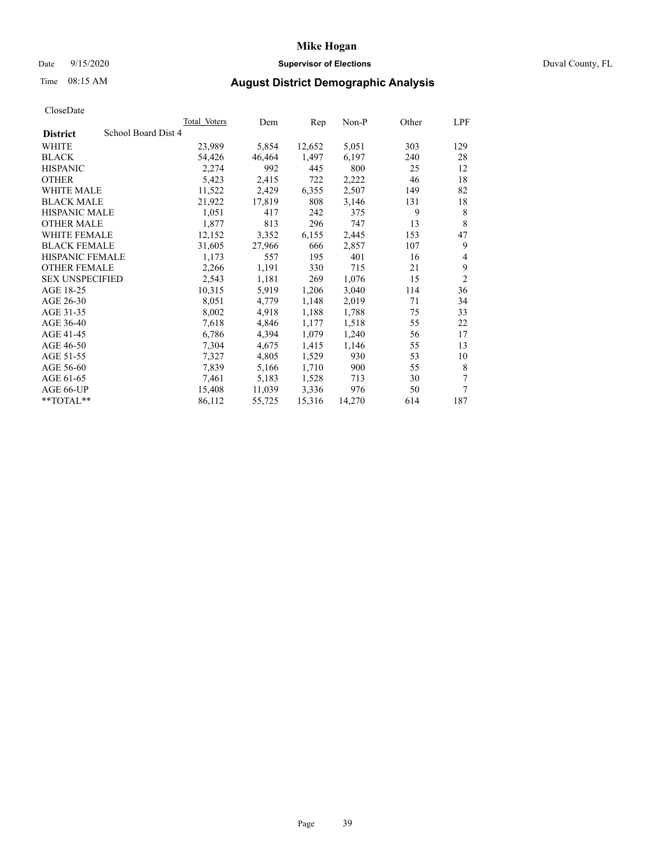## Date 9/15/2020 **Supervisor of Elections** Duval County, FL

# Time 08:15 AM **August District Demographic Analysis**

|                        |                     | <b>Total Voters</b> | Dem    | Rep    | $Non-P$ | Other | LPF            |
|------------------------|---------------------|---------------------|--------|--------|---------|-------|----------------|
| <b>District</b>        | School Board Dist 4 |                     |        |        |         |       |                |
| WHITE                  |                     | 23,989              | 5,854  | 12,652 | 5,051   | 303   | 129            |
| <b>BLACK</b>           |                     | 54,426              | 46,464 | 1,497  | 6,197   | 240   | 28             |
| <b>HISPANIC</b>        |                     | 2,274               | 992    | 445    | 800     | 25    | 12             |
| <b>OTHER</b>           |                     | 5,423               | 2,415  | 722    | 2,222   | 46    | 18             |
| WHITE MALE             |                     | 11,522              | 2,429  | 6,355  | 2,507   | 149   | 82             |
| <b>BLACK MALE</b>      |                     | 21,922              | 17,819 | 808    | 3,146   | 131   | 18             |
| <b>HISPANIC MALE</b>   |                     | 1,051               | 417    | 242    | 375     | 9     | 8              |
| <b>OTHER MALE</b>      |                     | 1,877               | 813    | 296    | 747     | 13    | 8              |
| WHITE FEMALE           |                     | 12,152              | 3,352  | 6,155  | 2,445   | 153   | 47             |
| <b>BLACK FEMALE</b>    |                     | 31,605              | 27,966 | 666    | 2,857   | 107   | 9              |
| HISPANIC FEMALE        |                     | 1,173               | 557    | 195    | 401     | 16    | 4              |
| <b>OTHER FEMALE</b>    |                     | 2,266               | 1,191  | 330    | 715     | 21    | 9              |
| <b>SEX UNSPECIFIED</b> |                     | 2,543               | 1,181  | 269    | 1,076   | 15    | $\overline{2}$ |
| AGE 18-25              |                     | 10,315              | 5,919  | 1,206  | 3,040   | 114   | 36             |
| AGE 26-30              |                     | 8,051               | 4,779  | 1,148  | 2,019   | 71    | 34             |
| AGE 31-35              |                     | 8,002               | 4,918  | 1,188  | 1,788   | 75    | 33             |
| AGE 36-40              |                     | 7,618               | 4,846  | 1,177  | 1,518   | 55    | 22             |
| AGE 41-45              |                     | 6,786               | 4,394  | 1,079  | 1,240   | 56    | 17             |
| AGE 46-50              |                     | 7,304               | 4,675  | 1,415  | 1,146   | 55    | 13             |
| AGE 51-55              |                     | 7,327               | 4,805  | 1,529  | 930     | 53    | 10             |
| AGE 56-60              |                     | 7,839               | 5,166  | 1,710  | 900     | 55    | 8              |
| AGE 61-65              |                     | 7,461               | 5,183  | 1,528  | 713     | 30    | 7              |
| AGE 66-UP              |                     | 15,408              | 11,039 | 3,336  | 976     | 50    | 7              |
| **TOTAL**              |                     | 86,112              | 55,725 | 15,316 | 14,270  | 614   | 187            |
|                        |                     |                     |        |        |         |       |                |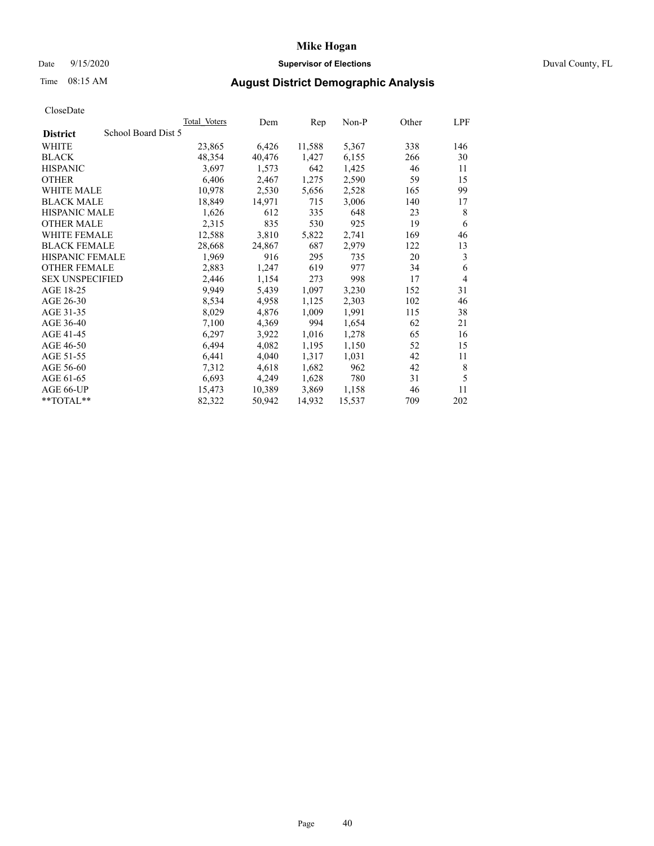## Date 9/15/2020 **Supervisor of Elections** Duval County, FL

# Time 08:15 AM **August District Demographic Analysis**

| School Board Dist 5<br><b>District</b><br>WHITE<br>23,865 | 6,426<br>40,476 | 11,588 | 5,367  |     |                |
|-----------------------------------------------------------|-----------------|--------|--------|-----|----------------|
|                                                           |                 |        |        |     |                |
|                                                           |                 |        |        | 338 | 146            |
| <b>BLACK</b><br>48,354                                    |                 | 1,427  | 6,155  | 266 | 30             |
| <b>HISPANIC</b><br>3,697                                  | 1,573           | 642    | 1,425  | 46  | 11             |
| <b>OTHER</b><br>6,406                                     | 2,467           | 1,275  | 2,590  | 59  | 15             |
| WHITE MALE<br>10,978                                      | 2,530           | 5,656  | 2,528  | 165 | 99             |
| <b>BLACK MALE</b><br>18,849                               | 14,971          | 715    | 3,006  | 140 | 17             |
| <b>HISPANIC MALE</b><br>1,626                             | 612             | 335    | 648    | 23  | 8              |
| 2,315<br><b>OTHER MALE</b>                                | 835             | 530    | 925    | 19  | 6              |
| WHITE FEMALE<br>12,588                                    | 3,810           | 5,822  | 2,741  | 169 | 46             |
| <b>BLACK FEMALE</b><br>28,668                             | 24,867          | 687    | 2,979  | 122 | 13             |
| HISPANIC FEMALE<br>1,969                                  | 916             | 295    | 735    | 20  | 3              |
| <b>OTHER FEMALE</b><br>2,883                              | 1,247           | 619    | 977    | 34  | 6              |
| 2,446<br><b>SEX UNSPECIFIED</b>                           | 1,154           | 273    | 998    | 17  | $\overline{4}$ |
| AGE 18-25<br>9,949                                        | 5,439           | 1,097  | 3,230  | 152 | 31             |
| AGE 26-30<br>8,534                                        | 4,958           | 1,125  | 2,303  | 102 | 46             |
| AGE 31-35<br>8,029                                        | 4,876           | 1,009  | 1,991  | 115 | 38             |
| 7,100<br>AGE 36-40                                        | 4,369           | 994    | 1,654  | 62  | 21             |
| AGE 41-45<br>6,297                                        | 3,922           | 1,016  | 1,278  | 65  | 16             |
| AGE 46-50<br>6,494                                        | 4,082           | 1,195  | 1,150  | 52  | 15             |
| 6,441<br>AGE 51-55                                        | 4,040           | 1,317  | 1,031  | 42  | 11             |
| 7,312<br>AGE 56-60                                        | 4,618           | 1,682  | 962    | 42  | 8              |
| 6,693<br>AGE 61-65                                        | 4,249           | 1,628  | 780    | 31  | 5              |
| AGE 66-UP<br>15,473                                       | 10,389          | 3,869  | 1,158  | 46  | 11             |
| **TOTAL**<br>82,322                                       | 50,942          | 14,932 | 15,537 | 709 | 202            |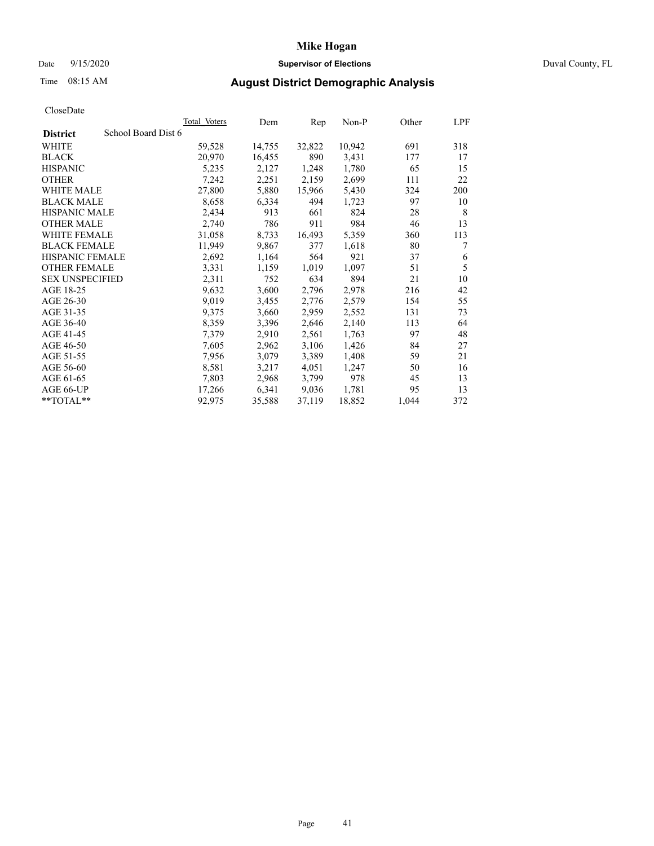## Date 9/15/2020 **Supervisor of Elections** Duval County, FL

# Time 08:15 AM **August District Demographic Analysis**

|                                        | Total Voters | Dem    | Rep    | Non-P  | Other | LPF |
|----------------------------------------|--------------|--------|--------|--------|-------|-----|
| School Board Dist 6<br><b>District</b> |              |        |        |        |       |     |
| WHITE                                  | 59,528       | 14,755 | 32,822 | 10,942 | 691   | 318 |
| <b>BLACK</b>                           | 20,970       | 16,455 | 890    | 3,431  | 177   | 17  |
| <b>HISPANIC</b>                        | 5,235        | 2,127  | 1,248  | 1,780  | 65    | 15  |
| <b>OTHER</b>                           | 7,242        | 2,251  | 2,159  | 2,699  | 111   | 22  |
| WHITE MALE                             | 27,800       | 5,880  | 15,966 | 5,430  | 324   | 200 |
| <b>BLACK MALE</b>                      | 8,658        | 6,334  | 494    | 1,723  | 97    | 10  |
| <b>HISPANIC MALE</b>                   | 2,434        | 913    | 661    | 824    | 28    | 8   |
| <b>OTHER MALE</b>                      | 2,740        | 786    | 911    | 984    | 46    | 13  |
| WHITE FEMALE                           | 31,058       | 8,733  | 16,493 | 5,359  | 360   | 113 |
| <b>BLACK FEMALE</b>                    | 11,949       | 9,867  | 377    | 1,618  | 80    | 7   |
| HISPANIC FEMALE                        | 2,692        | 1,164  | 564    | 921    | 37    | 6   |
| <b>OTHER FEMALE</b>                    | 3,331        | 1,159  | 1,019  | 1,097  | 51    | 5   |
| <b>SEX UNSPECIFIED</b>                 | 2,311        | 752    | 634    | 894    | 21    | 10  |
| AGE 18-25                              | 9,632        | 3,600  | 2,796  | 2,978  | 216   | 42  |
| AGE 26-30                              | 9,019        | 3,455  | 2,776  | 2,579  | 154   | 55  |
| AGE 31-35                              | 9,375        | 3,660  | 2,959  | 2,552  | 131   | 73  |
| AGE 36-40                              | 8,359        | 3,396  | 2,646  | 2,140  | 113   | 64  |
| AGE 41-45                              | 7,379        | 2,910  | 2,561  | 1,763  | 97    | 48  |
| AGE 46-50                              | 7,605        | 2,962  | 3,106  | 1,426  | 84    | 27  |
| AGE 51-55                              | 7,956        | 3,079  | 3,389  | 1,408  | 59    | 21  |
| AGE 56-60                              | 8,581        | 3,217  | 4,051  | 1,247  | 50    | 16  |
| AGE 61-65                              | 7,803        | 2,968  | 3,799  | 978    | 45    | 13  |
| AGE 66-UP                              | 17,266       | 6,341  | 9,036  | 1,781  | 95    | 13  |
| **TOTAL**                              | 92,975       | 35,588 | 37,119 | 18,852 | 1,044 | 372 |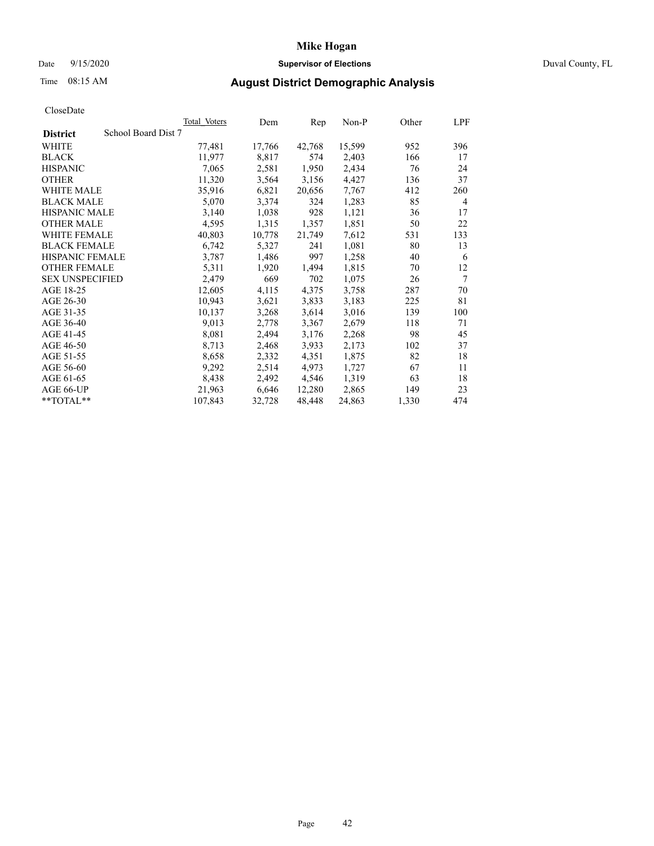## Date 9/15/2020 **Supervisor of Elections** Duval County, FL

# Time 08:15 AM **August District Demographic Analysis**

| Total Voters        | Dem    | Rep    | $Non-P$ | Other | LPF    |
|---------------------|--------|--------|---------|-------|--------|
| School Board Dist 7 |        |        |         |       |        |
| 77,481              | 17,766 | 42,768 | 15,599  | 952   | 396    |
| 11,977              | 8,817  | 574    | 2,403   | 166   | 17     |
| 7,065               | 2,581  | 1,950  | 2,434   | 76    | 24     |
| 11,320              | 3,564  | 3,156  | 4,427   | 136   | 37     |
| 35,916              | 6,821  | 20,656 | 7,767   | 412   | 260    |
| 5,070               | 3,374  | 324    | 1,283   | 85    | 4      |
| 3,140               | 1,038  | 928    | 1,121   | 36    | 17     |
| 4,595               | 1,315  | 1,357  | 1,851   | 50    | 22     |
| 40,803              | 10,778 | 21,749 | 7,612   | 531   | 133    |
| 6,742               | 5,327  | 241    | 1,081   | 80    | 13     |
| 3,787               | 1,486  | 997    | 1,258   | 40    | 6      |
| 5,311               | 1,920  | 1,494  | 1,815   | 70    | 12     |
| 2,479               | 669    | 702    | 1,075   | 26    | $\tau$ |
| 12,605              | 4,115  | 4,375  | 3,758   | 287   | 70     |
| 10,943              | 3,621  | 3,833  | 3,183   | 225   | 81     |
| 10,137              | 3,268  |        | 3,016   | 139   | 100    |
| 9,013               | 2,778  | 3,367  | 2,679   | 118   | 71     |
| 8,081               | 2,494  | 3,176  | 2,268   | 98    | 45     |
| 8,713               | 2,468  | 3,933  | 2,173   | 102   | 37     |
| 8,658               | 2,332  | 4,351  | 1,875   | 82    | 18     |
| 9,292               | 2,514  | 4,973  | 1,727   | 67    | 11     |
| 8,438               | 2,492  | 4,546  | 1,319   | 63    | 18     |
| 21,963              | 6,646  | 12,280 | 2,865   | 149   | 23     |
| 107,843             | 32,728 | 48,448 | 24,863  | 1,330 | 474    |
|                     |        |        | 3,614   |       |        |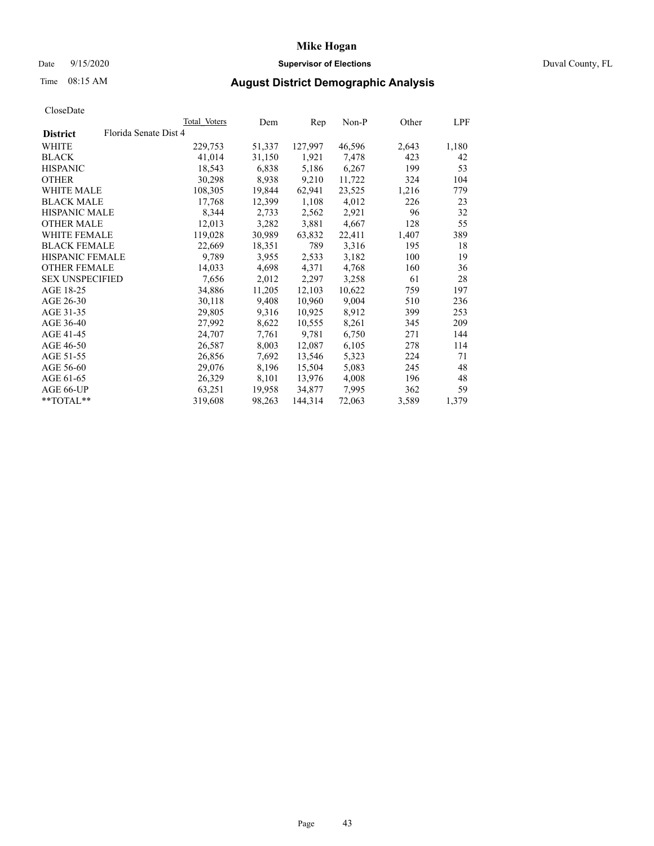## Date 9/15/2020 **Supervisor of Elections** Duval County, FL

# Time 08:15 AM **August District Demographic Analysis**

| Ciosciale              |                       |              |        |         |        |       |       |
|------------------------|-----------------------|--------------|--------|---------|--------|-------|-------|
|                        |                       | Total Voters | Dem    | Rep     | Non-P  | Other | LPF   |
| <b>District</b>        | Florida Senate Dist 4 |              |        |         |        |       |       |
| WHITE                  |                       | 229,753      | 51,337 | 127,997 | 46,596 | 2,643 | 1,180 |
| <b>BLACK</b>           |                       | 41,014       | 31,150 | 1,921   | 7,478  | 423   | 42    |
| <b>HISPANIC</b>        |                       | 18,543       | 6,838  | 5,186   | 6,267  | 199   | 53    |
| <b>OTHER</b>           |                       | 30,298       | 8,938  | 9,210   | 11,722 | 324   | 104   |
| WHITE MALE             |                       | 108,305      | 19,844 | 62,941  | 23,525 | 1,216 | 779   |
| <b>BLACK MALE</b>      |                       | 17,768       | 12,399 | 1,108   | 4,012  | 226   | 23    |
| <b>HISPANIC MALE</b>   |                       | 8,344        | 2,733  | 2,562   | 2,921  | 96    | 32    |
| <b>OTHER MALE</b>      |                       | 12,013       | 3,282  | 3,881   | 4,667  | 128   | 55    |
| WHITE FEMALE           |                       | 119,028      | 30,989 | 63,832  | 22,411 | 1,407 | 389   |
| <b>BLACK FEMALE</b>    |                       | 22,669       | 18,351 | 789     | 3,316  | 195   | 18    |
| <b>HISPANIC FEMALE</b> |                       | 9,789        | 3,955  | 2,533   | 3,182  | 100   | 19    |
| <b>OTHER FEMALE</b>    |                       | 14,033       | 4,698  | 4,371   | 4,768  | 160   | 36    |
| <b>SEX UNSPECIFIED</b> |                       | 7,656        | 2,012  | 2,297   | 3,258  | 61    | 28    |
| AGE 18-25              |                       | 34,886       | 11,205 | 12,103  | 10,622 | 759   | 197   |
| AGE 26-30              |                       | 30,118       | 9,408  | 10,960  | 9,004  | 510   | 236   |
| AGE 31-35              |                       | 29,805       | 9,316  | 10,925  | 8,912  | 399   | 253   |
| AGE 36-40              |                       | 27,992       | 8,622  | 10,555  | 8,261  | 345   | 209   |
| AGE 41-45              |                       | 24,707       | 7,761  | 9,781   | 6,750  | 271   | 144   |
| AGE 46-50              |                       | 26,587       | 8,003  | 12,087  | 6,105  | 278   | 114   |
| AGE 51-55              |                       | 26,856       | 7,692  | 13,546  | 5,323  | 224   | 71    |
| AGE 56-60              |                       | 29,076       | 8,196  | 15,504  | 5,083  | 245   | 48    |
| AGE 61-65              |                       | 26,329       | 8,101  | 13,976  | 4,008  | 196   | 48    |
| AGE 66-UP              |                       | 63,251       | 19,958 | 34,877  | 7,995  | 362   | 59    |
| $*$ $TOTAL**$          |                       | 319,608      | 98,263 | 144,314 | 72,063 | 3,589 | 1,379 |
|                        |                       |              |        |         |        |       |       |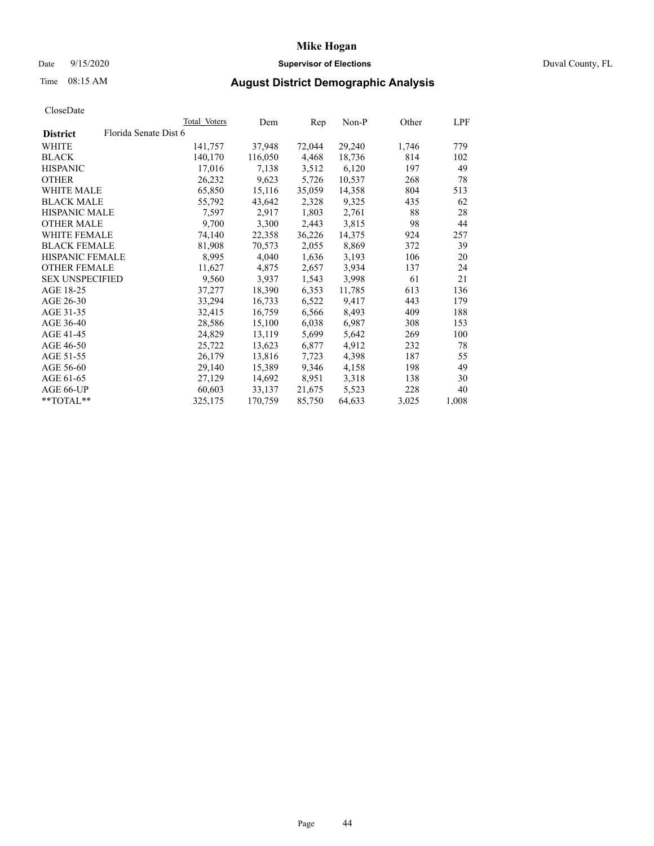## Date 9/15/2020 **Supervisor of Elections** Duval County, FL

# Time 08:15 AM **August District Demographic Analysis**

|                        |                       | Total Voters | Dem     | Rep    | Non-P  | Other | LPF   |
|------------------------|-----------------------|--------------|---------|--------|--------|-------|-------|
| <b>District</b>        | Florida Senate Dist 6 |              |         |        |        |       |       |
| WHITE                  |                       | 141,757      | 37,948  | 72,044 | 29,240 | 1,746 | 779   |
| <b>BLACK</b>           |                       | 140,170      | 116,050 | 4,468  | 18,736 | 814   | 102   |
| <b>HISPANIC</b>        |                       | 17,016       | 7,138   | 3,512  | 6,120  | 197   | 49    |
| <b>OTHER</b>           |                       | 26,232       | 9,623   | 5,726  | 10,537 | 268   | 78    |
| WHITE MALE             |                       | 65,850       | 15,116  | 35,059 | 14,358 | 804   | 513   |
| <b>BLACK MALE</b>      |                       | 55,792       | 43,642  | 2,328  | 9,325  | 435   | 62    |
| <b>HISPANIC MALE</b>   |                       | 7,597        | 2,917   | 1,803  | 2,761  | 88    | 28    |
| <b>OTHER MALE</b>      |                       | 9,700        | 3,300   | 2,443  | 3,815  | 98    | 44    |
| <b>WHITE FEMALE</b>    |                       | 74,140       | 22,358  | 36,226 | 14,375 | 924   | 257   |
| <b>BLACK FEMALE</b>    |                       | 81,908       | 70,573  | 2,055  | 8,869  | 372   | 39    |
| <b>HISPANIC FEMALE</b> |                       | 8,995        | 4,040   | 1,636  | 3,193  | 106   | 20    |
| <b>OTHER FEMALE</b>    |                       | 11,627       | 4,875   | 2,657  | 3,934  | 137   | 24    |
| <b>SEX UNSPECIFIED</b> |                       | 9,560        | 3,937   | 1,543  | 3,998  | 61    | 21    |
| AGE 18-25              |                       | 37,277       | 18,390  | 6,353  | 11,785 | 613   | 136   |
| AGE 26-30              |                       | 33,294       | 16,733  | 6,522  | 9,417  | 443   | 179   |
| AGE 31-35              |                       | 32,415       | 16,759  | 6,566  | 8,493  | 409   | 188   |
| AGE 36-40              |                       | 28,586       | 15,100  | 6,038  | 6,987  | 308   | 153   |
| AGE 41-45              |                       | 24,829       | 13,119  | 5,699  | 5,642  | 269   | 100   |
| AGE 46-50              |                       | 25,722       | 13,623  | 6,877  | 4,912  | 232   | 78    |
| AGE 51-55              |                       | 26,179       | 13,816  | 7,723  | 4,398  | 187   | 55    |
| AGE 56-60              |                       | 29,140       | 15,389  | 9,346  | 4,158  | 198   | 49    |
| AGE 61-65              |                       | 27,129       | 14,692  | 8,951  | 3,318  | 138   | 30    |
| AGE 66-UP              |                       | 60,603       | 33,137  | 21,675 | 5,523  | 228   | 40    |
| $*$ TOTAL $*$          |                       | 325,175      | 170,759 | 85,750 | 64,633 | 3,025 | 1,008 |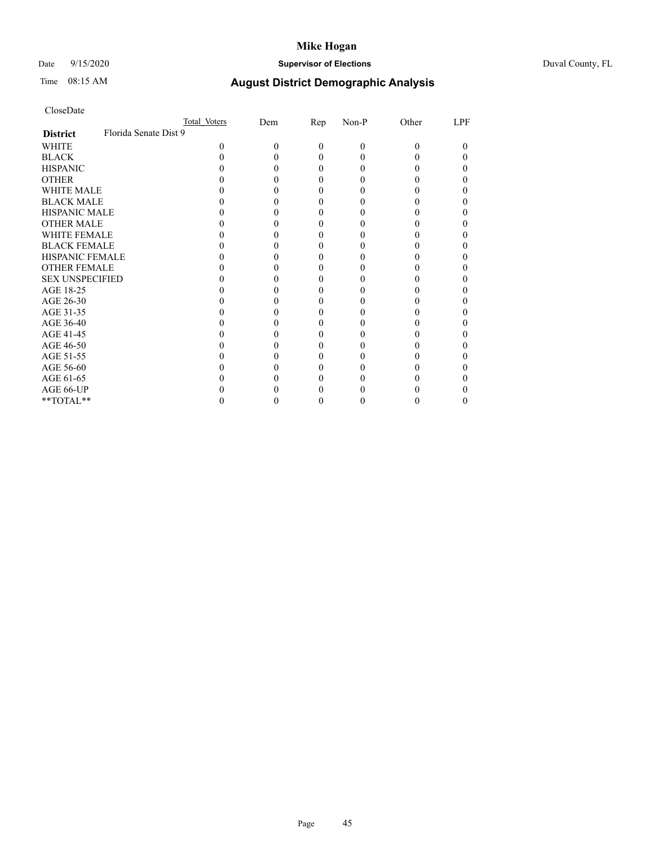## Date 9/15/2020 **Supervisor of Elections** Duval County, FL

# Time 08:15 AM **August District Demographic Analysis**

|                        | Total Voters          |   | Dem | <u>Rep</u> | Non-P | Other | LPF |
|------------------------|-----------------------|---|-----|------------|-------|-------|-----|
| <b>District</b>        | Florida Senate Dist 9 |   |     |            |       |       |     |
| WHITE                  |                       | 0 |     | $\Omega$   | 0     | 0     | 0   |
| <b>BLACK</b>           |                       |   |     |            |       |       |     |
| <b>HISPANIC</b>        |                       |   |     |            |       |       |     |
| <b>OTHER</b>           |                       |   |     |            |       |       |     |
| <b>WHITE MALE</b>      |                       |   |     |            |       |       |     |
| <b>BLACK MALE</b>      |                       |   |     |            |       |       |     |
| <b>HISPANIC MALE</b>   |                       |   |     |            |       |       |     |
| <b>OTHER MALE</b>      |                       |   |     |            |       |       |     |
| <b>WHITE FEMALE</b>    |                       |   |     |            |       |       |     |
| <b>BLACK FEMALE</b>    |                       |   |     |            |       |       |     |
| <b>HISPANIC FEMALE</b> |                       |   |     |            |       |       |     |
| <b>OTHER FEMALE</b>    |                       |   |     |            |       |       |     |
| <b>SEX UNSPECIFIED</b> |                       |   |     |            |       |       |     |
| AGE 18-25              |                       |   |     |            |       |       |     |
| AGE 26-30              |                       |   |     |            |       |       |     |
| AGE 31-35              |                       |   |     |            |       |       |     |
| AGE 36-40              |                       |   |     |            |       |       |     |
| AGE 41-45              |                       |   |     |            |       |       |     |
| AGE 46-50              |                       |   |     |            |       |       |     |
| AGE 51-55              |                       |   |     |            |       |       |     |
| AGE 56-60              |                       |   |     |            |       |       |     |
| AGE 61-65              |                       |   |     |            |       |       |     |
| AGE 66-UP              |                       |   |     |            |       |       |     |
| **TOTAL**              |                       |   |     |            |       |       | 0   |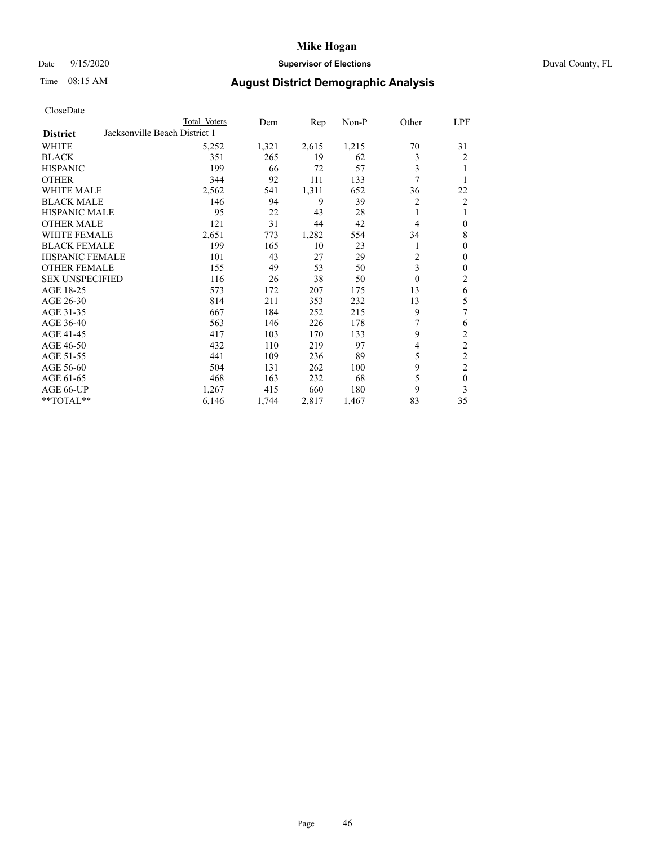## Date 9/15/2020 **Supervisor of Elections** Duval County, FL

# Time 08:15 AM **August District Demographic Analysis**

|                        | Total Voters                  | Dem   | Rep   | Non-P | Other          | LPF            |
|------------------------|-------------------------------|-------|-------|-------|----------------|----------------|
| <b>District</b>        | Jacksonville Beach District 1 |       |       |       |                |                |
| WHITE                  | 5,252                         | 1,321 | 2,615 | 1,215 | 70             | 31             |
| <b>BLACK</b>           | 351                           | 265   | 19    | 62    | 3              | 2              |
| <b>HISPANIC</b>        | 199                           | 66    | 72    | 57    | 3              | 1              |
| <b>OTHER</b>           | 344                           | 92    | 111   | 133   | 7              | 1              |
| WHITE MALE             | 2,562                         | 541   | 1,311 | 652   | 36             | 22             |
| <b>BLACK MALE</b>      | 146                           | 94    | 9     | 39    | 2              | 2              |
| <b>HISPANIC MALE</b>   | 95                            | 22    | 43    | 28    | 1              | 1              |
| <b>OTHER MALE</b>      | 121                           | 31    | 44    | 42    | 4              | $\mathbf{0}$   |
| WHITE FEMALE           | 2,651                         | 773   | 1,282 | 554   | 34             | 8              |
| <b>BLACK FEMALE</b>    | 199                           | 165   | 10    | 23    |                | $\mathbf{0}$   |
| <b>HISPANIC FEMALE</b> | 101                           | 43    | 27    | 29    | $\overline{c}$ | $\mathbf{0}$   |
| <b>OTHER FEMALE</b>    | 155                           | 49    | 53    | 50    | 3              | $\mathbf{0}$   |
| <b>SEX UNSPECIFIED</b> | 116                           | 26    | 38    | 50    | $\theta$       | $\overline{2}$ |
| AGE 18-25              | 573                           | 172   | 207   | 175   | 13             | 6              |
| AGE 26-30              | 814                           | 211   | 353   | 232   | 13             | 5              |
| AGE 31-35              | 667                           | 184   | 252   | 215   | 9              | 7              |
| AGE 36-40              | 563                           | 146   | 226   | 178   | 7              | 6              |
| AGE 41-45              | 417                           | 103   | 170   | 133   | 9              | $\overline{2}$ |
| AGE 46-50              | 432                           | 110   | 219   | 97    | 4              | $\overline{2}$ |
| AGE 51-55              | 441                           | 109   | 236   | 89    | 5              | $\overline{c}$ |
| AGE 56-60              | 504                           | 131   | 262   | 100   | 9              | $\overline{c}$ |
| AGE 61-65              | 468                           | 163   | 232   | 68    | 5              | $\mathbf{0}$   |
| AGE 66-UP              | 1,267                         | 415   | 660   | 180   | 9              | 3              |
| **TOTAL**              | 6,146                         | 1,744 | 2,817 | 1,467 | 83             | 35             |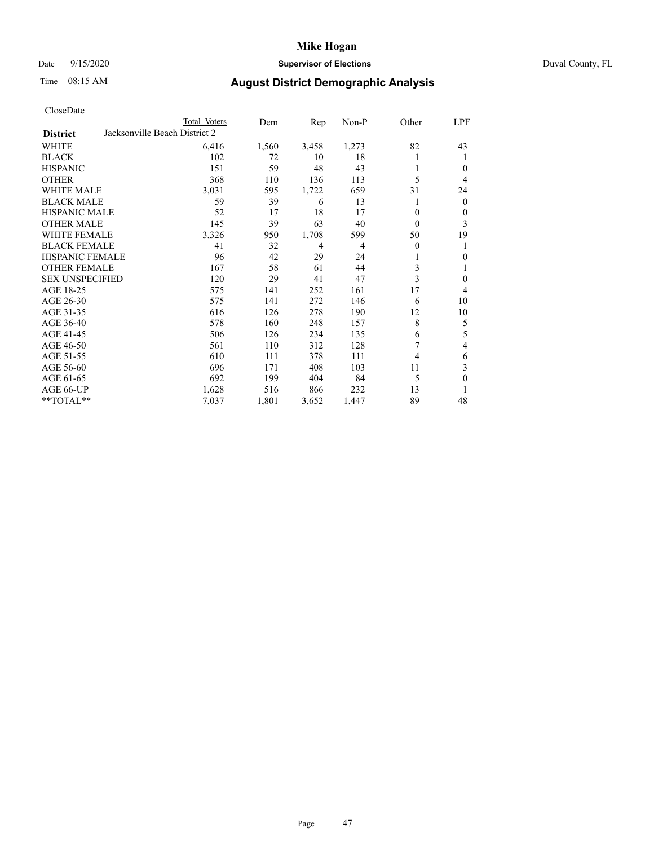## Date 9/15/2020 **Supervisor of Elections** Duval County, FL

# Time 08:15 AM **August District Demographic Analysis**

| CloseDate |
|-----------|
|-----------|

|                        |                               | Total Voters | Dem   | Rep   | $Non-P$        | Other | LPF            |
|------------------------|-------------------------------|--------------|-------|-------|----------------|-------|----------------|
| <b>District</b>        | Jacksonville Beach District 2 |              |       |       |                |       |                |
| WHITE                  |                               | 6,416        | 1,560 | 3,458 | 1,273          | 82    | 43             |
| <b>BLACK</b>           |                               | 102          | 72    | 10    | 18             |       | 1              |
| <b>HISPANIC</b>        |                               | 151          | 59    | 48    | 43             |       | $\theta$       |
| <b>OTHER</b>           |                               | 368          | 110   | 136   | 113            | 5     | 4              |
| <b>WHITE MALE</b>      |                               | 3,031        | 595   | 1,722 | 659            | 31    | 24             |
| <b>BLACK MALE</b>      |                               | 59           | 39    | 6     | 13             |       | $\mathbf{0}$   |
| <b>HISPANIC MALE</b>   |                               | 52           | 17    | 18    | 17             | 0     | $\mathbf{0}$   |
| <b>OTHER MALE</b>      |                               | 145          | 39    | 63    | 40             | 0     | 3              |
| WHITE FEMALE           |                               | 3,326        | 950   | 1,708 | 599            | 50    | 19             |
| <b>BLACK FEMALE</b>    |                               | 41           | 32    | 4     | $\overline{4}$ | 0     | 1              |
| HISPANIC FEMALE        |                               | 96           | 42    | 29    | 24             |       | $\theta$       |
| <b>OTHER FEMALE</b>    |                               | 167          | 58    | 61    | 44             | 3     | 1              |
| <b>SEX UNSPECIFIED</b> |                               | 120          | 29    | 41    | 47             | 3     | $\theta$       |
| AGE 18-25              |                               | 575          | 141   | 252   | 161            | 17    | $\overline{4}$ |
| AGE 26-30              |                               | 575          | 141   | 272   | 146            | 6     | 10             |
| AGE 31-35              |                               | 616          | 126   | 278   | 190            | 12    | 10             |
| AGE 36-40              |                               | 578          | 160   | 248   | 157            | 8     | 5              |
| AGE 41-45              |                               | 506          | 126   | 234   | 135            | 6     | 5              |
| AGE 46-50              |                               | 561          | 110   | 312   | 128            | 7     | 4              |
| AGE 51-55              |                               | 610          | 111   | 378   | 111            | 4     | 6              |
| AGE 56-60              |                               | 696          | 171   | 408   | 103            | 11    | 3              |
| AGE 61-65              |                               | 692          | 199   | 404   | 84             | 5     | $\theta$       |
| AGE 66-UP              |                               | 1,628        | 516   | 866   | 232            | 13    | 1              |
| **TOTAL**              |                               | 7,037        | 1,801 | 3,652 | 1,447          | 89    | 48             |
|                        |                               |              |       |       |                |       |                |